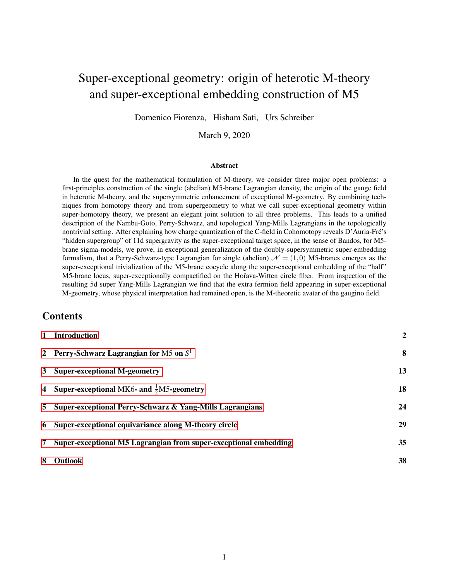# Super-exceptional geometry: origin of heterotic M-theory and super-exceptional embedding construction of M5

Domenico Fiorenza, Hisham Sati, Urs Schreiber

March 9, 2020

#### Abstract

In the quest for the mathematical formulation of M-theory, we consider three major open problems: a first-principles construction of the single (abelian) M5-brane Lagrangian density, the origin of the gauge field in heterotic M-theory, and the supersymmetric enhancement of exceptional M-geometry. By combining techniques from homotopy theory and from supergeometry to what we call super-exceptional geometry within super-homotopy theory, we present an elegant joint solution to all three problems. This leads to a unified description of the Nambu-Goto, Perry-Schwarz, and topological Yang-Mills Lagrangians in the topologically nontrivial setting. After explaining how charge quantization of the C-field in Cohomotopy reveals D'Auria-Fre's ´ "hidden supergroup" of 11d supergravity as the super-exceptional target space, in the sense of Bandos, for M5 brane sigma-models, we prove, in exceptional generalization of the doubly-supersymmetric super-embedding formalism, that a Perry-Schwarz-type Lagrangian for single (abelian)  $\mathcal{N} = (1,0)$  M5-branes emerges as the super-exceptional trivialization of the M5-brane cocycle along the super-exceptional embedding of the "half" M5-brane locus, super-exceptionally compactified on the Hořava-Witten circle fiber. From inspection of the resulting 5d super Yang-Mills Lagrangian we find that the extra fermion field appearing in super-exceptional M-geometry, whose physical interpretation had remained open, is the M-theoretic avatar of the gaugino field.

### **Contents**

| $\mathbf{1}$ | <b>Introduction</b>                                              | $\overline{2}$ |
|--------------|------------------------------------------------------------------|----------------|
|              | 2 Perry-Schwarz Lagrangian for M5 on $S^1$                       | 8              |
|              | 3 Super-exceptional M-geometry                                   | 13             |
|              | 4 Super-exceptional MK6- and $\frac{1}{2}$ M5-geometry           | 18             |
|              | 5 Super-exceptional Perry-Schwarz & Yang-Mills Lagrangians       | 24             |
|              | 6 Super-exceptional equivariance along M-theory circle           | 29             |
| 7            | Super-exceptional M5 Lagrangian from super-exceptional embedding | 35             |
| 8            | <b>Outlook</b>                                                   | 38             |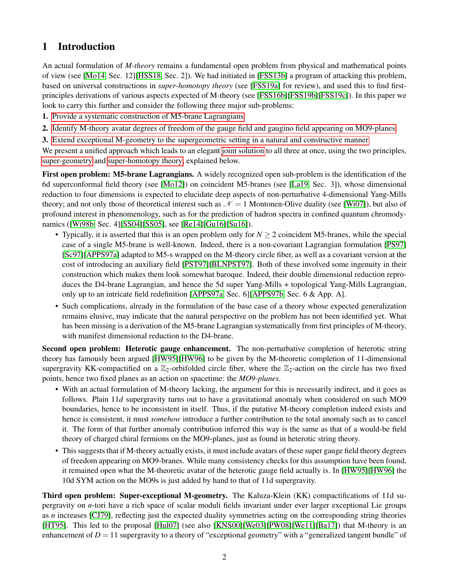## <span id="page-1-0"></span>1 Introduction

An actual formulation of *M-theory* remains a fundamental open problem from physical and mathematical points of view (see [\[Mo14,](#page-42-0) Sec. 12][\[HSS18,](#page-42-1) Sec. 2]). We had initiated in [\[FSS13b\]](#page-40-0) a program of attacking this problem, based on universal constructions in *super-homotopy theory* (see [\[FSS19a\]](#page-41-0) for review), and used this to find firstprinciples derivations of various aspects expected of M-theory (see [\[FSS16b\]](#page-41-1)[\[FSS19b\]](#page-41-2)[\[FSS19c\]](#page-41-3)). In this paper we look to carry this further and consider the following three major sub-problems:

- 1. [Provide a systematic construction of M5-brane Lagrangians.](#page-1-1)
- 2. [Identify M-theory avatar degrees of freedom of the gauge field and gaugino field appearing on MO9-planes.](#page-1-2)
- 3. [Extend exceptional M-geometry to the supergeometric setting in a natural and constructive manner.](#page-1-3)

We present a unified approach which leads to an elegant [joint solution](#page-2-0) to all three at once, using the two principles, [super-geometry](#page-2-1) and [super-homotopy theory,](#page-3-0) explained below.

<span id="page-1-1"></span>First open problem: M5-brane Lagrangians. A widely recognized open sub-problem is the identification of the 6d superconformal field theory (see [\[Mo12\]](#page-42-2)) on coincident M5-branes (see [\[La19,](#page-42-3) Sec. 3]), whose dimensional reduction to four dimensions is expected to elucidate deep aspects of non-perturbative 4-dimensional Yang-Mills theory; and not only those of theoretical interest such as  $\mathcal{N} = 1$  Montonen-Olive duality (see [\[Wi07\]](#page-44-0)), but also of profound interest in phenomenology, such as for the prediction of hadron spectra in confined quantum chromodynamics ([\[Wi98b,](#page-44-1) Sec. 4][\[SS04\]](#page-43-0)[\[SS05\]](#page-43-1), see [\[Re14\]](#page-43-2)[\[Gu16\]](#page-41-4)[\[Su16\]](#page-43-3)).

- Typically, it is asserted that this is an open problem only for *N* > 2 coincident M5-branes, while the special case of a single M5-brane is well-known. Indeed, there is a non-covariant Lagrangian formulation [\[PS97\]](#page-42-4) [\[Sc97\]](#page-43-4)[\[APPS97a\]](#page-39-0) adapted to M5-s wrapped on the M-theory circle fiber, as well as a covariant version at the cost of introducing an auxiliary field [\[PST97\]](#page-42-5)[\[BLNPST97\]](#page-39-1). Both of these involved some ingenuity in their construction which makes them look somewhat baroque. Indeed, their double dimensional reduction reproduces the D4-brane Lagrangian, and hence the 5d super Yang-Mills + topological Yang-Mills Lagrangian, only up to an intricate field redefinition [\[APPS97a,](#page-39-0) Sec. 6][\[APPS97b,](#page-39-2) Sec. 6 & App. A].
- Such complications, already in the formulation of the base case of a theory whose expected generalization remains elusive, may indicate that the natural perspective on the problem has not been identified yet. What has been missing is a derivation of the M5-brane Lagrangian systematically from first principles of M-theory, with manifest dimensional reduction to the D4-brane.

<span id="page-1-2"></span>Second open problem: Heterotic gauge enhancement. The non-perturbative completion of heterotic string theory has famously been argued [\[HW95\]](#page-41-5)[\[HW96\]](#page-41-6) to be given by the M-theoretic completion of 11-dimensional supergravity KK-compactified on a  $\mathbb{Z}_2$ -orbifolded circle fiber, where the  $\mathbb{Z}_2$ -action on the circle has two fixed points, hence two fixed planes as an action on spacetime: the *MO9-planes*.

- With an actual formulation of M-theory lacking, the argument for this is necessarily indirect, and it goes as follows. Plain 11*d* supergravity turns out to have a gravitational anomaly when considered on such MO9 boundaries, hence to be inconsistent in itself. Thus, if the putative M-theory completion indeed exists and hence is consistent, it must *somehow* introduce a further contribution to the total anomaly such as to cancel it. The form of that further anomaly contribution inferred this way is the same as that of a would-be field theory of charged chiral fermions on the MO9-planes, just as found in heterotic string theory.
- This suggests that if M-theory actually exists, it must include avatars of these super gauge field theory degrees of freedom appearing on MO9-branes. While many consistency checks for this assumption have been found, it remained open what the M-theoretic avatar of the heterotic gauge field actually is. In [\[HW95\]](#page-41-5)[\[HW96\]](#page-41-6) the 10d SYM action on the MO9s is just added by hand to that of 11d supergravity.

<span id="page-1-3"></span>Third open problem: Super-exceptional M-geometry. The Kaluza-Klein (KK) compactifications of 11d supergravity on *n*-tori have a rich space of scalar moduli fields invariant under ever larger exceptional Lie groups as *n* increases [\[CJ79\]](#page-40-1), reflecting just the expected duality symmetries acting on the corresponding string theories [\[HT95\]](#page-42-6). This led to the proposal [\[Hul07\]](#page-42-7) (see also [\[KNS00\]](#page-42-8)[\[We03\]](#page-43-5)[\[PW08\]](#page-42-9)[\[We11\]](#page-43-6)[\[Ba17\]](#page-39-3)) that M-theory is an enhancement of  $D = 11$  supergravity to a theory of "exceptional geometry" with a "generalized tangent bundle" of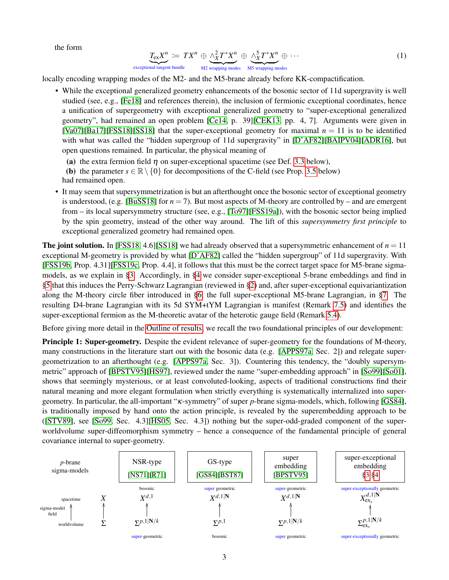the form

<span id="page-2-2"></span>
$$
\underbrace{T_{\text{ex}}X^n}_{\text{itional tangent bundle}} := TX^n \oplus \underbrace{\wedge^2_X T^* X^n}_{\text{M2 wrapping modes}} \oplus \underbrace{\wedge^5_X T^* X^n}_{\text{MS wrapping modes}} \oplus \cdots
$$
\n(1)

locally encoding wrapping modes of the M2- and the M5-brane already before KK-compactification.

• While the exceptional generalized geometry enhancements of the bosonic sector of 11d supergravity is well studied (see, e.g., [\[Fe18\]](#page-40-2) and references therein), the inclusion of fermionic exceptional coordinates, hence a unification of supergeometry with exceptional generalized geometry to "super-exceptional generalized geometry", had remained an open problem [\[Ce14,](#page-40-3) p. 39][\[CEK13,](#page-40-4) pp. 4, 7]. Arguments were given in [\[Va07\]](#page-43-7)[\[Ba17\]](#page-39-3)[\[FSS18\]](#page-41-7)[\[SS18\]](#page-43-8) that the super-exceptional geometry for maximal  $n = 11$  is to be identified with what was called the "hidden supergroup of 11d supergravity" in [\[D'AF82\]](#page-40-5)[\[BAIPV04\]](#page-39-4)[\[ADR16\]](#page-39-5), but open questions remained. In particular, the physical meaning of

(a) the extra fermion field  $\eta$  on super-exceptional spacetime (see Def. [3.3](#page-13-0) below),

**(b)** the parameter  $s \in \mathbb{R} \setminus \{0\}$  for decompositions of the C-field (see Prop. [3.5](#page-14-0) below)

had remained open.

exceptional tangent bundle

• It may seem that supersymmetrization is but an afterthought once the bosonic sector of exceptional geometry is understood, (e.g. [\[BuSS18\]](#page-40-6) for  $n = 7$ ). But most aspects of M-theory are controlled by – and are emergent from – its local supersymmetry structure (see, e.g., [\[To97\]](#page-43-9)[\[FSS19a\]](#page-41-0)), with the bosonic sector being implied by the spin geometry, instead of the other way around. The lift of this *supersymmetry first principle* to exceptional generalized geometry had remained open.

<span id="page-2-0"></span>**The joint solution.** In [\[FSS18,](#page-41-7) 4.6][\[SS18\]](#page-43-8) we had already observed that a supersymmetric enhancement of  $n = 11$ exceptional M-geometry is provided by what [\[D'AF82\]](#page-40-5) called the "hidden supergroup" of 11d supergravity. With [\[FSS19b,](#page-41-2) Prop. 4.31][\[FSS19c,](#page-41-3) Prop. 4.4], it follows that this must be the correct target space for M5-brane sigmamodels, as we explain in [§3.](#page-12-0) Accordingly, in [§4](#page-17-0) we consider super-exceptional 5-brane embeddings and find in [§5](#page-23-0) that this induces the Perry-Schwarz Lagrangian (reviewed in [§2\)](#page-7-0) and, after super-exceptional equivariantization along the M-theory circle fiber introduced in [§6,](#page-28-0) the full super-exceptional M5-brane Lagrangian, in [§7.](#page-34-0) The resulting D4-brane Lagrangian with its 5d SYM+tYM Lagrangian is manifest (Remark [7.5\)](#page-36-0) and identifies the super-exceptional fermion as the M-theoretic avatar of the heterotic gauge field (Remark [5.4\)](#page-25-0).

Before giving more detail in the [Outline of results,](#page-5-0) we recall the two foundational principles of our development:

<span id="page-2-1"></span>Principle 1: Super-geometry. Despite the evident relevance of super-geometry for the foundations of M-theory, many constructions in the literature start out with the bosonic data (e.g. [\[APPS97a,](#page-39-0) Sec. 2]) and relegate supergeometrization to an afterthought (e.g. [\[APPS97a,](#page-39-0) Sec. 3]). Countering this tendency, the "doubly supersymmetric" approach of [\[BPSTV95\]](#page-39-6)[\[HS97\]](#page-41-8), reviewed under the name "super-embedding approach" in [\[So99\]](#page-43-10)[\[So01\]](#page-43-11), shows that seemingly mysterious, or at least convoluted-looking, aspects of traditional constructions find their natural meaning and more elegant formulation when strictly everything is systematically internalized into supergeometry. In particular, the all-important "κ-symmetry" of super *p*-brane sigma-models, which, following [\[GS84\]](#page-41-9), is traditionally imposed by hand onto the action principle, is revealed by the superembedding approach to be ([\[STV89\]](#page-43-12), see [\[So99,](#page-43-10) Sec. 4.3][\[HS05,](#page-42-10) Sec. 4.3]) nothing but the super-odd-graded component of the superworldvolume super-diffeomorphism symmetry – hence a consequence of the fundamental principle of general covariance internal to super-geometry.

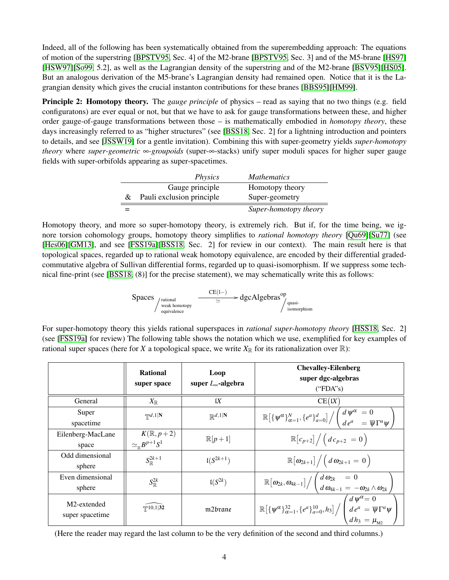Indeed, all of the following has been systematically obtained from the superembedding approach: The equations of motion of the superstring [\[BPSTV95,](#page-39-6) Sec. 4] of the M2-brane [\[BPSTV95,](#page-39-6) Sec. 3] and of the M5-brane [\[HS97\]](#page-41-8) [\[HSW97\]](#page-42-12)[\[So99,](#page-43-10) 5.2], as well as the Lagrangian density of the superstring and of the M2-brane [\[BSV95\]](#page-39-7)[\[HS05\]](#page-42-10). But an analogous derivation of the M5-brane's Lagrangian density had remained open. Notice that it is the Lagrangian density which gives the crucial instanton contributions for these branes [\[BBS95\]](#page-39-8)[\[HM99\]](#page-41-10).

<span id="page-3-0"></span>Principle 2: Homotopy theory. The *gauge principle* of physics – read as saying that no two things (e.g. field configuratons) are ever equal or not, but that we have to ask for gauge transformations between these, and higher order gauge-of-gauge transformations between those – is mathematically embodied in *homotopy theory*, these days increasingly referred to as "higher structures" (see [\[BSS18,](#page-40-8) Sec. 2] for a lightning introduction and pointers to details, and see [\[JSSW19\]](#page-42-13) for a gentle invitation). Combining this with super-geometry yields *super-homotopy theory* where *super-geometric* ∞*-groupoids* (super-∞-stacks) unify super moduli spaces for higher super gauge fields with super-orbifolds appearing as super-spacetimes.

|   | <i>Physics</i>            | <i>Mathematics</i>    |
|---|---------------------------|-----------------------|
|   | Gauge principle           | Homotopy theory       |
| & | Pauli exclusion principle | Super-geometry        |
|   |                           | Super-homotopy theory |

Homotopy theory, and more so super-homotopy theory, is extremely rich. But if, for the time being, we ignore torsion cohomology groups, homotopy theory simplifies to *rational homotopy theory* [\[Qu69\]](#page-42-14)[\[Su77\]](#page-43-14) (see [\[Hes06\]](#page-41-11)[\[GM13\]](#page-41-12), and see [\[FSS19a\]](#page-41-0)[\[BSS18,](#page-40-8) Sec. 2] for review in our context). The main result here is that topological spaces, regarded up to rational weak homotopy equivalence, are encoded by their differential gradedcommutative algebra of Sullivan differential forms, regarded up to quasi-isomorphism. If we suppress some technical fine-print (see [\[BSS18,](#page-40-8) (8)] for the precise statement), we may schematically write this as follows:

$$
Spaces\underset{\substack{\text{quasi-nucleon}\\ \text{equivalence}}}{{\rm c}E(\text{I}-)}\rightarrow dgcAlgebras^{op}\underset{\substack{\text{quasi-nucleon}\\ \text{isomorphism}}}{\simeq}.
$$

For super-homotopy theory this yields rational superspaces in *rational super-homotopy theory* [\[HSS18,](#page-42-1) Sec. 2] (see [\[FSS19a\]](#page-41-0) for review) The following table shows the notation which we use, exemplified for key examples of rational super spaces (here for *X* a topological space, we write  $X_{\mathbb{R}}$  for its rationalization over  $\mathbb{R}$ ):

|                                | <b>Rational</b><br>super space                          | Loop<br>super $L_{\infty}$ -algebra | <b>Chevalley-Eilenberg</b><br>super dgc-algebras<br>("FDA's)                                                                                                                                                               |
|--------------------------------|---------------------------------------------------------|-------------------------------------|----------------------------------------------------------------------------------------------------------------------------------------------------------------------------------------------------------------------------|
| General                        | $X_\mathbb{R}$                                          | IX                                  | CE(K)                                                                                                                                                                                                                      |
| Super<br>spacetime             | $\mathbb{T}^{d,1}$  N                                   | $\mathbb{R}^{d,1 \mathbf{N}}$       | $\overline{\mathbb{R}\big[\{\psi^\alpha\}_{\alpha=1}^N,\{e^a\}_{a=0}^d\big]}\Big/\left(\frac{d\,\psi^\alpha}{d\,e^a}\right.\right.=0}{\overline{\psi}\Gamma^a\psi}\,,$                                                     |
| Eilenberg-MacLane<br>space     | $K(\mathbb{R}, p+2)$<br>$\simeq_{\mathbb R} B^{p+1}S^1$ | $\mathbb{R}[p+1]$                   | $\mathbb{R}[c_{p+2}]/(dc_{p+2} = 0)$                                                                                                                                                                                       |
| Odd dimensional<br>sphere      | $S_{\mathbb{D}}^{2k+1}$                                 | $I(S^{2k+1})$                       | $\mathbb{R}[\omega_{2k+1}]/\left(d\omega_{2k+1}=0\right)$                                                                                                                                                                  |
| Even dimensional<br>sphere     | $S^{2k}_{\mathbb{R}}$                                   | $I(S^{2k})$                         | $\mathbb{R} \big[ \omega_{2k}, \omega_{4k-1} \big] \Big/ \left( \begin{array}{l} d \, \omega_{2k} \ \ d \, \omega_{4k-1} = \, - \omega_{2k} \wedge \omega_{2k} \end{array} \right)$                                        |
| M2-extended<br>super spacetime | $T^{10,1 32}$                                           | m2brane                             | $\frac{1}{\mathbb{R}\left[\{\psi^\alpha\}_{\alpha=1}^{32}, \{e^a\}_{a=0}^{10}, h_3\right]}\Bigg/\left(\begin{array}{l} d\,\psi^\alpha=0\ d\,e^a=\overline{\psi}\Gamma^a\psi\ d\,h_3=\mu_{\textrm{M2}} \end{array}\right),$ |

(Here the reader may regard the last column to be the very definition of the second and third columns.)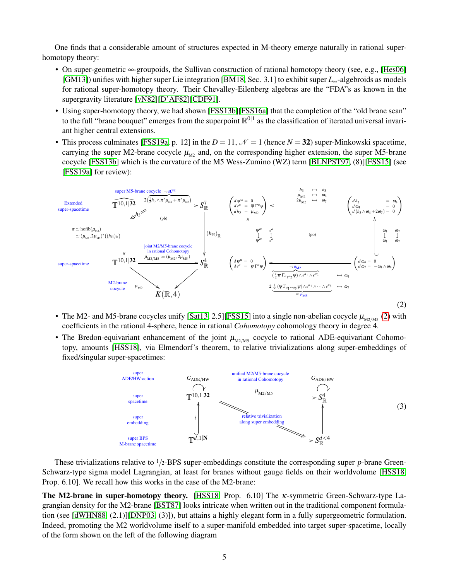One finds that a considerable amount of structures expected in M-theory emerge naturally in rational superhomotopy theory:

- On super-geometric ∞-groupoids, the Sullivan construction of rational homotopy theory (see, e.g., [\[Hes06\]](#page-41-11) [\[GM13\]](#page-41-12)) unifies with higher super Lie integration [\[BM18,](#page-40-9) Sec. 3.1] to exhibit super *L*∞-algebroids as models for rational super-homotopy theory. Their Chevalley-Eilenberg algebras are the "FDA"s as known in the supergravity literature [\[vN82\]](#page-43-15)[\[D'AF82\]](#page-40-5)[\[CDF91\]](#page-40-10).
- Using super-homotopy theory, we had shown [\[FSS13b\]](#page-40-0)[\[FSS16a\]](#page-41-13) that the completion of the "old brane scan" to the full "brane bouquet" emerges from the superpoint  $\mathbb{R}^{0|1}$  as the classification of iterated universal invariant higher central extensions.
- This process culminates [\[FSS19a,](#page-41-0) p. 12] in the  $D = 11$ ,  $\mathcal{N} = 1$  (hence  $N = 32$ ) super-Minkowski spacetime, carrying the super M2-brane cocycle  $\mu_{M2}$  and, on the corresponding higher extension, the super M5-brane cocycle [\[FSS13b\]](#page-40-0) which is the curvature of the M5 Wess-Zumino (WZ) term [\[BLNPST97,](#page-39-1) (8)][\[FSS15\]](#page-41-14) (see [\[FSS19a\]](#page-41-0) for review):

<span id="page-4-0"></span>

- The M2- and M5-brane cocycles unify [\[Sat13,](#page-43-16) 2.5][\[FSS15\]](#page-41-14) into a single non-abelian cocycle  $\mu_{M2/MS}$  [\(2\)](#page-4-0) with coefficients in the rational 4-sphere, hence in rational *Cohomotopy* cohomology theory in degree 4.
- The Bredon-equivariant enhancement of the joint  $\mu_{M2/M5}$  cocycle to rational ADE-equivariant Cohomotopy, amounts [\[HSS18\]](#page-42-1), via Elmendorf's theorem, to relative trivializations along super-embeddings of fixed/singular super-spacetimes:



These trivializations relative to  $\frac{1}{2}$ -BPS super-embeddings constitute the corresponding super *p*-brane Green-Schwarz-type sigma model Lagrangian, at least for branes without gauge fields on their worldvolume [\[HSS18,](#page-42-1) Prop. 6.10]. We recall how this works in the case of the M2-brane:

The M2-brane in super-homotopy theory. [\[HSS18,](#page-42-1) Prop. 6.10] The κ-symmetric Green-Schwarz-type Lagrangian density for the M2-brane [\[BST87\]](#page-40-7) looks intricate when written out in the traditional component formulation (see [\[dWHN88,](#page-40-11) (2.1)][\[DNP03,](#page-40-12) (3)]), but attains a highly elegant form in a fully supergeometric formulation. Indeed, promoting the M2 worldvolume itself to a super-manifold embedded into target super-spacetime, locally of the form shown on the left of the following diagram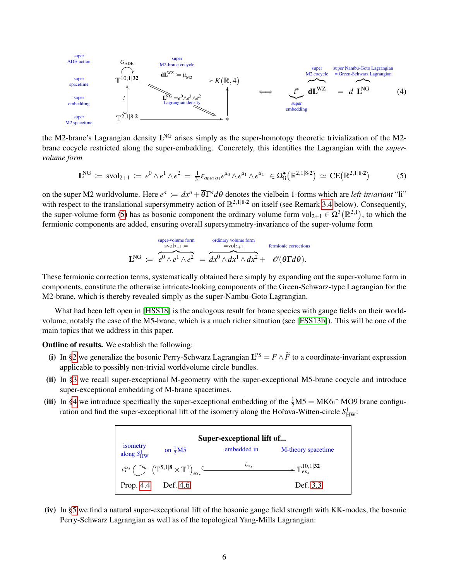<span id="page-5-2"></span>

the M2-brane's Lagrangian density  $L<sup>NG</sup>$  arises simply as the super-homotopy theoretic trivialization of the M2brane cocycle restricted along the super-embedding. Concretely, this identifies the Lagrangian with the *supervolume form*

<span id="page-5-1"></span>
$$
\mathbf{L}^{\text{NG}} \coloneqq \text{svol}_{2+1} \coloneqq e^0 \wedge e^1 \wedge e^2 = \tfrac{1}{3!} \varepsilon_{a_0 a_1 a_1} e^{a_0} \wedge e^{a_1} \wedge e^{a_2} \in \Omega^{\bullet}_{\text{li}}(\mathbb{R}^{2,1|8\cdot 2}) \simeq \text{CE}(\mathbb{R}^{2,1|8\cdot 2}) \tag{5}
$$

on the super M2 worldvolume. Here  $e^a := dx^a + \overline{\theta} \Gamma^a d\theta$  denotes the vielbein 1-forms which are *left-invariant* "li" with respect to the translational supersymmetry action of  $\mathbb{R}^{2,1|8\cdot2}$  on itself (see Remark [3.4](#page-13-1) below). Consequently, the super-volume form [\(5\)](#page-5-1) has as bosonic component the ordinary volume form  $vol_{2+1} \in \Omega^3(\mathbb{R}^{2,1})$ , to which the fermionic components are added, ensuring overall supersymmetry-invariance of the super-volume form

$$
\mathbf{L}^{\text{NG}} \coloneqq \overbrace{e^0 \wedge e^1 \wedge e^2}^{\text{super-volume form}} = \overbrace{dx^0 \wedge dx^1 \wedge dx^2 + \mathcal{O}(\theta \Gamma d\theta)}^{\text{ordinary volume form}} + \overbrace{dx^0 \wedge dx^1 \wedge dx^2 + \mathcal{O}(\theta \Gamma d\theta)}^{\text{fermionic corrections}}
$$

These fermionic correction terms, systematically obtained here simply by expanding out the super-volume form in components, constitute the otherwise intricate-looking components of the Green-Schwarz-type Lagrangian for the M2-brane, which is thereby revealed simply as the super-Nambu-Goto Lagrangian.

What had been left open in [\[HSS18\]](#page-42-1) is the analogous result for brane species with gauge fields on their worldvolume, notably the case of the M5-brane, which is a much richer situation (see [\[FSS13b\]](#page-40-0)). This will be one of the main topics that we address in this paper.

<span id="page-5-0"></span>Outline of results. We establish the following:

- (i) In [§2](#page-7-0) we generalize the bosonic Perry-Schwarz Lagrangian  $L^{PS} = F \wedge \widetilde{F}$  to a coordinate-invariant expression applicable to possibly non-trivial worldvolume circle bundles.
- (ii) In [§3](#page-12-0) we recall super-exceptional M-geometry with the super-exceptional M5-brane cocycle and introduce super-exceptional embedding of M-brane spacetimes.
- (iii) In [§4](#page-17-0) we introduce specifically the super-exceptional embedding of the  $\frac{1}{2}M5 = MK6 \cap MO9$  brane configuration and find the super-exceptional lift of the isometry along the Hořava-Witten-circle  $S_{HW}^1$ :



(iv) In [§5](#page-23-0) we find a natural super-exceptional lift of the bosonic gauge field strength with KK-modes, the bosonic Perry-Schwarz Lagrangian as well as of the topological Yang-Mills Lagrangian: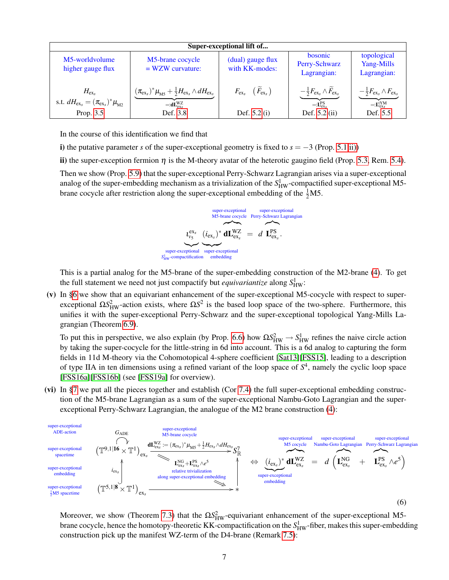|                                                                                      |                                                                                                                                                                          | Super-exceptional lift of               |                                                                                                            |                                                                                                    |
|--------------------------------------------------------------------------------------|--------------------------------------------------------------------------------------------------------------------------------------------------------------------------|-----------------------------------------|------------------------------------------------------------------------------------------------------------|----------------------------------------------------------------------------------------------------|
| M5-worldvolume<br>higher gauge flux                                                  | M5-brane cocycle<br>$= WZW$ curvature:                                                                                                                                   | (dual) gauge flux<br>with KK-modes:     | <b>bosonic</b><br>Perry-Schwarz<br>Lagrangian:                                                             | topological<br>Yang-Mills<br>Lagrangian:                                                           |
| $H_{\rm ex,s}$<br>s.t. $dH_{\rm ex} = (\pi_{\rm ex}^{\rm s})^* \mu_{\rm M2}^{\rm s}$ | $(\pi_{\rm ex_{s}})^{*}\mu_{\rm\scriptscriptstyle MS}^{}+\frac{1}{2}H_{\rm ex_{s}}^{}\wedge dH_{\rm ex_{s}}^{}$<br>$=:\mathbf{d} \mathbf{L}_{\mathrm{ex}}^{\mathrm{WZ}}$ | $F_{\rm ex_s}$ $(\tilde{F}_{\rm ex_s})$ | $-\frac{1}{2}F_{\text{ex}_s}\wedge\widetilde{F}_{\text{ex}_s}$<br>$=$ $\mathbf{L}^{\text{PS}}_{\text{ex}}$ | $-\frac{1}{2}F_{\text{ex}_s}\wedge F_{\text{ex}_s}$<br>$=:\mathbf{L}^{\mathrm{tYM}}_{\mathrm{ex}}$ |
| Prop. 3.5                                                                            | Def. 3.8                                                                                                                                                                 | Def. $5.2(i)$                           | Def. $5.2$ (ii)                                                                                            | Def. 5.5                                                                                           |

In the course of this identification we find that

i) the putative parameter *s* of the super-exceptional geometry is fixed to  $s = -3$  (Prop. [5.1](#page-23-1) [ii\)\)](#page-24-1)

ii) the super-exception fermion  $\eta$  is the M-theory avatar of the heterotic gaugino field (Prop. [5.3,](#page-25-2) Rem. [5.4\)](#page-25-0).

Then we show (Prop. [5.9\)](#page-26-0) that the super-exceptional Perry-Schwarz Lagrangian arises via a super-exceptional analog of the super-embedding mechanism as a trivialization of the  $S_{HW}^1$ -compactified super-exceptional M5brane cocycle after restriction along the super-exceptional embedding of the  $\frac{1}{2}M5$ .

> $\iota_{\nu_5}^{\text{ex}_s}$ |<br>|eptional super-exceptional super-exceptional *S* <sup>1</sup><sub>HW</sub>-compactification  $(i_{ex_s})^*$  ${\bf super-ex}\alpha$ embedding super-exceptional M5-brane cocycle super-exceptional Perry-Schwarz Lagrangian  $\mathcal{L}$   $\mathcal{L}$  $dL_{\text{ex}_s}^{WZ} = d$  $\sum_{\alpha}$  $\mathbf{L}_{\textrm{ex}_{s}}^{\textrm{PS}}$  .

This is a partial analog for the M5-brane of the super-embedding construction of the M2-brane [\(4\)](#page-5-2). To get the full statement we need not just compactify but *equivariantize* along  $S_{HW}^1$ :

(v) In [§6](#page-28-0) we show that an equivariant enhancement of the super-exceptional M5-cocycle with respect to superexceptional  $\Omega S_{HW}^2$ -action exists, where  $\Omega S^2$  is the based loop space of the two-sphere. Furthermore, this unifies it with the super-exceptional Perry-Schwarz and the super-exceptional topological Yang-Mills Lagrangian (Theorem [6.9\)](#page-33-0).

To put this in perspective, we also explain (by Prop. [6.6\)](#page-31-0) how  $\Omega S_{HW}^2 \to S_{HW}^1$  refines the naive circle action by taking the super-cocycle for the little-string in 6d into account. This is a 6d analog to capturing the form fields in 11d M-theory via the Cohomotopical 4-sphere coefficient [\[Sat13\]](#page-43-16)[\[FSS15\]](#page-41-14), leading to a description of type IIA in ten dimensions using a refined variant of the loop space of *S* 4 , namely the cyclic loop space [\[FSS16a\]](#page-41-13)[\[FSS16b\]](#page-41-1) (see [\[FSS19a\]](#page-41-0) for overview).

(vi) In [§7](#page-34-0) we put all the pieces together and establish (Cor [7.4\)](#page-35-0) the full super-exceptional embedding construction of the M5-brane Lagrangian as a sum of the super-exceptional Nambu-Goto Lagrangian and the superexceptional Perry-Schwarz Lagrangian, the analogue of the M2 brane construction [\(4\)](#page-5-2):



Moreover, we show (Theorem [7.3\)](#page-34-1) that the  $\Omega S_{HW}^2$ -equivariant enhancement of the super-exceptional M5brane cocycle, hence the homotopy-theoretic KK-compactification on the  $S^1_{HW}$ -fiber, makes this super-embedding construction pick up the manifest WZ-term of the D4-brane (Remark [7.5\)](#page-36-0):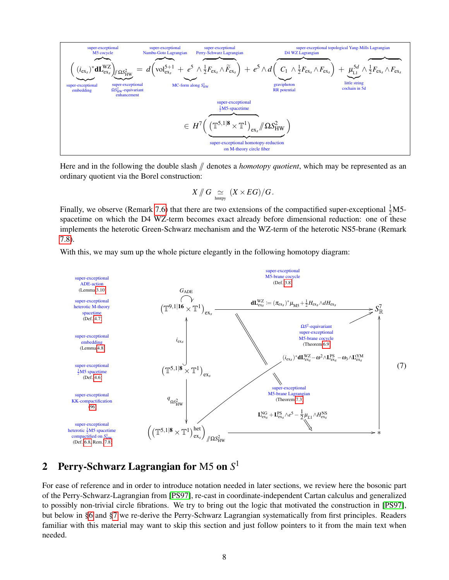$$
\begin{array}{ll}\n\text{super-exceptional} & \text{super-exceptional} & \text{super-exceptional} & \text{super-exceptional} & \text{super-exceptional} & \text{super-exceptional} & \text{toper-exceptional} & \text{topological Yang-Mills Lagrangian} \\
\left(\frac{(\text{i}_{\text{ex}})^* dL_{\text{ex}}^W}{\text{ex}}\right) & \text{MCS}_{\text{HW}}^Z}\right) & \text{MCS}_{\text{HW}}^Z} & = d\left(\text{Vol}_{\text{ex}}^{5+1} + e^5 \wedge \frac{1}{2}F_{\text{ex}} \wedge \widetilde{F}_{\text{ex}}\right) + e^5 \wedge d\left(\text{C}_1 \wedge \frac{1}{2}F_{\text{ex}} \wedge F_{\text{ex}}\right) + \underbrace{\mu_{\text{LI}}^{5d} \wedge \frac{1}{2}F_{\text{ex}} \wedge F_{\text{ex}}}_{\text{enhaacement}}\right) \\
\text{super-exceptional} & \frac{\text{super-exceptional}}{\text{anhaecment}} \\
& = H^7 \left(\frac{\pi^{5,1|8} \times \mathbb{T}^1}{\pi^{5,1|8} \times \mathbb{T}^1}\right)_{\text{ex}} \wedge \text{C5}_{\text{triv}} \\
\text{super-exceptional} & \frac{1}{2}M5\text{-spacetime}} \\
& = H^7 \left(\frac{\pi^{5,1|8} \times \mathbb{T}^1}{\pi^{5,1|8} \times \mathbb{T}^1}\right)_{\text{ex}} \wedge \text{C5}_{\text{triv}} \\
& \text{super-exceptional homotopy-reductional homotopy-reduction} \\
\text{Solve-receptional homotopy-reductional homotopy-reductional homotopy-reduction} \\
\end{array}
$$

Here and in the following the double slash  $\#$  denotes a *homotopy quotient*, which may be represented as an ordinary quotient via the Borel construction:

$$
X \mathbin{\textit{\#}} G \mathrel{\underset{\text{hmtpy}}{\simeq}} (X \times EG) / G \, .
$$

Finally, we observe (Remark [7.6\)](#page-36-1) that there are two extensions of the compactified super-exceptional  $\frac{1}{2}$ M5spacetime on which the D4 WZ-term becomes exact already before dimensional reduction: one of these implements the heterotic Green-Schwarz mechanism and the WZ-term of the heterotic NS5-brane (Remark [7.8\)](#page-36-2).

With this, we may sum up the whole picture elegantly in the following homotopy diagram:

<span id="page-7-1"></span>

## <span id="page-7-0"></span>2 Perry-Schwarz Lagrangian for M5 on *S* 1

For ease of reference and in order to introduce notation needed in later sections, we review here the bosonic part of the Perry-Schwarz-Lagrangian from [\[PS97\]](#page-42-4), re-cast in coordinate-independent Cartan calculus and generalized to possibly non-trivial circle fibrations. We try to bring out the logic that motivated the construction in [\[PS97\]](#page-42-4), but below in [§6](#page-28-0) and [§7](#page-34-0) we re-derive the Perry-Schwarz Lagrangian systematically from first principles. Readers familiar with this material may want to skip this section and just follow pointers to it from the main text when needed.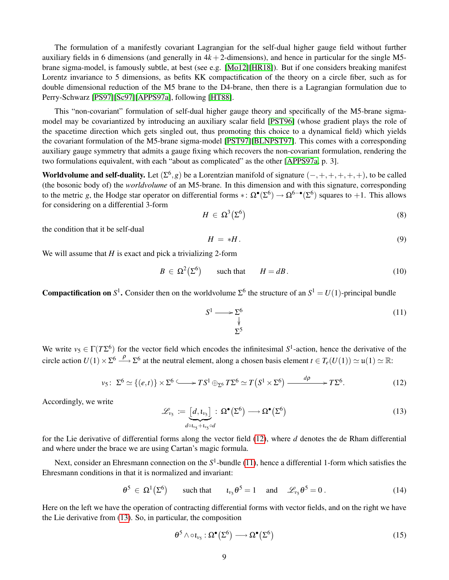The formulation of a manifestly covariant Lagrangian for the self-dual higher gauge field without further auxiliary fields in 6 dimensions (and generally in  $4k + 2$ -dimensions), and hence in particular for the single M5brane sigma-model, is famously subtle, at best (see e.g. [\[Mo12\]](#page-42-2)[\[HR18\]](#page-41-15)). But if one considers breaking manifest Lorentz invariance to 5 dimensions, as befits KK compactification of the theory on a circle fiber, such as for double dimensional reduction of the M5 brane to the D4-brane, then there is a Lagrangian formulation due to Perry-Schwarz [\[PS97\]](#page-42-4)[\[Sc97\]](#page-43-4)[\[APPS97a\]](#page-39-0), following [\[HT88\]](#page-41-16).

This "non-covariant" formulation of self-dual higher gauge theory and specifically of the M5-brane sigmamodel may be covariantized by introducing an auxiliary scalar field [\[PST96\]](#page-42-15) (whose gradient plays the role of the spacetime direction which gets singled out, thus promoting this choice to a dynamical field) which yields the covariant formulation of the M5-brane sigma-model [\[PST97\]](#page-42-5)[\[BLNPST97\]](#page-39-1). This comes with a corresponding auxiliary gauge symmetry that admits a gauge fixing which recovers the non-covariant formulation, rendering the two formulations equivalent, with each "about as complicated" as the other [\[APPS97a,](#page-39-0) p. 3].

Worldvolume and self-duality. Let  $(\Sigma^6, g)$  be a Lorentzian manifold of signature  $(-,+,+,+,+,+)$ , to be called (the bosonic body of) the *worldvolume* of an M5-brane. In this dimension and with this signature, corresponding to the metric *g*, the Hodge star operator on differential forms  $\ast: \Omega^{\bullet}(\Sigma^6) \to \Omega^{6-\bullet}(\Sigma^6)$  squares to +1. This allows for considering on a differential 3-form

$$
H \in \Omega^3(\Sigma^6) \tag{8}
$$

the condition that it be self-dual

<span id="page-8-4"></span>
$$
H = *H. \tag{9}
$$

We will assume that *H* is exact and pick a trivializing 2-form

<span id="page-8-5"></span>
$$
B \in \Omega^{2}(\Sigma^{6}) \qquad \text{such that} \qquad H = dB. \tag{10}
$$

**Compactification on**  $S^1$ . Consider then on the worldvolume  $\Sigma^6$  the structure of an  $S^1 = U(1)$ -principal bundle

<span id="page-8-1"></span>
$$
S^1 \longrightarrow \sum_{\psi}^6
$$
 (11)

We write  $v_5 \in \Gamma(T\Sigma^6)$  for the vector field which encodes the infinitesimal  $S^1$ -action, hence the derivative of the circle action  $U(1) \times \Sigma^6 \longrightarrow \Sigma^6$  at the neutral element, along a chosen basis element  $t \in T_e(U(1)) \simeq \mathfrak{u}(1) \simeq \mathbb{R}$ :

<span id="page-8-0"></span>
$$
\nu_5\colon \Sigma^6 \simeq \{(e,t)\}\times \Sigma^6 \longrightarrow TS^1\oplus_{\Sigma^6} T\Sigma^6 \simeq T\left(S^1\times \Sigma^6\right) \xrightarrow{d\rho} TS^6. \tag{12}
$$

Accordingly, we write

<span id="page-8-2"></span>
$$
\mathcal{L}_{\nu_5} := \underbrace{[d, \iota_{\nu_5}]}_{d \circ \iota_{\nu_5} + \iota_{\nu_5} \circ d} : \Omega^{\bullet}(\Sigma^6) \longrightarrow \Omega^{\bullet}(\Sigma^6)
$$
\n(13)

for the Lie derivative of differential forms along the vector field [\(12\)](#page-8-0), where *d* denotes the de Rham differential and where under the brace we are using Cartan's magic formula.

Next, consider an Ehresmann connection on the S<sup>1</sup>-bundle [\(11\)](#page-8-1), hence a differential 1-form which satisfies the Ehresmann conditions in that it is normalized and invariant:

<span id="page-8-3"></span>
$$
\theta^5 \in \Omega^1(\Sigma^6) \qquad \text{such that} \qquad \iota_{\nu_5} \theta^5 = 1 \quad \text{and} \quad \mathscr{L}_{\nu_5} \theta^5 = 0 \,. \tag{14}
$$

Here on the left we have the operation of contracting differential forms with vector fields, and on the right we have the Lie derivative from [\(13\)](#page-8-2). So, in particular, the composition

$$
\theta^5 \wedge \circ \iota_{\nu_5} : \Omega^{\bullet}(\Sigma^6) \longrightarrow \Omega^{\bullet}(\Sigma^6)
$$
\n(15)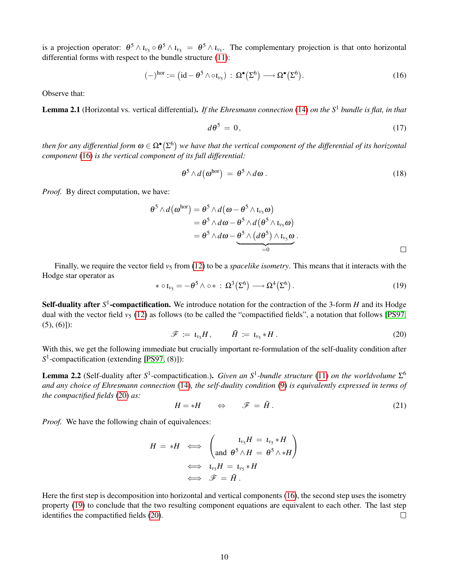is a projection operator:  $\theta^5 \wedge \iota_{v_5} \circ \theta^5 \wedge \iota_{v_5} = \theta^5 \wedge \iota_{v_5}$ . The complementary projection is that onto horizontal differential forms with respect to the bundle structure [\(11\)](#page-8-1):

<span id="page-9-0"></span>
$$
(-)^{\text{hor}} := (\text{id} - \theta^5 \wedge \circ \iota_{\nu_5}) : \Omega^{\bullet}(\Sigma^6) \longrightarrow \Omega^{\bullet}(\Sigma^6). \tag{16}
$$

<span id="page-9-5"></span>Observe that:

Lemma 2.1 (Horizontal vs. vertical differential). *If the Ehresmann connection* [\(14\)](#page-8-3) *on the S*<sup>1</sup> *bundle is flat, in that*

<span id="page-9-4"></span>
$$
d\theta^5 = 0,\t(17)
$$

then for any differential form  $\omega\in\Omega^\bullet(\Sigma^6)$  we have that the vertical component of the differential of its horizontal *component* [\(16\)](#page-9-0) *is the vertical component of its full differential:*

$$
\theta^5 \wedge d\big(\omega^{\rm hor}\big) \,=\, \theta^5 \wedge d\omega \,. \tag{18}
$$

*Proof.* By direct computation, we have:

$$
\theta^5 \wedge d\left(\boldsymbol{\omega}^{\text{hor}}\right) = \theta^5 \wedge d\left(\boldsymbol{\omega} - \theta^5 \wedge \iota_{v_5} \boldsymbol{\omega}\right) \n= \theta^5 \wedge d\boldsymbol{\omega} - \theta^5 \wedge d\left(\theta^5 \wedge \iota_{v_5} \boldsymbol{\omega}\right) \n= \theta^5 \wedge d\boldsymbol{\omega} - \theta^5 \wedge \left(d\theta^5\right) \wedge \iota_{v_5} \boldsymbol{\omega} \n= 0
$$

Finally, we require the vector field  $v_5$  from [\(12\)](#page-8-0) to be a *spacelike isometry*. This means that it interacts with the Hodge star operator as

<span id="page-9-2"></span>
$$
\ast \circ \iota_{\nu_5} = -\theta^5 \wedge \circ \ast : \Omega^3(\Sigma^6) \longrightarrow \Omega^4(\Sigma^6).
$$
 (19)

Self-duality after S<sup>1</sup>-compactification. We introduce notation for the contraction of the 3-form *H* and its Hodge dual with the vector field  $v<sub>5</sub>$  [\(12\)](#page-8-0) as follows (to be called the "compactified fields", a notation that follows [\[PS97,](#page-42-4)  $(5), (6)]$ :

<span id="page-9-1"></span>
$$
\mathscr{F} \coloneqq \iota_{\nu_5} H, \qquad \tilde{H} \coloneqq \iota_{\nu_5} * H. \tag{20}
$$

With this, we get the following immediate but crucially important re-formulation of the self-duality condition after S<sup>1</sup>-compactification (extending [\[PS97,](#page-42-4) (8)]):

**Lemma 2.2** (Self-duality after  $S^1$ -compactification.). *Given an*  $S^1$ -bundle structure [\(11\)](#page-8-1) *on the worldvolume*  $\Sigma^6$ *and any choice of Ehresmann connection* [\(14\)](#page-8-3)*, the self-duality condition* [\(9\)](#page-8-4) *is equivalently expressed in terms of the compactified fields* [\(20\)](#page-9-1) *as:*

<span id="page-9-3"></span>
$$
H = *H \qquad \Leftrightarrow \qquad \mathscr{F} = \tilde{H} \,. \tag{21}
$$

*Proof.* We have the following chain of equivalences:

$$
H = *H \iff \begin{pmatrix} t_{v_5}H = t_{v_5} * H \\ \text{and } \theta^5 \wedge H = \theta^5 \wedge *H \end{pmatrix}
$$
  

$$
\iff t_{v_5}H = t_{v_5} * H
$$
  

$$
\iff \mathscr{F} = \tilde{H}.
$$

Here the first step is decomposition into horizontal and vertical components [\(16\)](#page-9-0), the second step uses the isometry property [\(19\)](#page-9-2) to conclude that the two resulting component equations are equivalent to each other. The last step identifies the compactified fields [\(20\)](#page-9-1).  $\Box$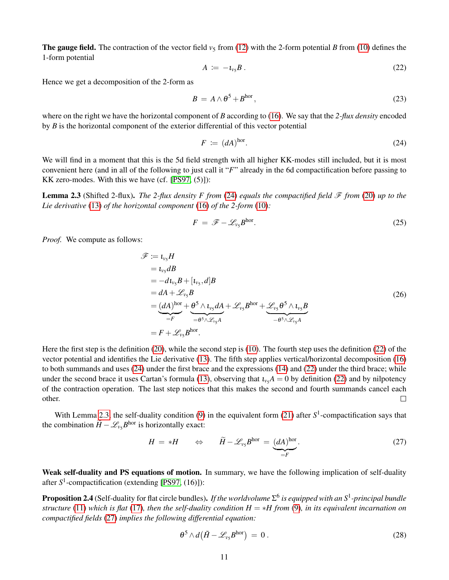**The gauge field.** The contraction of the vector field  $v_5$  from [\(12\)](#page-8-0) with the 2-form potential *B* from [\(10\)](#page-8-5) defines the 1-form potential

<span id="page-10-1"></span>
$$
A \coloneqq -\iota_{v_5} B \,. \tag{22}
$$

Hence we get a decomposition of the 2-form as

$$
B = A \wedge \theta^5 + B^{\text{hor}}, \tag{23}
$$

where on the right we have the horizontal component of *B* according to [\(16\)](#page-9-0). We say that the *2-flux density* encoded by *B* is the horizontal component of the exterior differential of this vector potential

<span id="page-10-0"></span>
$$
F := (dA)^{\text{hor}}.\tag{24}
$$

We will find in a moment that this is the 5d field strength with all higher KK-modes still included, but it is most convenient here (and in all of the following to just call it "*F*" already in the 6d compactification before passing to KK zero-modes. With this we have (cf. [\[PS97,](#page-42-4) (5)]):

<span id="page-10-2"></span>**Lemma 2.3** (Shifted 2-flux). *The 2-flux density F from* [\(24\)](#page-10-0) *equals the compactified field*  $\mathcal F$  *from* [\(20\)](#page-9-1) *up to the Lie derivative* [\(13\)](#page-8-2) *of the horizontal component* [\(16\)](#page-9-0) *of the 2-form* [\(10\)](#page-8-5)*:*

<span id="page-10-6"></span>
$$
F = \mathscr{F} - \mathscr{L}_{\nu_5} B^{\text{hor}}.
$$
 (25)

*Proof.* We compute as follows:

<span id="page-10-5"></span>
$$
\mathscr{F} := \iota_{v_5} H
$$
\n
$$
= \iota_{v_5} dB
$$
\n
$$
= -d\iota_{v_5} B + [\iota_{v_5}, d]B
$$
\n
$$
= dA + \mathscr{L}_{v_5} B
$$
\n
$$
= (dA)^{hor} + \underbrace{\theta^5 \wedge \iota_{v_5} dA}_{=F} + \mathscr{L}_{v_5} B^{hor} + \underbrace{\mathscr{L}_{v_5} \theta^5 \wedge \iota_{v_5} B}_{- \theta^5 \wedge \mathscr{L}_{v_5} A}
$$
\n
$$
= F + \mathscr{L}_{v_5} B^{hor}.
$$
\n(26)

Here the first step is the definition [\(20\)](#page-9-1), while the second step is [\(10\)](#page-8-5). The fourth step uses the definition [\(22\)](#page-10-1) of the vector potential and identifies the Lie derivative [\(13\)](#page-8-2). The fifth step applies vertical/horizontal decomposition [\(16\)](#page-9-0) to both summands and uses [\(24\)](#page-10-0) under the first brace and the expressions [\(14\)](#page-8-3) and [\(22\)](#page-10-1) under the third brace; while under the second brace it uses Cartan's formula [\(13\)](#page-8-2), observing that  $l_{\nu5}A = 0$  by definition [\(22\)](#page-10-1) and by nilpotency of the contraction operation. The last step notices that this makes the second and fourth summands cancel each other.  $\Box$ 

With Lemma [2.3,](#page-10-2) the self-duality condition  $(9)$  in the equivalent form  $(21)$  after  $S<sup>1</sup>$ -compactification says that the combination  $\widetilde{H} - \mathcal{L}_{v_5} B^{\text{hor}}$  is horizontally exact:

<span id="page-10-3"></span>
$$
H = *H \qquad \Leftrightarrow \qquad \widetilde{H} - \mathcal{L}_{\nu_5} B^{\text{hor}} = \underbrace{(dA)^{\text{hor}}}_{=F}.
$$

Weak self-duality and PS equations of motion. In summary, we have the following implication of self-duality after S<sup>1</sup>-compactification (extending [\[PS97,](#page-42-4) (16)]):

Proposition 2.4 (Self-duality for flat circle bundles). *If the worldvolume* Σ 6 *is equipped with an S*<sup>1</sup> *-principal bundle structure* [\(11\)](#page-8-1) *which is flat* [\(17\)](#page-9-4)*, then the self-duality condition H* = ∗*H from* [\(9\)](#page-8-4)*, in its equivalent incarnation on compactified fields* [\(27\)](#page-10-3) *implies the following differential equation:*

<span id="page-10-4"></span>
$$
\theta^5 \wedge d\big(\tilde{H} - \mathscr{L}_{\nu_5} B^{\text{hor}}\big) = 0. \tag{28}
$$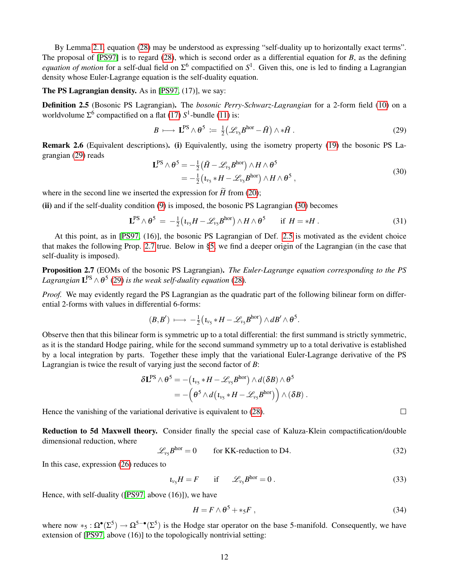By Lemma [2.1,](#page-9-5) equation [\(28\)](#page-10-4) may be understood as expressing "self-duality up to horizontally exact terms". The proposal of [\[PS97\]](#page-42-4) is to regard [\(28\)](#page-10-4), which is second order as a differential equation for *B*, as the defining *equation of motion* for a self-dual field on  $\Sigma^6$  compactified on  $S^1$ . Given this, one is led to finding a Lagrangian density whose Euler-Lagrange equation is the self-duality equation.

#### The PS Lagrangian density. As in [\[PS97,](#page-42-4) (17)], we say:

<span id="page-11-2"></span>Definition 2.5 (Bosonic PS Lagrangian). The *bosonic Perry-Schwarz-Lagrangian* for a 2-form field [\(10\)](#page-8-5) on a worldvolume  $\Sigma^6$  compactified on a flat [\(17\)](#page-9-4)  $S^1$ -bundle [\(11\)](#page-8-1) is:

<span id="page-11-0"></span>
$$
B \longmapsto \mathbf{L}^{\mathrm{PS}} \wedge \theta^5 \coloneqq \frac{1}{2} \big( \mathscr{L}_{\nu_5} B^{\mathrm{hor}} - \tilde{H} \big) \wedge \ast \tilde{H} \,. \tag{29}
$$

Remark 2.6 (Equivalent descriptions). (i) Equivalently, using the isometry property [\(19\)](#page-9-2) the bosonic PS Lagrangian [\(29\)](#page-11-0) reads

<span id="page-11-1"></span>
$$
\mathbf{L}^{\text{PS}} \wedge \theta^5 = -\frac{1}{2} \left( \tilde{H} - \mathcal{L}_{\nu_5} B^{\text{hor}} \right) \wedge H \wedge \theta^5
$$
  
= 
$$
-\frac{1}{2} \left( \iota_{\nu_5} * H - \mathcal{L}_{\nu_5} B^{\text{hor}} \right) \wedge H \wedge \theta^5 ,
$$
 (30)

where in the second line we inserted the expression for  $\widetilde{H}$  from [\(20\)](#page-9-1);

(ii) and if the self-duality condition [\(9\)](#page-8-4) is imposed, the bosonic PS Lagrangian [\(30\)](#page-11-1) becomes

<span id="page-11-4"></span>
$$
\mathbf{L}^{\mathrm{PS}} \wedge \theta^5 = -\frac{1}{2} \big( \iota_{\nu_5} H - \mathscr{L}_{\nu_5} B^{\mathrm{hor}} \big) \wedge H \wedge \theta^5 \quad \text{if } H = *H \,.
$$

At this point, as in [\[PS97,](#page-42-4) (16)], the bosonic PS Lagrangian of Def. [2.5](#page-11-2) is motivated as the evident choice that makes the following Prop. [2.7](#page-11-3) true. Below in [§5,](#page-23-0) we find a deeper origin of the Lagrangian (in the case that self-duality is imposed).

<span id="page-11-3"></span>Proposition 2.7 (EOMs of the bosonic PS Lagrangian). *The Euler-Lagrange equation corresponding to the PS* Lagrangian  $\mathbf{L}^{\text{PS}} \wedge \theta^5$  [\(29\)](#page-11-0) is the weak self-duality equation [\(28\)](#page-10-4).

*Proof.* We may evidently regard the PS Lagrangian as the quadratic part of the following bilinear form on differential 2-forms with values in differential 6-forms:

$$
(B,B') \ \longmapsto\ -\tfrac{1}{2}\big(\iota_{\nu_5} * H - \mathscr{L}_{\nu_5}B^{\text{hor}}\big) \wedge dB' \wedge \theta^5.
$$

Observe then that this bilinear form is symmetric up to a total differential: the first summand is strictly symmetric, as it is the standard Hodge pairing, while for the second summand symmetry up to a total derivative is established by a local integration by parts. Together these imply that the variational Euler-Lagrange derivative of the PS Lagrangian is twice the result of varying just the second factor of *B*:

$$
\delta \mathbf{L}^{PS} \wedge \theta^5 = - (\iota_{\nu_5} * H - \mathscr{L}_{\nu_5} B^{\text{hor}}) \wedge d(\delta B) \wedge \theta^5 = - (\theta^5 \wedge d (\iota_{\nu_5} * H - \mathscr{L}_{\nu_5} B^{\text{hor}})) \wedge (\delta B) .
$$

Hence the vanishing of the variational derivative is equivalent to [\(28\)](#page-10-4).

Reduction to 5d Maxwell theory. Consider finally the special case of Kaluza-Klein compactification/double dimensional reduction, where

 $\mathscr{L}_{\nu\epsilon}B^{\text{hor}}=0$ for KK-reduction to D4.  $(32)$ 

In this case, expression [\(26\)](#page-10-5) reduces to

$$
t_{\nu_5}H = F \qquad \text{if} \qquad \mathscr{L}_{\nu_5}B^{\text{hor}} = 0 \,. \tag{33}
$$

Hence, with self-duality ([\[PS97,](#page-42-4) above (16)]), we have

$$
H = F \wedge \theta^5 + *_{5}F , \qquad (34)
$$

<span id="page-11-5"></span>where now  $*_5: \Omega^{\bullet}(\Sigma^5) \to \Omega^{5-\bullet}(\Sigma^5)$  is the Hodge star operator on the base 5-manifold. Consequently, we have extension of [\[PS97,](#page-42-4) above (16)] to the topologically nontrivial setting:

 $\Box$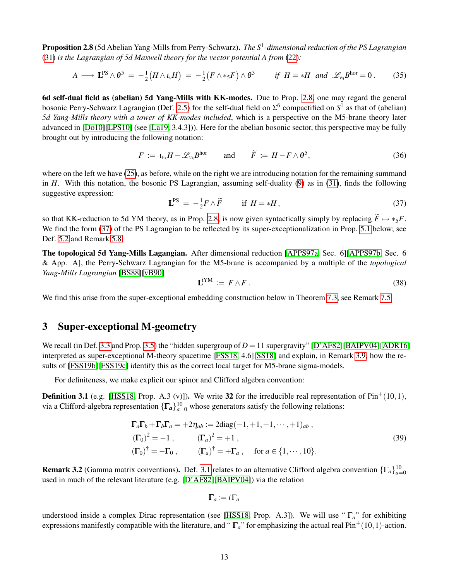Proposition 2.8 (5d Abelian Yang-Mills from Perry-Schwarz). *The S*<sup>1</sup> *-dimensional reduction of the PS Lagrangian* [\(31\)](#page-11-4) *is the Lagrangian of 5d Maxwell theory for the vector potential A from* [\(22\)](#page-10-1)*:*

$$
A \longmapsto \mathbf{L}^{\mathrm{PS}} \wedge \theta^5 = -\tfrac{1}{2} \big( H \wedge \iota_v H \big) = -\tfrac{1}{2} \big( F \wedge \ast_5 F \big) \wedge \theta^5 \qquad \text{if } H = \ast H \text{ and } \mathscr{L}_{v_5} B^{\mathrm{hor}} = 0 \,. \tag{35}
$$

6d self-dual field as (abelian) 5d Yang-Mills with KK-modes. Due to Prop. [2.8,](#page-11-5) one may regard the general bosonic Perry-Schwarz Lagrangian (Def. [2.5\)](#page-11-2) for the self-dual field on  $\Sigma^6$  compactified on  $S^1$  as that of (abelian) *5d Yang-Mills theory with a tower of KK-modes included*, which is a perspective on the M5-brane theory later advanced in [\[Do10\]](#page-40-13)[\[LPS10\]](#page-42-16) (see [\[La19,](#page-42-3) 3.4.3])). Here for the abelian bosonic sector, this perspective may be fully brought out by introducing the following notation:

$$
F := \iota_{\nu_5} H - \mathscr{L}_{\nu_5} B^{\text{hor}} \quad \text{and} \quad \widetilde{F} := H - F \wedge \theta^5,
$$
 (36)

where on the left we have [\(25\)](#page-10-6), as before, while on the right we are introducing notation for the remaining summand in *H*. With this notation, the bosonic PS Lagrangian, assuming self-duality [\(9\)](#page-8-4) as in [\(31\)](#page-11-4), finds the following suggestive expression:

<span id="page-12-1"></span>
$$
\mathbf{L}^{\text{PS}} = -\frac{1}{2}F \wedge \widetilde{F} \qquad \text{if } H = *H,\tag{37}
$$

so that KK-reduction to 5d YM theory, as in Prop. [2.8,](#page-11-5) is now given syntactically simply by replacing  $\widetilde{F} \mapsto *_{5}F$ . We find the form [\(37\)](#page-12-1) of the PS Lagrangian to be reflected by its super-exceptionalization in Prop. [5.1](#page-23-1) below; see Def. [5.2](#page-24-0) and Remark [5.8.](#page-26-1)

The topological 5d Yang-Mills Lagangian. After dimensional reduction [\[APPS97a,](#page-39-0) Sec. 6][\[APPS97b,](#page-39-2) Sec. 6 & App. A], the Perry-Schwarz Lagrangian for the M5-brane is accompanied by a multiple of the *topological Yang-Mills Lagrangian* [\[BS88\]](#page-39-9)[\[vB90\]](#page-39-10)

<span id="page-12-4"></span>
$$
\mathbf{L}^{\mathbf{t} \mathbf{Y} \mathbf{M}} \coloneqq F \wedge F \tag{38}
$$

We find this arise from the super-exceptional embedding construction below in Theorem [7.3,](#page-34-1) see Remark [7.5.](#page-36-0)

## <span id="page-12-0"></span>3 Super-exceptional M-geometry

We recall (in Def. [3.3](#page-13-0) and Prop. [3.5\)](#page-14-0) the "hidden supergroup of  $D = 11$  supergravity" [\[D'AF82\]](#page-40-5)[\[BAIPV04\]](#page-39-4)[\[ADR16\]](#page-39-5) interpreted as super-exceptional M-theory spacetime [\[FSS18,](#page-41-7) 4.6][\[SS18\]](#page-43-8) and explain, in Remark [3.9,](#page-15-1) how the results of [\[FSS19b\]](#page-41-2)[\[FSS19c\]](#page-41-3) identify this as the correct local target for M5-brane sigma-models.

For definiteness, we make explicit our spinor and Clifford algebra convention:

<span id="page-12-2"></span>**Definition 3.1** (e.g. [\[HSS18,](#page-42-1) Prop. A.3 (v)]). We write 32 for the irreducible real representation of Pin<sup>+</sup>(10,1), via a Clifford-algebra representation  $\{\Gamma_a\}_{a=0}^{10}$  whose generators satisfy the following relations:

<span id="page-12-3"></span>
$$
\begin{aligned}\n\mathbf{\Gamma}_a \mathbf{\Gamma}_b + \mathbf{\Gamma}_b \mathbf{\Gamma}_a &= +2\eta_{ab} := 2 \text{diag}(-1, +1, +1, \cdots, +1)_{ab} ,\\ \n(\mathbf{\Gamma}_0)^2 &= -1 \,, \qquad (\mathbf{\Gamma}_a)^2 &= +1 \,,\\ \n(\mathbf{\Gamma}_0)^\dagger &= -\mathbf{\Gamma}_0 \,, \qquad (\mathbf{\Gamma}_a)^\dagger &= +\mathbf{\Gamma}_a \,, \quad \text{for } a \in \{1, \cdots, 10\}.\n\end{aligned}
$$
\n(39)

**Remark 3.2** (Gamma matrix conventions). Def. [3.1](#page-12-2) relates to an alternative Clifford algebra convention  $\{\Gamma_a\}_{a=0}^{10}$ used in much of the relevant literature (e.g. [\[D'AF82\]](#page-40-5)[\[BAIPV04\]](#page-39-4)) via the relation

$$
\mathbf{\Gamma}_a\coloneqq i\,\Gamma_a
$$

understood inside a complex Dirac representation (see [\[HSS18,](#page-42-1) Prop. A.3]). We will use " Γ*a*" for exhibiting expressions manifestly compatible with the literature, and " $\Gamma_a$ " for emphasizing the actual real Pin<sup>+</sup>(10,1)-action.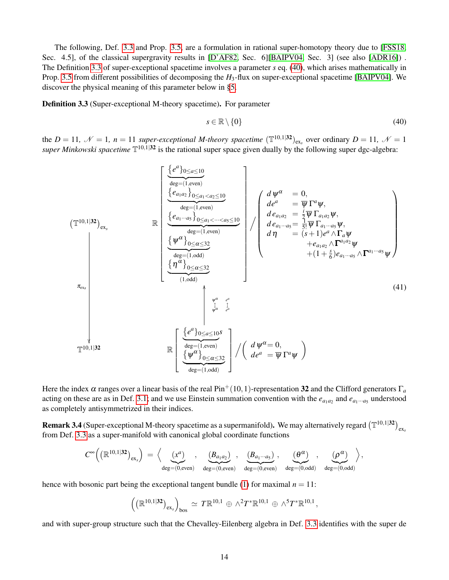The following, Def. [3.3](#page-13-0) and Prop. [3.5,](#page-14-0) are a formulation in rational super-homotopy theory due to [\[FSS18,](#page-41-7) Sec. 4.5], of the classical supergravity results in [\[D'AF82,](#page-40-5) Sec. 6][\[BAIPV04,](#page-39-4) Sec. 3] (see also [\[ADR16\]](#page-39-5)). The Definition [3.3](#page-13-0) of super-exceptional spacetime involves a parameter *s* eq. [\(40\)](#page-13-2), which arises mathematically in Prop. [3.5](#page-14-0) from different possibilities of decomposing the *H*3-flux on super-exceptional spacetime [\[BAIPV04\]](#page-39-4). We discover the physical meaning of this parameter below in [§5.](#page-23-0)

<span id="page-13-0"></span>Definition 3.3 (Super-exceptional M-theory spacetime). For parameter

<span id="page-13-3"></span><span id="page-13-2"></span>
$$
s \in \mathbb{R} \setminus \{0\} \tag{40}
$$

the  $D = 11$ ,  $\mathcal{N} = 1$ ,  $n = 11$  super-exceptional M-theory spacetime  $(\mathbb{T}^{10,1|32})_{\text{ex}}$  over ordinary  $D = 11$ ,  $\mathcal{N} = 1$ super Minkowski spacetime  $\mathbb{T}^{10,1|32}$  is the rational super space given dually by the following super dgc-algebra:

$$
(\mathbb{T}^{10,1|32})_{\text{ex}}
$$
\n
$$
\mathbb{R} \left[\begin{array}{c}\frac{\{e^{a}\}_{0\leq a\leq 10}}{\{e_{a_{1}a_{2}}\}_{0\leq a_{1}
$$

Here the index  $\alpha$  ranges over a linear basis of the real Pin<sup>+</sup>(10,1)-representation 32 and the Clifford generators  $\Gamma_a$ acting on these are as in Def. [3.1;](#page-12-2) and we use Einstein summation convention with the  $e_{a_1a_2}$  and  $e_{a_1\cdots a_5}$  understood as completely antisymmetrized in their indices.

<span id="page-13-1"></span>**Remark 3.4** (Super-exceptional M-theory spacetime as a supermanifold). We may alternatively regard  $(\mathbb{T}^{10,1|32})_{\text{ex}_s}$ from Def. [3.3](#page-13-0) as a super-manifold with canonical global coordinate functions

$$
\textstyle C^\infty\Big( \big(\mathbb{R}^{10,1 \vert 32}\big)_{\text{ex}_s} \Big) \,=\, \Big\langle \underbrace{ \big(x^a \big)}_{\text{deg}=(0,\text{even})}, \quad \underbrace{ \big( B_{a_1a_2} \big)}_{\text{deg}=(0,\text{even})}, \quad \underbrace{ \big( B_{a_1 \cdots a_5} \big)}_{\text{deg}=(0,\text{even})}, \quad \underbrace{ \big( \theta^{\alpha} \big)}_{\text{deg}=(0,\text{odd})}, \quad \underbrace{ \big( \rho^{\alpha} \big)}_{\text{deg}=(0,\text{odd})} \Big\rangle,
$$

hence with bosonic part being the exceptional tangent bundle [\(1\)](#page-2-2) for maximal  $n = 11$ :

$$
\left( \left( \mathbb{R}^{10,1 \vert 32} \right)_{\text{ex}} \right)_{\text{bos}} \simeq T \mathbb{R}^{10,1} \oplus \wedge^2 T^* \mathbb{R}^{10,1} \oplus \wedge^5 T^* \mathbb{R}^{10,1},
$$

and with super-group structure such that the Chevalley-Eilenberg algebra in Def. [3.3](#page-13-0) identifies with the super de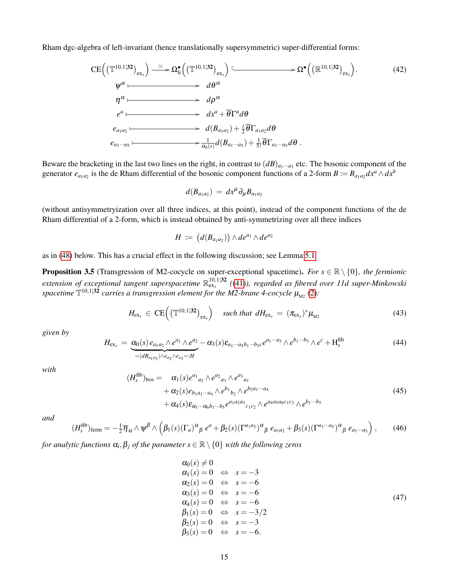Rham dgc-algebra of left-invariant (hence translationally supersymmetric) super-differential forms:

<span id="page-14-5"></span>
$$
\begin{aligned}\n\text{CE}\left(\left(\mathbb{T}^{10,1|32}\right)_{\text{ex}_s}\right) & \xrightarrow{\simeq} \Omega_{\text{li}}^{\bullet}\left(\left(\mathbb{T}^{10,1|32}\right)_{\text{ex}_s}\right) &\xrightarrow{\qquad} \Omega^{\bullet}\left(\left(\mathbb{R}^{10,1|32}\right)_{\text{ex}_s}\right).\n\end{aligned}\n\tag{42}
$$
\n
$$
\begin{aligned}\n\eta^{\alpha} &\xrightarrow{\qquad} d\rho^{\alpha} \\
e^{a} &\xrightarrow{\qquad} d\phi^{\alpha} \\
e_{a_1a_2} &\xrightarrow{\qquad} d(B_{a_1a_2}) + \frac{i}{2}\overline{\theta}\Gamma_{a_1a_2}d\theta \\
e_{a_1\cdots a_5} &\xrightarrow{\qquad} \frac{1}{\alpha_0(s)}d(B_{a_1\cdots a_5}) + \frac{1}{5!}\overline{\theta}\Gamma_{a_1\cdots a_5}d\theta \,.\n\end{aligned}
$$

Beware the bracketing in the last two lines on the right, in contrast to  $(dB)_{a_1\cdots a_3}$  etc. The bosonic component of the generator  $e_{a_1a_2}$  is the de Rham differential of the bosonic component functions of a 2-form  $B := B_{a_1a_2}dx^a \wedge dx^b$ 

$$
d(B_{a_1a_2}) = dx^{\mu} \partial_{\mu} B_{a_1a_2}
$$

(without antisymmetryization over all three indices, at this point), instead of the component functions of the de Rham differential of a 2-form, which is instead obtained by anti-symmetrizing over all three indices

$$
H \coloneqq (d(B_{a_1a_2})) \wedge de^{a_1} \wedge de^{a_2}
$$

as in [\(48\)](#page-15-2) below. This has a crucial effect in the following discussion; see Lemma [5.1.](#page-23-1)

<span id="page-14-0"></span>**Proposition 3.5** (Transgression of M2-cocycle on super-exceptional spacetime). *For*  $s \in \mathbb{R} \setminus \{0\}$ , the fermionic extension of exceptional tangent superspacetime  $\mathbb{R}^{10,1|\bf{32}}_{\rm ex}$  ([\(41\)](#page-13-3)), regarded as fibered over 11d super-Minkowski spacetime  $\mathbb{T}^{10,1|\mathbf{32}}$  carries a transgression element for the M2-brane 4-cocycle  $\mu_{\scriptscriptstyle{\text{M2}}}$  [\(2\)](#page-4-0):

<span id="page-14-4"></span>
$$
H_{\rm ex_{s}} \in \rm CE\Big(\big(\mathbb{T}^{10,1|32}\big)_{\rm ex_{s}}\Big) \quad \text{ such that } dH_{\rm ex_{s}} = (\pi_{\rm ex_{s}})^{*}\mu_{\rm M2} \tag{43}
$$

*given by*

<span id="page-14-2"></span>
$$
H_{\text{ex}_s} = \underbrace{\alpha_0(s) e_{a_1 a_2} \wedge e^{a_1} \wedge e^{a_2}}_{=(dB_{a_1 a_2}) \wedge e_{a_2} \wedge e_{a_3} =:H} - \alpha_3(s) \varepsilon_{a_1 \cdots a_5 b_1 \cdots b_5 c} e^{a_1 \cdots a_5} \wedge e^{b_1 \cdots b_5} \wedge e^c + H_s^{\text{fib}} \tag{44}
$$

*with*

$$
(H_{s}^{\text{fib}})_{\text{bos}} = \alpha_{1}(s)e^{a_{1}}{}_{a_{2}} \wedge e^{a_{2}}{}_{a_{3}} \wedge e^{a_{3}}{}_{a_{1}} + \alpha_{2}(s)e_{b_{1}a_{1}\cdots a_{4}} \wedge e^{b_{1}}{}_{b_{2}} \wedge e^{b_{2}a_{1}\cdots a_{4}} + \alpha_{4}(s)\varepsilon_{\alpha_{1}\cdots\alpha_{6}b_{1}\cdots b_{5}}e^{a_{1}a_{2}a_{3}}{}_{c_{1}c_{2}} \wedge e^{a_{4}a_{5}a_{6}c_{1}c_{2}} \wedge e^{b_{1}\cdots b_{5}}
$$
\n
$$
(45)
$$

*and*

$$
(H_s^{\text{fib}})_{\text{ferm}} = -\frac{1}{2}\overline{\eta}_{\alpha} \wedge \psi^{\beta} \wedge \left(\beta_1(s)(\Gamma_a)^{\alpha}{}_{\beta} e^a + \beta_2(s)(\Gamma^{a_1 a_2})^{\alpha}{}_{\beta} e_{a_1 a_2} + \beta_3(s)(\Gamma^{a_1 \cdots a_5})^{\alpha}{}_{\beta} e_{a_1 \cdots a_5}\right),\tag{46}
$$

<span id="page-14-3"></span>for analytic functions  $\alpha_i, \beta_j$  of the parameter  $s \in \mathbb{R} \setminus \{0\}$  with the following zeros

<span id="page-14-1"></span>
$$
\alpha_0(s) \neq 0\n\alpha_1(s) = 0 \Leftrightarrow s = -3\n\alpha_2(s) = 0 \Leftrightarrow s = -6\n\alpha_3(s) = 0 \Leftrightarrow s = -6\n\alpha_4(s) = 0 \Leftrightarrow s = -6\n\beta_1(s) = 0 \Leftrightarrow s = -3/2\n\beta_2(s) = 0 \Leftrightarrow s = -3\n\beta_3(s) = 0 \Leftrightarrow s = -6.
$$
\n(47)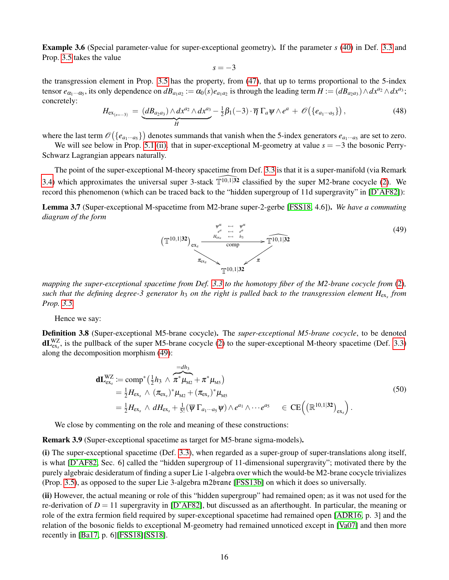Example 3.6 (Special parameter-value for super-exceptional geometry). If the parameter *s* [\(40\)](#page-13-2) in Def. [3.3](#page-13-0) and Prop. [3.5](#page-14-0) takes the value

$$
s=-3
$$

the transgression element in Prop. [3.5](#page-14-0) has the property, from [\(47\)](#page-14-1), that up to terms proportional to the 5-index tensor  $e_{\alpha_1\cdots\alpha_5}$ , its only dependence on  $dB_{a_1a_2} := \alpha_0(s)e_{a_1a_2}$  is through the leading term  $H := (dB_{a_2a_3}) \wedge dx^{a_2} \wedge dx^{a_3}$ ; concretely:

<span id="page-15-2"></span>
$$
H_{\mathrm{ex}_{(s=-3)}} = \underbrace{(dB_{a_2a_3}) \wedge dx^{a_2} \wedge dx^{a_3}}_{H} - \frac{1}{2}\beta_1(-3) \cdot \overline{\eta} \Gamma_a \psi \wedge e^a + \mathscr{O}(\{e_{a_1\cdots a_5}\}),
$$
\n(48)

where the last term  $\mathcal{O}(\{e_{a_1\cdots a_5}\})$  denotes summands that vanish when the 5-index generators  $e_{a_1\cdots a_5}$  are set to zero.

We will see below in Prop. [5.1](#page-23-1) [\(ii\).](#page-24-1) that in super-exceptional M-geometry at value *s* = −3 the bosonic Perry-Schwarz Lagrangian appears naturally.

The point of the super-exceptional M-theory spacetime from Def. [3.3](#page-13-0) is that it is a super-manifold (via Remark [3.4\)](#page-13-1) which approximates the universal super 3-stack  $\widehat{\mathbb{T}}^{10,1|\mathbf{32}}$  classified by the super M2-brane cocycle [\(2\)](#page-4-0). We record this phenomenon (which can be traced back to the "hidden supergroup of 11d supergravity" in [\[D'AF82\]](#page-40-5)):

<span id="page-15-4"></span>Lemma 3.7 (Super-exceptional M-spacetime from M2-brane super-2-gerbe [\[FSS18,](#page-41-7) 4.6]). *We have a commuting diagram of the form*

<span id="page-15-3"></span>

*mapping the super-exceptional spacetime from Def. [3.3](#page-13-0) to the homotopy fiber of the M2-brane cocycle from* [\(2\)](#page-4-0)*, such that the defining degree-3 generator h*<sup>3</sup> *on the right is pulled back to the transgression element H*ex*<sup>s</sup> from Prop. [3.5.](#page-14-0)*

Hence we say:

<span id="page-15-0"></span>Definition 3.8 (Super-exceptional M5-brane cocycle). The *super-exceptional M5-brane cocycle*, to be denoted  $dL_{\text{ex}}^{WZ}$ , is the pullback of the super M5-brane cocycle [\(2\)](#page-4-0) to the super-exceptional M-theory spacetime (Def. [3.3\)](#page-13-0) along the decomposition morphism [\(49\)](#page-15-3):

<span id="page-15-5"></span>
$$
\mathbf{d} \mathbf{L}_{\text{ex}}^{WZ} := \text{comp}^*(\frac{1}{2}h_3 \wedge \overbrace{\pi^* \mu_{M2}}^{=dh_3} + \pi^* \mu_{M5})
$$
\n
$$
= \frac{1}{2} H_{\text{ex}} \wedge (\pi_{\text{ex}})^* \mu_{M2} + (\pi_{\text{ex}})^* \mu_{M5}
$$
\n
$$
= \frac{1}{2} H_{\text{ex}} \wedge dH_{\text{ex}} + \frac{1}{5!} (\overline{\psi} \Gamma_{a_1 \cdots a_5} \psi) \wedge e^{a_1} \wedge \cdots e^{a_5} \in \text{CE}((\mathbb{R}^{10,1|32})_{\text{ex}}).
$$
\n(50)

We close by commenting on the role and meaning of these constructions:

<span id="page-15-1"></span>Remark 3.9 (Super-exceptional spacetime as target for M5-brane sigma-models).

(i) The super-exceptional spacetime (Def. [3.3\)](#page-13-0), when regarded as a super-group of super-translations along itself, is what [\[D'AF82,](#page-40-5) Sec. 6] called the "hidden supergroup of 11-dimensional supergravity"; motivated there by the purely algebraic desideratum of finding a super Lie 1-algebra over which the would-be M2-brane cocycle trivializes (Prop. [3.5\)](#page-14-0), as opposed to the super Lie 3-algebra m2brane [\[FSS13b\]](#page-40-0) on which it does so universally.

(ii) However, the actual meaning or role of this "hidden supergroup" had remained open; as it was not used for the re-derivation of  $D = 11$  supergravity in [\[D'AF82\]](#page-40-5), but discussed as an afterthought. In particular, the meaning or role of the extra fermion field required by super-exceptional spacetime had remained open [\[ADR16,](#page-39-5) p. 3] and the relation of the bosonic fields to exceptional M-geometry had remained unnoticed except in [\[Va07\]](#page-43-7) and then more recently in [\[Ba17,](#page-39-3) p. 6][\[FSS18\]](#page-41-7)[\[SS18\]](#page-43-8).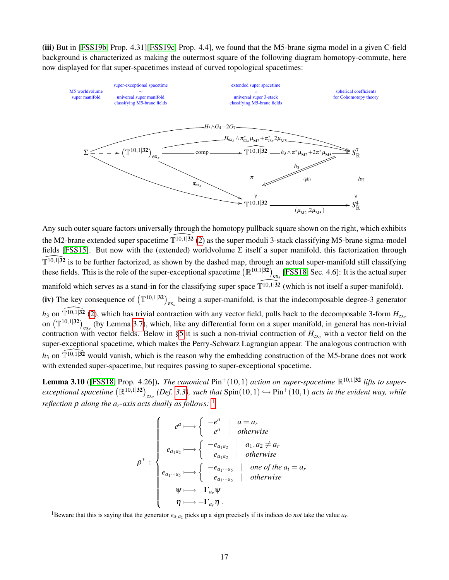(iii) But in [\[FSS19b,](#page-41-2) Prop. 4.31][\[FSS19c,](#page-41-3) Prop. 4.4], we found that the M5-brane sigma model in a given C-field background is characterized as making the outermost square of the following diagram homotopy-commute, here now displayed for flat super-spacetimes instead of curved topological spacetimes:



Any such outer square factors universally through the homotopy pullback square shown on the right, which exhibits the M2-brane extended super spacetime  $\widehat{T^{10,1|32}}$  [\(2\)](#page-4-0) as the super moduli 3-stack classifying M5-brane sigma-model fields [\[FSS15\]](#page-41-14). But now with the (extended) worldvolume  $\Sigma$  itself a super manifold, this factorization through  $\widehat{\mathbb{T}^{10,1|32}}$  is to be further factorized, as shown by the dashed map, through an actual super-manifold still classifying these fields. This is the role of the super-exceptional spacetime  $(\mathbb{R}^{10,1|32})_{\text{ex}_s}$  [\[FSS18,](#page-41-7) Sec. 4.6]: It is the actual super manifold which serves as a stand-in for the classifying super space  $\widehat{T^{10,1|32}}$  (which is not itself a super-manifold). (iv) The key consequence of  $(\mathbb{T}^{10,1|32})_{\text{ex}}$  being a super-manifold, is that the indecomposable degree-3 generator  $h_3$  on  $\widehat{\mathbb{T}^{10,1|32}}$  [\(2\)](#page-4-0), which has trivial contraction with any vector field, pulls back to the decomposable 3-form  $H_{\text{ex}_s}$ on  $(\mathbb{T}^{10,1|32})_{\text{ex}_s}$  (by Lemma [3.7\)](#page-15-4), which, like any differential form on a super manifold, in general has non-trivial contraction with vector fields. Below in [§5](#page-23-0) it is such a non-trivial contraction of  $H_{\rm ex}$ , with a vector field on the super-exceptional spacetime, which makes the Perry-Schwarz Lagrangian appear. The analogous contraction with  $h_3$  on  $\widehat{\mathbb{T}^{10,1|32}}$  would vanish, which is the reason why the embedding construction of the M5-brane does not work with extended super-spacetime, but requires passing to super-exceptional spacetime.

<span id="page-16-0"></span>**Lemma 3.10** ([\[FSS18,](#page-41-7) Prop. 4.26]). *The canonical*  $\text{Pin}^+(10,1)$  *action on super-spacetime*  $\mathbb{R}^{10,1|32}$  *lifts to super* $exceptional spacetime \left(\mathbb{R}^{10,1|32}\right)_{\text{ex}_s}$  (Def. [3.3\)](#page-13-0), such that  $\text{Spin}(10,1) \hookrightarrow \text{Pin}^+(10,1)$  acts in the evident way, while *reflection*  $\rho$  *along the a<sub>r</sub>-axis acts dually as follows:* <sup>[1](#page-16-1)</sup>

$$
\rho^* : \begin{cases}\ne^a \longmapsto \begin{cases}\n-e^a & | & a = a_r \\
e^a & | & otherwise\n\end{cases} \\
e_{a_1a_2} \longmapsto \begin{cases}\n-e_{a_1a_2} & | & a_1, a_2 \neq a_r \\
e_{a_1a_2} & | & otherwise\n\end{cases} \\
e_{a_1 \cdots a_5} \longmapsto \begin{cases}\n-e_{a_1 \cdots a_5} & | & one \text{ of the } a_i = a_r \\
e_{a_1 \cdots a_5} & | & otherwise\n\end{cases} \\
\psi \longmapsto \Gamma_{a_r} \psi \\
\eta \longmapsto -\Gamma_{a_r} \eta.\n\end{cases}
$$

<span id="page-16-1"></span><sup>1</sup>Beware that this is saying that the generator  $e_{a_1a_2}$  picks up a sign precisely if its indices do *not* take the value  $a_r$ .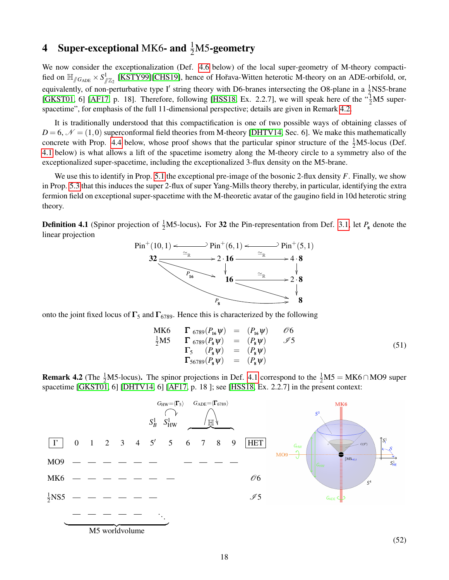# <span id="page-17-0"></span>4 Super-exceptional MK6- and  $\frac{1}{2}$ M5-geometry

We now consider the exceptionalization (Def. [4.6](#page-19-1) below) of the local super-geometry of M-theory compactified on  $\mathbb{H}_{/G_{ADE}} \times S^1_{\mathbb{Z}_2}$  [\[KSTY99\]](#page-42-17)[\[CHS19\]](#page-40-14), hence of Hořava-Witten heterotic M-theory on an ADE-orbifold, or, equivalently, of non-perturbative type I' string theory with D6-branes intersecting the O8-plane in a  $\frac{1}{2}$ NS5-brane [\[GKST01,](#page-41-17) 6] [\[AF17,](#page-39-11) p. 18]. Therefore, following [\[HSS18,](#page-42-1) Ex. 2.2.7], we will speak here of the  $\frac{1}{2}M5$  superspacetime", for emphasis of the full 11-dimensional perspective; details are given in Remark [4.2.](#page-17-1)

It is traditionally understood that this compactification is one of two possible ways of obtaining classes of  $D = 6$ ,  $\mathcal{N} = (1,0)$  superconformal field theories from M-theory [\[DHTV14,](#page-40-15) Sec. 6]. We make this mathematically concrete with Prop. [4.4](#page-19-0) below, whose proof shows that the particular spinor structure of the  $\frac{1}{2}$ M5-locus (Def. [4.1](#page-17-2) below) is what allows a lift of the spacetime isometry along the M-theory circle to a symmetry also of the exceptionalized super-spacetime, including the exceptionalized 3-flux density on the M5-brane.

We use this to identify in Prop. [5.1](#page-23-1) the exceptional pre-image of the bosonic 2-flux density *F*. Finally, we show in Prop. [5.3](#page-25-2) that this induces the super 2-flux of super Yang-Mills theory thereby, in particular, identifying the extra fermion field on exceptional super-spacetime with the M-theoretic avatar of the gaugino field in 10d heterotic string theory.

<span id="page-17-2"></span>**Definition 4.1** (Spinor projection of  $\frac{1}{2}$ M5-locus). For 32 the Pin-representation from Def. [3.1,](#page-12-2) let  $P_8$  denote the linear projection



onto the joint fixed locus of  $\Gamma_5$  and  $\Gamma_{6789}$ . Hence this is characterized by the following

<span id="page-17-3"></span>
$$
\begin{array}{rcl}\n\text{MK6} & \Gamma_{6789}(P_{16}\psi) & = & (P_{16}\psi) & \mathcal{O}6 \\
\frac{1}{2}\text{M5} & \Gamma_{6789}(P_{8}\psi) & = & (P_{8}\psi) & \mathcal{I}5 \\
\Gamma_{5} & (P_{8}\psi) & = & (P_{8}\psi) \\
\Gamma_{56789}(P_{8}\psi) & = & (P_{8}\psi)\n\end{array} \tag{51}
$$

<span id="page-17-1"></span>**Remark 4.2** (The  $\frac{1}{2}M5$ -locus). The spinor projections in Def. [4.1](#page-17-2) correspond to the  $\frac{1}{2}M5 = MK6 \cap MO9$  super spacetime [\[GKST01,](#page-41-17) 6] [\[DHTV14,](#page-40-15) 6] [\[AF17,](#page-39-11) p. 18 ]; see [\[HSS18,](#page-42-1) Ex. 2.2.7] in the present context:

<span id="page-17-4"></span>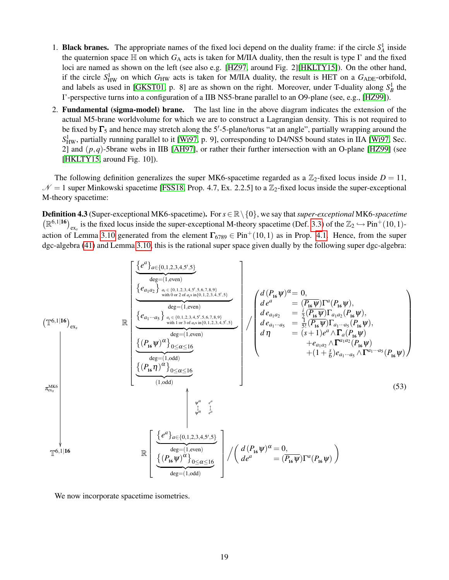- 1. **Black branes.** The appropriate names of the fixed loci depend on the duality frame: if the circle  $S_A^1$  inside the quaternion space  $\mathbb H$  on which  $G_A$  acts is taken for M/IIA duality, then the result is type I' and the fixed loci are named as shown on the left (see also e.g. [\[HZ97,](#page-41-18) around Fig. 2][\[HKLTY15\]](#page-41-19)). On the other hand, if the circle  $S_{HW}^1$  on which  $G_{HW}$  acts is taken for M/IIA duality, the result is HET on a  $G_{ADE}$ -orbifold, and labels as used in [\[GKST01,](#page-41-17) p. 8] are as shown on the right. Moreover, under T-duality along  $S_B^1$  the I'-perspective turns into a configuration of a IIB NS5-brane parallel to an O9-plane (see, e.g., [\[HZ99\]](#page-41-20)).
- 2. Fundamental (sigma-model) brane. The last line in the above diagram indicates the extension of the actual M5-brane worldvolume for which we are to construct a Lagrangian density. This is not required to be fixed by  $\Gamma_5$  and hence may stretch along the 5'-5-plane/torus "at an angle", partially wrapping around the  $S$ <sup>1</sup><sub>HW</sub>, partially running parallel to it [\[Wi97,](#page-44-2) p. 9], corresponding to D4/NS5 bound states in IIA [Wi97, Sec. 2] and (*p*,*q*)-5brane webs in IIB [\[AH97\]](#page-39-12), or rather their further intersection with an O-plane [\[HZ99\]](#page-41-20) (see [\[HKLTY15,](#page-41-19) around Fig. 10]).

The following definition generalizes the super MK6-spacetime regarded as a  $\mathbb{Z}_2$ -fixed locus inside  $D = 11$ ,  $N = 1$  super Minkowski spacetime [\[FSS18,](#page-41-7) Prop. 4.7, Ex. 2.2.5] to a  $\mathbb{Z}_2$ -fixed locus inside the super-exceptional M-theory spacetime:

<span id="page-18-0"></span>Definition 4.3 (Super-exceptional MK6-spacetime). For*s* ∈ R\{0}, we say that*super-exceptional* MK6*-spacetime*  $(\mathbb{R}^{6,1|16})_{\text{ex}}$  is the fixed locus inside the super-exceptional M-theory spacetime (Def. [3.3\)](#page-13-0) of the  $\mathbb{Z}_2 \hookrightarrow \text{Pin}^+(10,1)$ -action of Lemma [3.10](#page-16-0) generated from the element  $\Gamma_{6789} \in \text{Pin}^+(10,1)$  as in Prop. [4.1.](#page-17-2) Hence, from the super dgc-algebra [\(41\)](#page-13-3) and Lemma [3.10,](#page-16-0) this is the rational super space given dually by the following super dgc-algebra:

$$
\begin{pmatrix}\n\frac{\left\{\mathcal{e}^{a}\right\}_{a\in\{0,1,2,3,4,5',5\}}\n\right\}}{\text{deg}=(1,\text{even})}\n\end{pmatrix}\n\begin{pmatrix}\n\frac{\left\{\mathcal{e}_{a_{1}a_{2}}\right\}_{a_{i}\in\{0,1,2,3,4,5',5,6,7,8,9\}}\n\right\}}{\text{deg}=(1,\text{even})}\n\end{pmatrix}\n\begin{pmatrix}\n\frac{\left\{\mathcal{e}_{a_{1}\cdots a_{5}}\right\}_{a_{i}\in\{0,1,2,3,4,5',5,6,7,8,9\}}\n\right\}}{\text{deg}=(1,\text{even})}\n\end{pmatrix}\n\begin{pmatrix}\nd(P_{16}\psi)^{\alpha} = 0, & \mu_{16}\psi\\nd\psi^{a} = (P_{16}\psi)\Gamma^{a}(P_{16}\psi), & \mu_{17}\psi^{a}(P_{16}\psi), & \mu_{18}\psi^{a}(P_{16}\psi^{a}(P_{16}\psi^{a}(P_{16}\psi^{a}(P_{16}\psi^{a}(P_{16}\psi^{a}(P_{16}\psi^{a}(P_{16}\psi^{a}(P_{16}\psi^{a}(P_{16}\psi^{a}(P_{16}\psi^{a}(P_{16}\psi^{a}(P_{16}\psi^{a}(P_{16}\psi^{a}(P_{16}\psi^{a}(P_{16}\psi^{a}(P_{16}\psi^{a}(P_{16}\psi^{a}(P_{16}\psi^{a}(P_{16}\psi^{a}(P_{16}\psi^{a}(P_{16}\psi^{a}(P_{16}\psi^{a}(P_{16}\psi^{a}(P_{16}\psi^{a}(P_{16}\psi^{a}(P_{16}\psi^{a}(P_{16}\psi^{a}(P_{16}\psi^{a}(P_{16}\psi^{a}(P_{16}\psi^{a}(P_{16}\psi^{a}(P_{16}\psi^{a}(P_{16}\psi^{a}(P_{16}\psi^{a}(P_{16}\psi^{a}(P_{16}\psi^{a}(P_{16}\psi^{a}(P_{16}\psi^{a}(P_{16}\psi^{a}(P_{16}\psi^{a}(P_{16}\psi^{a}(P_{16}\psi^{a}(P_{16}\psi^{a}(P_{16}\psi^{a}(P_{16}\psi^{a}(P_{16}\psi^{a}(P_{16}\psi^{a}(P_{16}\
$$

<span id="page-18-1"></span>We now incorporate spacetime isometries.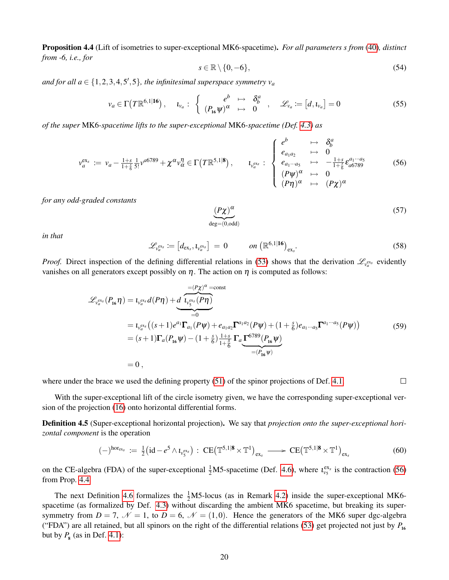<span id="page-19-0"></span>Proposition 4.4 (Lift of isometries to super-exceptional MK6-spacetime). *For all parameters s from* [\(40\)](#page-13-2)*, distinct from -6, i.e., for*

<span id="page-19-3"></span>
$$
s \in \mathbb{R} \setminus \{0, -6\},\tag{54}
$$

and for all  $a \in \{1, 2, 3, 4, 5, 5\}$ , the infinitesimal superspace symmetry  $v_a$ 

<span id="page-19-4"></span>
$$
v_a \in \Gamma\big(T\mathbb{R}^{6,1|\mathbf{16}}\big), \quad \iota_{v_a}: \begin{cases} e^b \mapsto \delta_b^a \\ (P_{\mathbf{16}}\psi)^\alpha \mapsto 0 \end{cases}, \quad \mathscr{L}_{v_a} := [d, \iota_{v_a}] = 0 \tag{55}
$$

*of the super* MK6*-spacetime lifts to the super-exceptional* MK6*-spacetime (Def. [4.3\)](#page-18-0) as*

<span id="page-19-2"></span>
$$
v_a^{\text{ex}} := v_a - \frac{1+s}{1+\frac{2}{6}} \frac{1}{5!} v^{a6789} + \chi^{\alpha} v_{\alpha}^{\eta} \in \Gamma(T\mathbb{R}^{5,1|8}), \qquad l_{v_a^{\text{ex}}} : \begin{cases} e^b & \mapsto & \delta_b^a \\ e_{a_1 a_2} & \mapsto & 0 \\ e_{a_1 \cdots a_5} & \mapsto & -\frac{1+s}{1+\frac{2}{6}} \epsilon_{a6789}^{a_1 \cdots a_5} \\ (P\psi)^{\alpha} & \mapsto & 0 \\ (P\eta)^{\alpha} & \mapsto & (P\chi)^{\alpha} \end{cases}
$$
(56)

*for any odd-graded constants*

$$
\underbrace{(P\chi)^\alpha}_{\deg = (0, \text{odd})} \tag{57}
$$

 $\Box$ 

*in that*

<span id="page-19-5"></span>
$$
\mathcal{L}_{\nu_a^{\text{ex}}}\coloneqq\left[d_{\text{ex}_s},\iota_{\nu_a^{\text{ex}}}\right]=0\qquad\qquad on\left(\mathbb{R}^{6,1|\mathbf{16}}\right)_{\text{ex}_s}.\tag{58}
$$

*Proof.* Direct inspection of the defining differential relations in [\(53\)](#page-18-1) shows that the derivation  $\mathcal{L}_{v_a}$  evidently vanishes on all generators except possibly on  $\eta$ . The action on  $\eta$  is computed as follows:

<span id="page-19-7"></span>
$$
\mathcal{L}_{v_a^{ex}}(P_{16}\eta) = \iota_{v_a^{ex}} d(P\eta) + \underbrace{d \overbrace{\iota_{v_s^{ex}}(P\eta)}^{= (P\chi)^{\alpha} = const}}_{=0}
$$
\n
$$
= \iota_{v_a^{ex}} ((s+1)e^{a_1}\Gamma_{a_1}(P\psi) + e_{a_1a_2}\Gamma^{a_1a_2}(P\psi) + (1+\frac{s}{6})e_{a_1\cdots a_5}\Gamma^{a_1\cdots a_5}(P\psi))
$$
\n
$$
= (s+1)\Gamma_a(P_{16}\psi) - (1+\frac{s}{6})\frac{1+s}{1+\frac{s}{6}}\Gamma_a \underbrace{\Gamma^{6789}(P_{16}\psi)}_{=(P_{16}\psi)}
$$
\n
$$
= 0,
$$
\n(59)

where under the brace we used the defining property  $(51)$  of the spinor projections of Def. [4.1.](#page-17-2)

With the super-exceptional lift of the circle isometry given, we have the corresponding super-exceptional version of the projection [\(16\)](#page-9-0) onto horizontal differential forms.

<span id="page-19-6"></span>Definition 4.5 (Super-exceptional horizontal projection). We say that *projection onto the super-exceptional horizontal component* is the operation

$$
(-)^{\text{hor}_{\text{ex}_s}} := \frac{1}{2} \big( \text{id} - e^5 \wedge \iota_{\nu_5^{\text{ex}_s}} \big) : \ \text{CE} \big( \mathbb{T}^{5,1|\mathbf{8}} \times \mathbb{T}^1 \big)_{\text{ex}_s} \longrightarrow \text{CE} \big( \mathbb{T}^{5,1|\mathbf{8}} \times \mathbb{T}^1 \big)_{\text{ex}_s} \tag{60}
$$

on the CE-algebra (FDA) of the super-exceptional  $\frac{1}{2}$ M5-spacetime (Def. [4.6\)](#page-19-1), where  $\iota_{\nu_5}^{\text{ex}}$  is the contraction [\(56\)](#page-19-2) from Prop. [4.4](#page-19-0)

<span id="page-19-1"></span>The next Definition [4.6](#page-19-1) formalizes the  $\frac{1}{2}$ M5-locus (as in Remark [4.2\)](#page-17-1) inside the super-exceptional MK6-spacetime (as formalized by Def. [4.3\)](#page-18-0) without discarding the ambient MK6 spacetime, but breaking its supersymmetry from  $D = 7$ ,  $\mathcal{N} = 1$ , to  $D = 6$ ,  $\mathcal{N} = (1,0)$ . Hence the generators of the MK6 super dgc-algebra ("FDA") are all retained, but all spinors on the right of the differential relations [\(53\)](#page-18-1) get projected not just by  $P_{16}$ but by  $P_8$  (as in Def. [4.1\)](#page-17-2):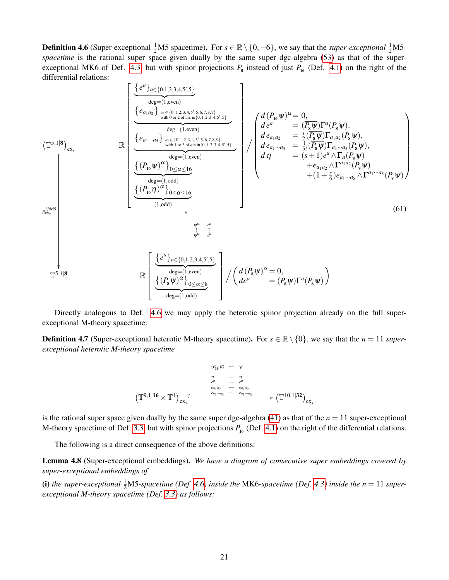**Definition 4.6** (Super-exceptional  $\frac{1}{2}M5$  spacetime). For  $s \in \mathbb{R} \setminus \{0, -6\}$ , we say that the *super-exceptional*  $\frac{1}{2}M5$ -spacetime is the rational super space given dually by the same super dgc-algebra [\(53\)](#page-18-1) as that of the super-exceptional MK6 of Def. [4.3,](#page-18-0) but with spinor projections  $P_8$  instead of just  $P_{16}$  (Def. [4.1\)](#page-17-2) on the right of the differential relations:

$$
\mathbb{E} \left[ \frac{\left\{ e^{a} \right\}_{a \in \{0,1,2,3,4,5',5\}} \right\}_{\text{step} = (1,\text{even})} \right]
$$
\n
$$
\mathbb{E} \left[ \frac{\left\{ e_{a_1 a_2} \right\}_{a_i \in \{0,1,2,3,4,5',5,6,7,8,9\}} \left\{ e_{a_1 a_2 a_1 \ldots e_{a_s} \text{ in } (0,1,2,3,4,5',5,7,8,9)} \right\}_{a_2 = (1,\text{even})} \right]
$$
\n
$$
\left\{ \frac{\left\{ e_{a_1 \ldots a_s} \right\}_{a_i \in \{0,1,2,3,4,5',5,6,7,8,9\}} \left\{ e_{a_1 a_2 a_2 \ldots e_{a_s a_1 a_2 a_2 \ldots e_{a_s a_1 a_2 \ldots a_{s-1}} \right\}} \left\{ e_{a_1 a_2 a_1 \ldots a_5 \ldots e_{a_s a_1 a_2 \ldots a_{s-1}} \right\}_{a_2 = \frac{1}{3} [\frac{P}{q} \Psi] \Gamma_{a_1 a_2} (P_{\mathbf{s}} \Psi),
$$
\n
$$
\left\{ \frac{\left\{ P_{\mathbf{is}} \Psi \right\}_{a_1 \ldots a_5 \ldots a_5 \ldots a_{s-1} \ldots a_{s-1} \ldots a_{s-1} \right\}} \left\{ e_{a_1 a_2 a_1 \ldots a_5 \ldots a_5 \ldots a_5 \ldots a_5 \ldots a_5 \ldots a_5 \ldots a_5 \ldots a_5 \ldots a_5 \ldots a_5 \ldots a_5 \ldots a_5 \ldots a_5 \ldots a_5 \ldots a_5 \ldots a_5 \ldots a_5 \ldots a_5 \ldots a_5 \ldots a_5 \ldots a_5 \ldots a_5 \ldots a_5 \ldots a_5 \ldots a_5 \ldots a_5 \ldots a_5 \ldots a_5 \ldots a_5 \ldots a_5 \ldots a_5 \ldots a_5 \ldots a_5 \ldots a_5 \ldots a_5 \ldots a_5 \ldots a_5 \ldots a_5 \ldots a_5 \ldots a_5 \ldots a_5 \ldots a_5 \ldots a_5 \ldots
$$

Directly analogous to Def. [4.6](#page-19-1) we may apply the heterotic spinor projection already on the full superexceptional M-theory spacetime:

<span id="page-20-0"></span>**Definition 4.7** (Super-exceptional heterotic M-theory spacetime). For  $s \in \mathbb{R} \setminus \{0\}$ , we say that the  $n = 11$  super*exceptional heterotic M-theory spacetime*

<span id="page-20-2"></span>
$$
\begin{array}{ccc}\n(\mathcal{P}_{16}\psi) & \leftarrow & \psi \\
\eta & \leftarrow & \eta \\
e^a & \leftarrow & e^a \\
e_{a_1 a_2} & \leftarrow & e_{a_1 a_2} \\
\left(\mathbb{T}^{9,1} \middle| \mathbf{16} \times \mathbb{T}^1\right)_{\text{ex}} & \leftarrow & e_{a_1 \cdots a_5} \\
\leftarrow & e_{a_1 \cdots a_5} & \leftarrow & e_{a_1 \cdots a_5} \\
\end{array}
$$

is the rational super space given dually by the same super dgc-algebra  $(41)$  as that of the  $n = 11$  super-exceptional M-theory spacetime of Def. [3.3,](#page-13-0) but with spinor projections  $P_{16}$  (Def. [4.1\)](#page-17-2) on the right of the differential relations.

The following is a direct consequence of the above definitions:

<span id="page-20-1"></span>Lemma 4.8 (Super-exceptional embeddings). *We have a diagram of consecutive super embeddings covered by super-exceptional embeddings of*

(i) the super-exceptional  $\frac{1}{2}$ M5-spacetime (Def. [4.6\)](#page-19-1) inside the MK6-spacetime (Def. [4.3\)](#page-18-0) inside the  $n = 11$  super*exceptional M-theory spacetime (Def. [3.3\)](#page-13-0) as follows:*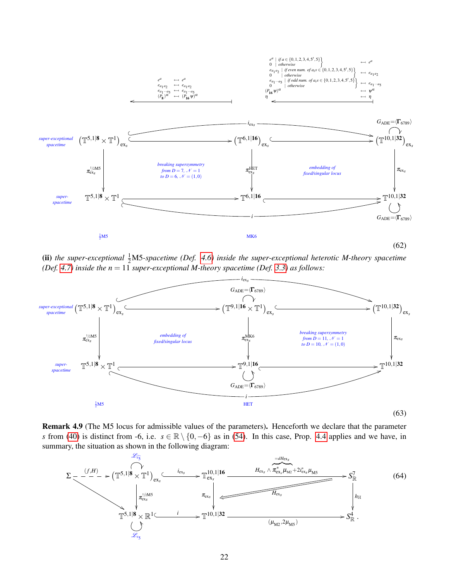<span id="page-21-0"></span>

(ii) the super-exceptional  $\frac{1}{2}M$ 5-spacetime (Def. [4.6\)](#page-19-1) inside the super-exceptional heterotic M-theory spacetime *(Def.* [4.7\)](#page-20-0) *inside the n* = 11 *super-exceptional M-theory spacetime (Def.* [3.3\)](#page-13-0) *as follows:* 



Remark 4.9 (The M5 locus for admissible values of the parameters). Henceforth we declare that the parameter *s* from [\(40\)](#page-13-2) is distinct from -6, i.e. *s* ∈ R \ {0,−6} as in [\(54\)](#page-19-3). In this case, Prop. [4.4](#page-19-0) applies and we have, in summary, the situation as shown in the following diagram:

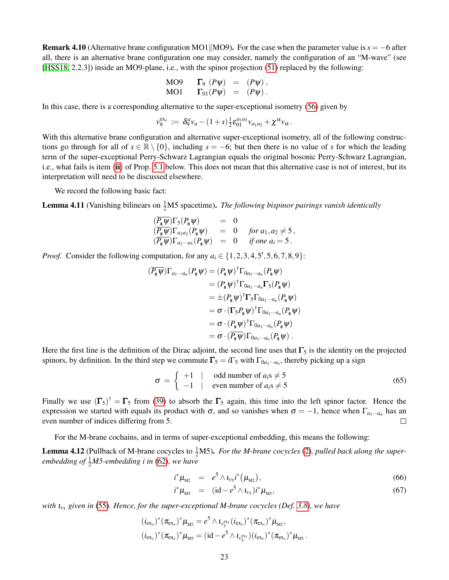<span id="page-22-3"></span>**Remark 4.10** (Alternative brane configuration MO1||MO9). For the case when the parameter value is  $s = -6$  after all, there is an alternative brane configuration one may consider, namely the configuration of an "M-wave" (see [\[HSS18,](#page-42-1) 2.2.3]) inside an MO9-plane, i.e., with the spinor projection [\(51\)](#page-17-3) replaced by the following:

$$
\begin{array}{lll}\n\text{MO9} & \Gamma_9 \ (P\psi) & = & (P\psi), \\
\text{MO1} & \Gamma_{01}(P\psi) & = & (P\psi).\n\end{array}
$$

In this case, there is a corresponding alternative to the super-exceptional isometry [\(56\)](#page-19-2) given by

$$
v_9^{\text{ex}_s} \coloneqq \delta_9^a v_a - (1+s) \tfrac{1}{2} \varepsilon_{01}^{a_1 a_2} v_{a_1 a_2} + \chi^a v_\alpha.
$$

With this alternative brane configuration and alternative super-exceptional isometry, all of the following constructions go through for all of  $s \in \mathbb{R} \setminus \{0\}$ , including  $s = -6$ ; but then there is no value of *s* for which the leading term of the super-exceptional Perry-Schwarz Lagrangian equals the original bosonic Perry-Schwarz Lagrangian, i.e., what fails is item ([ii](#page-24-1)) of Prop. [5.1](#page-23-1) below. This does not mean that this alternative case is not of interest, but its interpretation will need to be discussed elsewhere.

We record the following basic fact:

<span id="page-22-0"></span>**Lemma 4.11** (Vanishing bilinears on  $\frac{1}{2}M5$  spacetime). *The following bispinor pairings vanish identically* 

$$
\begin{array}{rcl}\n(\overline{P_s \psi}) \Gamma_5(P_s \psi) & = & 0 \\
(\overline{P_s \psi}) \Gamma_{a_1 a_2}(P_s \psi) & = & 0 \quad \text{for } a_1, a_2 \neq 5, \\
(\overline{P_s \psi}) \Gamma_{a_1 \cdots a_5}(P_s \psi) & = & 0 \quad \text{if one } a_i = 5.\n\end{array}
$$

*Proof.* Consider the following computation, for any  $a_i \in \{1, 2, 3, 4, 5', 5, 6, 7, 8, 9\}$ :

$$
\begin{aligned}\n(\overline{P_s \psi}) \Gamma_{a_1 \cdots a_n} (P_s \psi) &= (P_s \psi)^\dagger \Gamma_{0a_1 \cdots a_n} (P_s \psi) \\
&= (P_s \psi)^\dagger \Gamma_{0a_1 \cdots a_n} \Gamma_5 (P_s \psi) \\
&= \pm (P_s \psi)^\dagger \Gamma_5 \Gamma_{0a_1 \cdots a_n} (P_s \psi) \\
&= \sigma \cdot (\Gamma_5 P_s \psi)^\dagger \Gamma_{0a_1 \cdots a_n} (P_s \psi) \\
&= \sigma \cdot (P_s \psi)^\dagger \Gamma_{0a_1 \cdots a_n} (P_s \psi) \\
&= \sigma \cdot (\overline{P_s \psi}) \Gamma_{0a_1 \cdots a_n} (P_s \psi)\n\end{aligned}
$$

Here the first line is the definition of the Dirac adjoint, the second line uses that  $\Gamma_5$  is the identity on the projected spinors, by definition. In the third step we commute  $\Gamma_5 = i\Gamma_5$  with  $\Gamma_{0a_1\cdots a_n}$ , thereby picking up a sign

$$
\sigma = \begin{cases} +1 & | & \text{odd number of } a_i s \neq 5 \\ -1 & | & \text{even number of } a_i s \neq 5 \end{cases} \tag{65}
$$

Finally we use  $(\Gamma_5)^{\dagger} = \Gamma_5$  from [\(39\)](#page-12-3) to absorb the  $\Gamma_5$  again, this time into the left spinor factor. Hence the expression we started with equals its product with  $\sigma$ , and so vanishes when  $\sigma = -1$ , hence when  $\Gamma_{a_1\cdots a_n}$  has an even number of indices differing from 5.  $\Box$ 

For the M-brane cochains, and in terms of super-exceptional embedding, this means the following:

<span id="page-22-2"></span>**Lemma 4.12** (Pullback of M-brane cocycles to  $\frac{1}{2}$ M5). *For the M-brane cocycles* [\(2\)](#page-4-0), pulled back along the super- $embedding of  $\frac{1}{2}M5$ -embedding i in (62), we have$  $embedding of  $\frac{1}{2}M5$ -embedding i in (62), we have$  $embedding of  $\frac{1}{2}M5$ -embedding i in (62), we have$ 

<span id="page-22-1"></span>
$$
i^*\mu_{M2} = e^5 \wedge \iota_{\nu_5} i^*(\mu_{M2}), \qquad (66)
$$

$$
i^* \mu_{\rm M5} = (\mathrm{id} - e^5 \wedge \iota_{\nu_5}) i^* \mu_{\rm M5}, \tag{67}
$$

*with* ι*v*<sup>5</sup> *given in* [\(55\)](#page-19-4)*. Hence, for the super-exceptional M-brane cocycles (Def. [3.8\)](#page-15-0), we have*

$$
\begin{aligned} &(i_{\text{ex}})^*(\pi_{\text{ex}})^*\mu_{\text{M2}}=e^5\wedge \iota_{\nu_5^{\text{ex}}}(i_{\text{ex}})^*(\pi_{\text{ex}})^*\mu_{\text{M2}},\\ &(i_{\text{ex}})^*(\pi_{\text{ex}})^*\mu_{\text{M5}}=(id-e^5\wedge \iota_{\nu_5^{\text{ex}}})(i_{\text{ex}})^*(\pi_{\text{ex}})^*\mu_{\text{M5}}\,.\end{aligned}
$$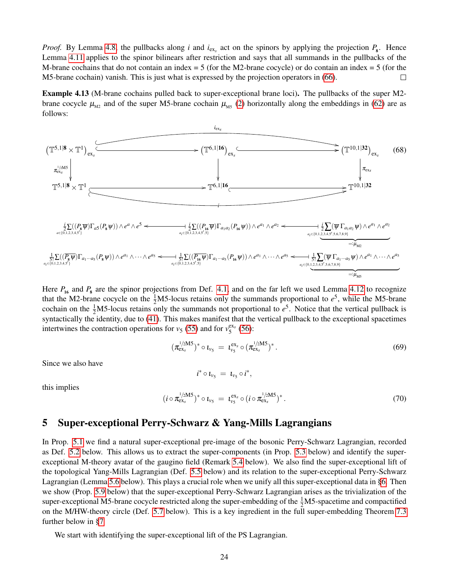*Proof.* By Lemma [4.8,](#page-20-1) the pullbacks along *i* and  $i_{ex_s}$  act on the spinors by applying the projection  $P_8$ . Hence Lemma [4.11](#page-22-0) applies to the spinor bilinears after restriction and says that all summands in the pullbacks of the M-brane cochains that do not contain an index  $= 5$  (for the M2-brane cocycle) or do contain an index  $= 5$  (for the M5-brane cochain) vanish. This is just what is expressed by the projection operators in [\(66\)](#page-22-1).  $\Box$ 

<span id="page-23-2"></span>Example 4.13 (M-brane cochains pulled back to super-exceptional brane loci). The pullbacks of the super M2 brane cocycle  $\mu_{M2}$  and of the super M5-brane cochain  $\mu_{M5}$  [\(2\)](#page-4-0) horizontally along the embeddings in [\(62\)](#page-21-0) are as follows:



Here  $P_{16}$  and  $P_8$  are the spinor projections from Def. [4.1,](#page-17-2) and on the far left we used Lemma [4.12](#page-22-2) to recognize that the M2-brane cocycle on the  $\frac{1}{2}$ M5-locus retains only the summands proportional to  $e^5$ , while the M5-brane cochain on the  $\frac{1}{2}M$ 5-locus retains only the summands not proportional to  $e^5$ . Notice that the vertical pullback is syntactically the identity, due to [\(41\)](#page-13-3). This makes manifest that the vertical pullback to the exceptional spacetimes intertwines the contraction operations for  $v_5$  [\(55\)](#page-19-4) and for  $v_5^{ex_s}$  [\(56\)](#page-19-2):

 $i^* \circ \iota_{v_5} = \iota_{v_5} \circ i^*,$ 

$$
(\pi_{ex_{s}}^{1/2MS})^* \circ \iota_{\nu_5} = \iota_{\nu_5}^{ex_{s}} \circ (\pi_{ex_{s}}^{1/2MS})^*.
$$
 (69)

Since we also have

this implies

$$
(i \circ \pi_{\text{ex}}^{1/2\text{MS}})^* \circ t_{\nu_5} = t_{\nu_5}^{\text{ex}} \circ (i \circ \pi_{\text{ex}}^{1/2\text{MS}})^*.
$$
 (70)

### <span id="page-23-0"></span>5 Super-exceptional Perry-Schwarz & Yang-Mills Lagrangians

In Prop. [5.1](#page-23-1) we find a natural super-exceptional pre-image of the bosonic Perry-Schwarz Lagrangian, recorded as Def. [5.2](#page-24-0) below. This allows us to extract the super-components (in Prop. [5.3](#page-25-2) below) and identify the superexceptional M-theory avatar of the gaugino field (Remark [5.4](#page-25-0) below). We also find the super-exceptional lift of the topological Yang-Mills Lagrangian (Def. [5.5](#page-25-1) below) and its relation to the super-exceptional Perry-Schwarz Lagrangian (Lemma [5.6](#page-25-3) below). This plays a crucial role when we unify all this super-exceptional data in [§6.](#page-28-0) Then we show (Prop. [5.9](#page-26-0) below) that the super-exceptional Perry-Schwarz Lagrangian arises as the trivialization of the super-exceptional M5-brane cocycle restricted along the super-embedding of the  $\frac{1}{2}$ M5-spacetime and compactified on the M/HW-theory circle (Def. [5.7](#page-26-2) below). This is a key ingredient in the full super-embedding Theorem [7.3](#page-34-1) further below in [§7](#page-34-0)

<span id="page-23-1"></span>We start with identifying the super-exceptional lift of the PS Lagrangian.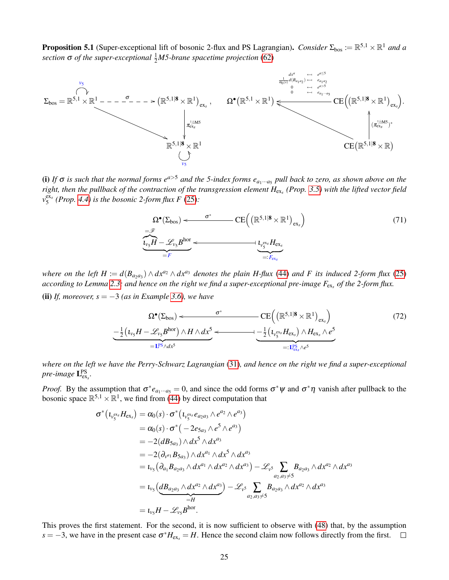**Proposition 5.1** (Super-exceptional lift of bosonic 2-flux and PS Lagrangian). *Consider*  $\Sigma_{bos} := \mathbb{R}^{5,1} \times \mathbb{R}^1$  and a *section* **σ** *of the super-exceptional*  $\frac{1}{2}$ *M5-brane spacetime projection* [\(62\)](#page-21-0)



(i) If  $\sigma$  is such that the normal forms  $e^{a>5}$  and the 5-index forms  $e_{a_1\cdots a_5}$  pull back to zero, as shown above on the *right, then the pullback of the contraction of the transgression element H*ex*<sup>s</sup> (Prop. [3.5\)](#page-14-0) with the lifted vector field*  $v_5^{\text{ex}}$  (*Prop.* [4.4\)](#page-19-0) is the bosonic 2-form flux F [\(25\)](#page-10-6):

$$
\Omega^{\bullet}(\Sigma_{\text{bos}}) \leftarrow \frac{\sigma^*}{\sum_{v_s} \sum_{\mathbf{F}} \mathbf{F} \mathbf{F}^{\mathbf{F}}}\n\left(\mathbb{R}^{5,1|\mathbf{8}} \times \mathbb{R}^1\right)_{\text{ex}_s}\n\right) \tag{71}
$$
\n
$$
\underbrace{\overbrace{\mathbf{v}_s H - \mathcal{L}_{v_s} B^{\text{hor}}}}_{=F} \leftarrow \underbrace{\mathbf{v}_s^{\text{ex}_s} H_{\text{ex}_s}}_{=:F_{\text{ex}_s}}
$$

<span id="page-24-1"></span>*where on the left*  $H := d(B_{a_2a_3}) \wedge dx^{a_2} \wedge dx^{a_3}$  *denotes the plain*  $H$ -*flux* [\(44\)](#page-14-2) *and*  $F$  *its induced* 2-*form flux* [\(25\)](#page-10-6) *according to Lemma [2.3;](#page-10-2) and hence on the right we find a super-exceptional pre-image F*ex*<sup>s</sup> of the 2-form flux.* (ii) *If, moreover, s* =  $-3$  *(as in Example [3.6\)](#page-14-3), we have* 

<span id="page-24-2"></span>
$$
\Omega^{\bullet}(\Sigma_{\text{bos}}) \leftarrow \frac{\sigma^*}{\sum_{\underline{1}} \left( t_{\nu_{\underline{5}}} H - \mathcal{L}_{\nu_{\underline{5}}} B^{\text{hor}} \right) \wedge H \wedge dx^5} \leftarrow \frac{\operatorname{CE} \left( \left( \mathbb{R}^{5,1|\mathbf{8}} \times \mathbb{R}^1 \right)_{\text{ex}_s} \right)}{-\frac{1}{2} \left( t_{\nu_{\underline{5}}} H - \mathcal{L}_{\nu_{\underline{5}}} B^{\text{hor}} \right) \wedge H \wedge dx^5} \leftarrow \frac{\left( \frac{1}{2} \left( t_{\nu_{\underline{5}}} B_{\nu_{\underline{5}}} H - \mathcal{L}_{\nu_{\underline{5}}} B^{\text{hor}} \right) \wedge H \wedge dx^5}{\sum_{\underline{1}} \left( t_{\nu_{\underline{5}}} B_{\nu_{\underline{5}}} H - \mathcal{L}_{\nu_{\underline{5}}} B^{\text{hor}} \right) \wedge H \wedge dx^5} \right)
$$
\n
$$
(72)
$$

*where on the left we have the Perry-Schwarz Lagrangian* [\(31\)](#page-11-4)*, and hence on the right we find a super-exceptional* pre-image  $\mathbf{L}_{\text{ex}_s}^{\text{PS}}$ .

*Proof.* By the assumption that  $\sigma^* e_{a_1\cdots a_5} = 0$ , and since the odd forms  $\sigma^* \psi$  and  $\sigma^* \eta$  vanish after pullback to the bosonic space  $\mathbb{R}^{5,1} \times \mathbb{R}^1$ , we find from [\(44\)](#page-14-2) by direct computation that

$$
\sigma^*(\iota_{\nu_{5}^{ex}}H_{ex_s}) = \alpha_0(s) \cdot \sigma^*(\iota_{\nu_{5}^{ex}}e_{a_2a_3} \wedge e^{a_2} \wedge e^{a_3})
$$
  
\n
$$
= \alpha_0(s) \cdot \sigma^*(-2e_{5a_3} \wedge e^{5} \wedge e^{a_3})
$$
  
\n
$$
= -2(d_{5a_3}) \wedge dx^{5} \wedge dx^{a_3}
$$
  
\n
$$
= -2(\partial_{\nu^{a_1}}B_{5a_3}) \wedge dx^{a_1} \wedge dx^{5} \wedge dx^{a_3}
$$
  
\n
$$
= \iota_{\nu_5}(\partial_{a_1}B_{a_2a_3} \wedge dx^{a_1} \wedge dx^{a_2} \wedge dx^{a_3}) - \mathcal{L}_{\nu^5} \sum_{a_2, a_3 \neq 5} B_{a_2a_3} \wedge dx^{a_2} \wedge dx^{a_3}
$$
  
\n
$$
= \iota_{\nu_5}(\underbrace{dB_{a_2a_3} \wedge dx^{a_2} \wedge dx^{a_3}}_{=H}) - \mathcal{L}_{\nu^5} \sum_{a_2, a_3 \neq 5} B_{a_2a_3} \wedge dx^{a_2} \wedge dx^{a_3}
$$
  
\n
$$
= \iota_{\nu_5}H - \mathcal{L}_{\nu_5}B^{\text{hor}}.
$$

<span id="page-24-0"></span>This proves the first statement. For the second, it is now sufficient to observe with [\(48\)](#page-15-2) that, by the assumption  $s = -3$ , we have in the present case  $\sigma^* H_{\text{ex}_s} = H$ . Hence the second claim now follows directly from the first.  $\Box$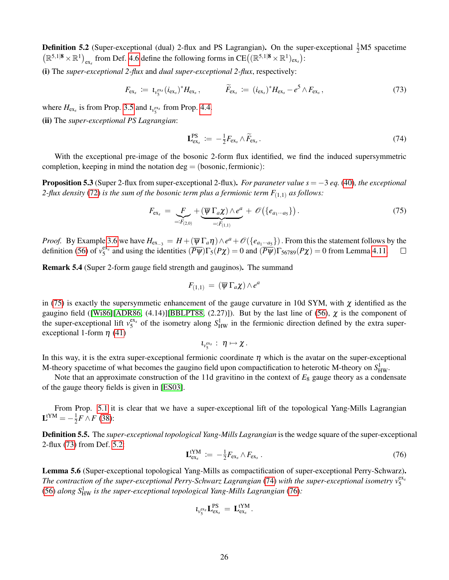**Definition 5.2** (Super-exceptional (dual) 2-flux and PS Lagrangian). On the super-exceptional  $\frac{1}{2}M5$  spacetime  $(\mathbb{R}^{5,1|\mathbf{8}} \times \mathbb{R}^1)_{\text{ex}_s}$  from Def. [4.6](#page-19-1) define the following forms in CE( $(\mathbb{R}^{5,1|\mathbf{8}} \times \mathbb{R}^1)_{\text{ex}_s}$ ):

(i) The *super-exceptional 2-flux* and *dual super-exceptional 2-flux*, respectively:

<span id="page-25-5"></span>
$$
F_{\rm ex_{s}} := \iota_{v_{5}^{\rm ex_{s}}}(i_{\rm ex_{s}})^{*}H_{\rm ex_{s}}, \qquad \widetilde{F}_{\rm ex_{s}} := (i_{\rm ex_{s}})^{*}H_{\rm ex_{s}} - e^{5} \wedge F_{\rm ex_{s}}, \qquad (73)
$$

where  $H_{\text{ex}_s}$  is from Prop. [3.5](#page-14-0) and  $t_{v_s}$  from Prop. [4.4.](#page-19-0)

(ii) The *super-exceptional PS Lagrangian*:

<span id="page-25-6"></span>
$$
\mathbf{L}_{\text{ex}_s}^{\text{PS}} \coloneqq -\frac{1}{2} F_{\text{ex}_s} \wedge \widetilde{F}_{\text{ex}_s} \,. \tag{74}
$$

With the exceptional pre-image of the bosonic 2-form flux identified, we find the induced supersymmetric completion, keeping in mind the notation deg  $=$  (bosonic, fermionic):

<span id="page-25-2"></span>Proposition 5.3 (Super 2-flux from super-exceptional 2-flux). *For paraneter value s* = −3 *eq.* [\(40\)](#page-13-2)*, the exceptional 2-flux density* [\(72\)](#page-24-2) *is the sum of the bosonic term plus a fermionic term*  $F_{(1,1)}$  *as follows:* 

<span id="page-25-4"></span>
$$
F_{\text{ex}_s} = \underbrace{F}_{=:F_{(2,0)}} + \underbrace{(\overline{\psi} \Gamma_a \chi) \wedge e^a}_{=:F_{(1,1)}} + \mathscr{O}\left(\{e_{a_1 \cdots a_5}\}\right). \tag{75}
$$

*Proof.* By Example [3.6](#page-14-3) we have  $H_{ex-3} = H + (\overline{\psi} \Gamma_a \eta) \wedge e^a + \mathcal{O}(\{e_{a_1\cdots a_5}\})$ . From this the statement follows by the definition [\(56\)](#page-19-2) of  $v_5^{ex_s}$  and using the identities  $(\overline{P\psi})\Gamma_5(P\chi) = 0$  and  $(\overline{P\psi})\Gamma_{56789}(P\chi) = 0$  from Lemma [4.11.](#page-22-0)  $\Box$ 

<span id="page-25-0"></span>Remark 5.4 (Super 2-form gauge field strength and gauginos). The summand

$$
F_{(1,1)} = (\overline{\psi} \Gamma_a \chi) \wedge e^a
$$

in [\(75\)](#page-25-4) is exactly the supersymmetic enhancement of the gauge curvature in 10d SYM, with  $\chi$  identified as the gaugino field ([\[Wi86\]](#page-44-3)[\[ADR86,](#page-39-13) (4.14)][\[BBLPT88,](#page-40-16) (2.27)]). But by the last line of [\(56\)](#page-19-2),  $\chi$  is the component of the super-exceptional lift  $v_5^{ex_s}$  of the isometry along  $S_{HW}^1$  in the fermionic direction defined by the extra superexceptional 1-form  $\eta$  [\(41\)](#page-13-3)

$$
\iota_{\nu_5^{ex_s}}:\ \eta\mapsto \chi\,.
$$

In this way, it is the extra super-exceptional fermionic coordinate  $\eta$  which is the avatar on the super-exceptional M-theory spacetime of what becomes the gaugino field upon compactification to heterotic M-theory on  $S^1_{HW}$ .

Note that an approximate construction of the 11d gravitino in the context of  $E_8$  gauge theory as a condensate of the gauge theory fields is given in [\[ES03\]](#page-40-17).

From Prop. [5.1](#page-23-1) it is clear that we have a super-exceptional lift of the topological Yang-Mills Lagrangian  ${\bf L}^{\rm tYM}=-\frac{1}{2}$  $\frac{1}{2}$ *F* ∧*F* [\(38\)](#page-12-4):

<span id="page-25-1"></span>Definition 5.5. The *super-exceptional topological Yang-Mills Lagrangian* is the wedge square of the super-exceptional 2-flux [\(73\)](#page-25-5) from Def. [5.2:](#page-24-0)

<span id="page-25-7"></span>
$$
\mathbf{L}_{\text{ex}_s}^{\text{tYM}} := -\frac{1}{2} F_{\text{ex}_s} \wedge F_{\text{ex}_s} \,. \tag{76}
$$

<span id="page-25-3"></span>Lemma 5.6 (Super-exceptional topological Yang-Mills as compactification of super-exceptional Perry-Schwarz). *The contraction of the super-exceptional Perry-Schwarz Lagrangian* [\(74\)](#page-25-6) with the super-exceptional isometry  $v_5^{\text{ex}}$ [\(56\)](#page-19-2) *along S*<sup>1</sup> HW *is the super-exceptional topological Yang-Mills Lagrangian* [\(76\)](#page-25-7)*:*

$$
\iota_{\nu_5^{ex_s}}\mathbf L_{ex_s}^{PS}\,=\,\mathbf L_{ex_s}^{tYM}\,.
$$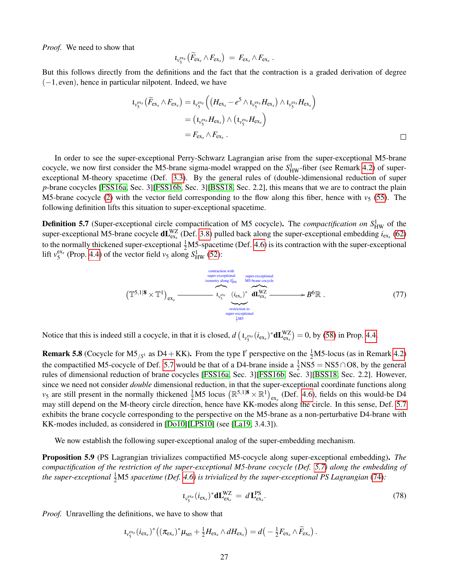*Proof.* We need to show that

$$
t_{v_5^{\text{ex}_s}}(\widetilde{F}_{\text{ex}_s} \wedge F_{\text{ex}_s}) = F_{\text{ex}_s} \wedge F_{\text{ex}_s}.
$$

But this follows directly from the definitions and the fact that the contraction is a graded derivation of degree  $(-1, even)$ , hence in particular nilpotent. Indeed, we have

$$
\begin{aligned} \iota_{\nu_{5}^{\mathrm{ex}_s}}(\widetilde{F}_{\mathrm{ex}_s} \wedge F_{\mathrm{ex}_s}) &= \iota_{\nu_{5}^{\mathrm{ex}_s}}\left( \left( H_{\mathrm{ex}_s} - e^5 \wedge \iota_{\nu_{5}^{\mathrm{ex}_s}} H_{\mathrm{ex}_s} \right) \wedge \iota_{\nu_{5}^{\mathrm{ex}_s}} H_{\mathrm{ex}_s} \right) \\ &= \left( \iota_{\nu_{5}^{\mathrm{ex}_s}} H_{\mathrm{ex}_s} \right) \wedge \left( \iota_{\nu_{5}^{\mathrm{ex}_s}} H_{\mathrm{ex}_s} \right) \\ &= F_{\mathrm{ex}_s} \wedge F_{\mathrm{ex}_s} \ . \end{aligned}
$$

In order to see the super-exceptional Perry-Schwarz Lagrangian arise from the super-exceptional M5-brane cocycle, we now first consider the M5-brane sigma-model wrapped on the  $S_{HW}^1$ -fiber (see Remark [4.2\)](#page-17-1) of superexceptional M-theory spacetime (Def. [3.3\)](#page-13-0). By the general rules of (double-)dimensional reduction of super *p*-brane cocycles [\[FSS16a,](#page-41-13) Sec. 3][\[FSS16b,](#page-41-1) Sec. 3][\[BSS18,](#page-40-8) Sec. 2.2], this means that we are to contract the plain M5-brane cocycle [\(2\)](#page-4-0) with the vector field corresponding to the flow along this fiber, hence with  $v_5$  [\(55\)](#page-19-4). The following definition lifts this situation to super-exceptional spacetime.

<span id="page-26-2"></span>**Definition 5.7** (Super-exceptional circle compactification of M5 cocycle). The *compactification on*  $S_{HW}^1$  of the super-exceptional M5-brane cocycle  $dL_{ex_s}^{WZ}$  (Def. [3.8\)](#page-15-0) pulled back along the super-exceptional embedding  $i_{ex_s}$  [\(62\)](#page-21-0) to the normally thickened super-exceptional  $\frac{1}{2}M5$ -spacetime (Def. [4.6\)](#page-19-1) is its contraction with the super-exceptional lift  $v_5^{\text{ex}}$  (Prop. [4.4\)](#page-19-0) of the vector field  $v_5$  along  $S_{\text{HW}}^1$  [\(52\)](#page-17-4):

$$
(\mathbb{T}^{5,1|8} \times \mathbb{T}^{1})_{\text{ex}} \xrightarrow{\text{contraction with} \atop \text{isometry along } S_{\text{HW}}^{1}} \t\mathbb{I}_{\text{Dex}}^{\text{contraction with} \atop \text{inertification to} \atop \text{contraction to} \atop \text{super-exception to} \t\frac{1}{2} \text{MS}} \qquad (77)
$$

Notice that this is indeed still a cocycle, in that it is closed,  $d\left(\iota_{v_5}^{ex_s}(i_{ex_s})^*d\mathbf{L}_{ex_s}^{WZ}\right) = 0$ , by [\(58\)](#page-19-5) in Prop. [4.4.](#page-19-0)

<span id="page-26-1"></span>**Remark 5.8** (Cocycle for  $M5_{/S^1}$  as D4 + KK). From the type I' perspective on the  $\frac{1}{2}M5$ -locus (as in Remark [4.2\)](#page-17-1) the compactified M5-cocycle of Def. [5.7](#page-26-2) would be that of a D4-brane inside a  $\frac{1}{2}$ NS5 = NS5∩O8, by the general rules of dimensional reduction of brane cocycles [\[FSS16a,](#page-41-13) Sec. 3][\[FSS16b,](#page-41-1) Sec. 3][\[BSS18,](#page-40-8) Sec. 2.2]. However, since we need not consider *double* dimensional reduction, in that the super-exceptional coordinate functions along  $v_5$  are still present in the normally thickened  $\frac{1}{2}M5$  locus  $(\mathbb{R}^{5,1|\mathbf{8}} \times \mathbb{R}^1)_{\text{ex}}$ , (Def. [4.6\)](#page-19-1), fields on this would-be D4 may still depend on the M-theory circle direction, hence have KK-modes along the circle. In this sense, Def. [5.7](#page-26-2) exhibits the brane cocycle corresponding to the perspective on the M5-brane as a non-perturbative D4-brane with KK-modes included, as considered in [\[Do10\]](#page-40-13)[\[LPS10\]](#page-42-16) (see [\[La19,](#page-42-3) 3.4.3]).

We now establish the following super-exceptional analog of the super-embedding mechanism.

<span id="page-26-0"></span>Proposition 5.9 (PS Lagrangian trivializes compactified M5-cocycle along super-exceptional embedding). *The compactification of the restriction of the super-exceptional M5-brane cocycle (Def. [5.7\)](#page-26-2) along the embedding of* the super-exceptional  $\frac{1}{2}M5$  spacetime (Def. [4.6\)](#page-19-1) is trivialized by the super-exceptional PS Lagrangian [\(74\)](#page-25-6):

$$
t_{\nu_{5}^{\text{ex}}}(i_{\text{ex}})^{*}\text{d}L_{\text{ex}}^{WZ} = dL_{\text{ex}}^{\text{PS}}.
$$
\n(78)

*Proof.* Unravelling the definitions, we have to show that

$$
t_{\nu_{5}^{ex}}(i_{\text{ex}})^{*}\big((\pi_{\text{ex}})^{*}\mu_{\text{MS}}+\frac{1}{2}H_{\text{ex}} \wedge dH_{\text{ex}}\big)=d\big(-\frac{1}{2}F_{\text{ex}} \wedge \widetilde{F}_{\text{ex}}\big).
$$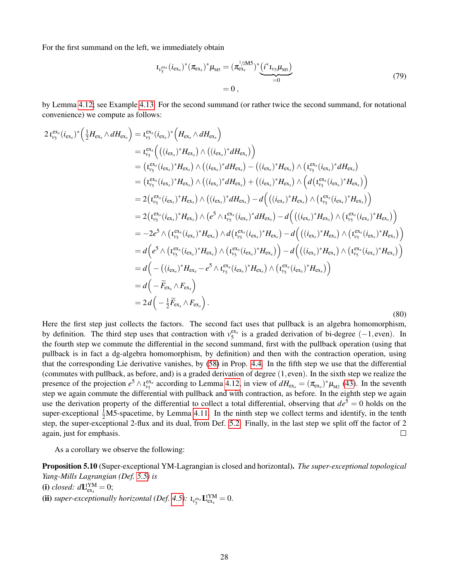For the first summand on the left, we immediately obtain

<span id="page-27-1"></span>
$$
t_{v_{5}^{\text{ex}}}(i_{\text{ex}_{s}})^{*}(\pi_{\text{ex}_{s}})^{*}\mu_{\text{M5}} = (\pi_{\text{ex}_{s}}^{1/2M5})^{*}(\underbrace{i^{*}t_{v_{5}}\mu_{\text{M5}}}_{=0})
$$
\n
$$
= 0 , \qquad (79)
$$

by Lemma [4.12;](#page-22-2) see Example [4.13.](#page-23-2) For the second summand (or rather twice the second summand, for notational convenience) we compute as follows:

<span id="page-27-2"></span>
$$
2 t_{v_5}^{ex_s}(i_{ex_s})^* \left( \frac{1}{2} H_{ex_s} \wedge dH_{ex_s} \right) = t_{v_5}^{ex_s}(i_{ex_s})^* \left( H_{ex_s} \wedge dH_{ex_s} \right)
$$
  
\n
$$
= t_{v_5}^{ex_s} \left( ((i_{ex_s})^* H_{ex_s}) \wedge ((i_{ex_s})^* dH_{ex_s}) \right)
$$
  
\n
$$
= (t_{v_5}^{ex_s}(i_{ex_s})^* H_{ex_s}) \wedge ((i_{ex_s})^* dH_{ex_s}) - ((i_{ex_s})^* H_{ex_s}) \wedge (t_{v_5}^{ex_s}(i_{ex_s})^* dH_{ex_s})
$$
  
\n
$$
= (t_{v_5}^{ex_s}(i_{ex_s})^* H_{ex_s}) \wedge ((i_{ex_s})^* dH_{ex_s}) + ((i_{ex_s})^* H_{ex_s}) \wedge (d(t_{v_5}^{ex_s}(i_{ex_s})^* H_{ex_s}))
$$
  
\n
$$
= 2 (t_{v_5}^{ex_s}(i_{ex_s})^* H_{ex_s}) \wedge ((i_{ex_s})^* dH_{ex_s}) - d \left( ((i_{ex_s})^* H_{ex_s}) \wedge (t_{v_5}^{ex_s}(i_{ex_s})^* H_{ex_s}) \right)
$$
  
\n
$$
= 2 (t_{v_5}^{ex_s}(i_{ex_s})^* H_{ex_s}) \wedge (e^5 \wedge t_{v_5}^{ex_s}(i_{ex_s})^* dH_{ex_s}) - d \left( ((i_{ex_s})^* H_{ex_s}) \wedge (t_{v_5}^{ex_s}(i_{ex_s})^* H_{ex_s}) \right)
$$
  
\n
$$
= -2e^5 \wedge (t_{v_5}^{ex_s}(i_{ex_s})^* H_{ex_s}) \wedge d(t_{v_5}^{ex_s}(i_{ex_s})^* H_{ex_s}) - d \left( ((i_{ex_s})^* H_{ex_s}) \wedge (t_{v_5}^{ex_s}(i_{ex_s})^* H_{ex_s}) \right)
$$
  
\n
$$
= d \left( e^5 \wedge (t_{v_5}^{ex_s}(i_{ex_s})^* H_{ex_s}) \wedge (t_{v_5}^{ex_s}(i_{ex_s})^* H_{ex_s}) \right) - d \left( ((i_{ex_s})^* H_{ex_s}) \wedge (
$$

Here the first step just collects the factors. The second fact uses that pullback is an algebra homomorphism, by definition. The third step uses that contraction with  $v_5^{ex_s}$  is a graded derivation of bi-degree (-1, even). In the fourth step we commute the differential in the second summand, first with the pullback operation (using that pullback is in fact a dg-algebra homomorphism, by definition) and then with the contraction operation, using that the corresponding Lie derivative vanishes, by [\(58\)](#page-19-5) in Prop. [4.4.](#page-19-0) In the fifth step we use that the differential (commutes with pullback, as before, and) is a graded derivation of degree (1, even). In the sixth step we realize the presence of the projection  $e^5 \wedge i_{\nu_5}^{\text{ex}_s}$  according to Lemma [4.12,](#page-22-2) in view of  $dH_{\text{ex}_s} = (\pi_{\text{ex}_s})^* \mu_{\text{M2}}$  [\(43\)](#page-14-4). In the seventh step we again commute the differential with pullback and with contraction, as before. In the eighth step we again use the derivation property of the differential to collect a total differential, observing that  $de^5 = 0$  holds on the super-exceptional  $\frac{1}{2}M$ 5-spacetime, by Lemma [4.11.](#page-22-0) In the ninth step we collect terms and identify, in the tenth step, the super-exceptional 2-flux and its dual, from Def. [5.2.](#page-24-0) Finally, in the last step we split off the factor of 2 again, just for emphasis.  $\Box$ 

As a corollary we observe the following:

<span id="page-27-0"></span>Proposition 5.10 (Super-exceptional YM-Lagrangian is closed and horizontal). *The super-exceptional topological Yang-Mills Lagrangian (Def. [5.5\)](#page-25-1) is* (i) *closed:*  $d\mathbf{L}^{\text{tYM}}_{\text{ex}_s} = 0$ ; (ii) *super-exceptionally horizontal (Def. [4.5\)](#page-19-6):*  $\iota_{v_{5}^{\text{ex}}} \mathbf{L}_{\text{ex}}^{\text{YM}} = 0$ .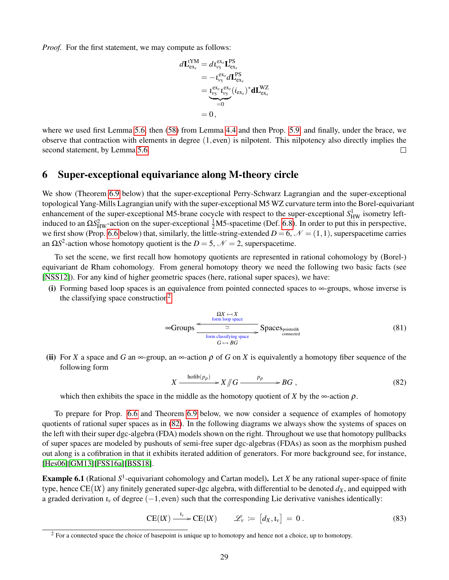*Proof.* For the first statement, we may compute as follows:

$$
d\mathbf{L}_{\text{ex}_s}^{\text{IYM}} = d\iota_{\nu_s}^{\text{ex}_s} \mathbf{L}_{\text{ex}_s}^{\text{PS}} \n= -\iota_{\nu_s}^{\text{ex}_s} d\mathbf{L}_{\text{ex}_s}^{\text{PS}} \n= \underbrace{\iota_{\nu_s}^{\text{ex}_s} \iota_{\nu_s}^{\text{ex}_s}}_{=0} (i_{\text{ex}_s})^* d\mathbf{L}_{\text{ex}_s}^{\text{WZ}}
$$
\n
$$
= 0,
$$

where we used first Lemma [5.6,](#page-25-3) then [\(58\)](#page-19-5) from Lemma [4.4](#page-19-0) and then Prop. [5.9,](#page-26-0) and finally, under the brace, we observe that contraction with elements in degree (1, even) is nilpotent. This nilpotency also directly implies the second statement, by Lemma [5.6.](#page-25-3)  $\Box$ 

### <span id="page-28-0"></span>6 Super-exceptional equivariance along M-theory circle

We show (Theorem [6.9](#page-33-0) below) that the super-exceptional Perry-Schwarz Lagrangian and the super-exceptional topological Yang-Mills Lagrangian unify with the super-exceptional M5 WZ curvature term into the Borel-equivariant enhancement of the super-exceptional M5-brane cocycle with respect to the super-exceptional  $S_{HW}^1$  isometry leftinduced to an  $\Omega S_{HW}^2$ -action on the super-exceptional  $\frac{1}{2}M5$ -spacetime (Def. [6.8\)](#page-32-0). In order to put this in perspective, we first show (Prop. [6.6](#page-31-0) below) that, similarly, the little-string-extended  $D = 6$ ,  $\mathcal{N} = (1,1)$ , superspacetime carries an  $\Omega S^2$ -action whose homotopy quotient is the *D* = 5,  $\mathcal{N}$  = 2, superspacetime.

To set the scene, we first recall how homotopy quotients are represented in rational cohomology by (Borel-) equivariant de Rham cohomology. From general homotopy theory we need the following two basic facts (see [\[NSS12\]](#page-42-18)). For any kind of higher geometric spaces (here, rational super spaces), we have:

(i) Forming based loop spaces is an equivalence from pointed connected spaces to  $\infty$ -groups, whose inverse is the classifying space construction<sup>[2](#page-28-1)</sup>

<span id="page-28-3"></span>
$$
\infty \text{Groups} \xrightarrow{\text{form loop space} \atop \text{form loss space}} \text{Space} \text{Space} \text{Space} \tag{81}
$$

(ii) For *X* a space and *G* an  $\infty$ -group, an  $\infty$ -action  $\rho$  of *G* on *X* is equivalently a homotopy fiber sequence of the following form

<span id="page-28-2"></span>
$$
X \xrightarrow{\text{hofib}(p_{\rho})} X \t\|G \xrightarrow{p_{\rho}} BG , \t\t(82)
$$

which then exhibits the space in the middle as the homotopy quotient of *X* by the  $\infty$ -action  $\rho$ .

To prepare for Prop. [6.6](#page-31-0) and Theorem [6.9](#page-33-0) below, we now consider a sequence of examples of homotopy quotients of rational super spaces as in [\(82\)](#page-28-2). In the following diagrams we always show the systems of spaces on the left with their super dgc-algebra (FDA) models shown on the right. Throughout we use that homotopy pullbacks of super spaces are modeled by pushouts of semi-free super dgc-algebras (FDAs) as soon as the morphism pushed out along is a cofibration in that it exhibits iterated addition of generators. For more background see, for instance, [\[Hes06\]](#page-41-11)[\[GM13\]](#page-41-12)[\[FSS16a\]](#page-41-13)[\[BSS18\]](#page-40-8).

<span id="page-28-4"></span>Example 6.1 (Rational S<sup>1</sup>-equivariant cohomology and Cartan model). Let *X* be any rational super-space of finite type, hence  $\text{CE}(lX)$  any finitely generated super-dgc algebra, with differential to be denoted  $d_X$ , and equipped with a graded derivation  $\iota_v$  of degree  $(-1, \text{even})$  such that the corresponding Lie derivative vanishes identically:

$$
CE(IX) \xrightarrow{t_v} CE(IX) \qquad \mathscr{L}_v := [d_X, t_v] = 0.
$$
\n(83)

<span id="page-28-1"></span><sup>&</sup>lt;sup>2</sup> For a connected space the choice of basepoint is unique up to homotopy and hence not a choice, up to homotopy.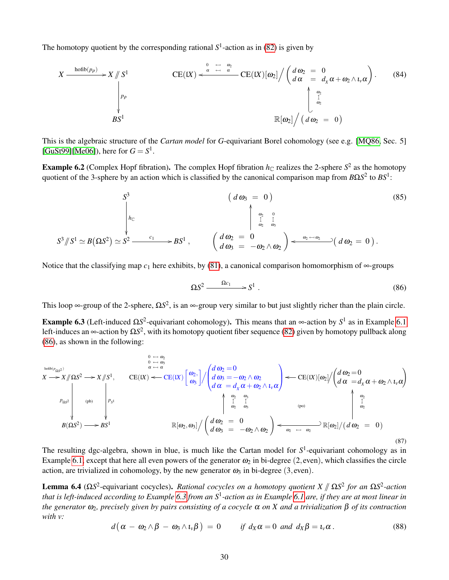The homotopy quotient by the corresponding rational  $S^1$ -action as in [\(82\)](#page-28-2) is given by

$$
X \xrightarrow{\text{hofib}(p_{\rho})} X \n\begin{array}{c}\n\begin{array}{ccc}\n\begin{array}{ccc}\n\begin{array}{ccc}\n\begin{array}{ccc}\n\begin{array}{ccc}\n\begin{array}{ccc}\n\begin{array}{ccc}\n\end{array} & \left\langle \begin{array}{ccc}\n\end{array} & \frac{\omega_1}{\alpha} & \frac{\omega_2}{\alpha} \\
\end{array} & \frac{\omega_2}{\alpha} & \frac{\omega_1}{\alpha} \\
\end{array} & \frac{\omega_2}{\alpha} & \frac{\omega_1}{\alpha} \\
\end{array} & \frac{\omega_2}{\alpha} & \frac{\omega_2}{\alpha} \\
\end{array} & \frac{\omega_2}{\alpha} & \frac{\omega_2}{\alpha} \\
\end{array} & \text{BS}^1 & \mathbb{R}[\omega_2] \bigg/ \left( d \omega_2 = 0 \right)\n\end{array} \tag{84}
$$

This is the algebraic structure of the *Cartan model* for *G*-equivariant Borel cohomology (see e.g. [\[MQ86,](#page-42-19) Sec. 5] [\[GuSt99\]](#page-41-21)[\[Me06\]](#page-42-20)), here for  $G = S^1$ .

<span id="page-29-3"></span>**Example 6.2** (Complex Hopf fibration). The complex Hopf fibration  $h_{\mathbb{C}}$  realizes the 2-sphere  $S^2$  as the homotopy quotient of the 3-sphere by an action which is classified by the canonical comparison map from *B*Ω*S* 2 to *BS*<sup>1</sup> :

<span id="page-29-5"></span>
$$
S^{3} \qquad (d\omega_{3} = 0) \qquad (85)
$$
\n
$$
S^{3} / S^{1} \simeq B(\Omega S^{2}) \simeq S^{2} \xrightarrow{c_{1}} BS^{1} , \qquad \begin{pmatrix} d\omega_{2} = 0 \\ d\omega_{3} = -\omega_{2} \wedge \omega_{2} \end{pmatrix} \xrightarrow{\omega_{2} \rightarrow \omega_{2}} (d\omega_{2} = 0).
$$
\n
$$
(85)
$$

Notice that the classifying map  $c_1$  here exhibits, by [\(81\)](#page-28-3), a canonical comparison homomorphism of  $\infty$ -groups

<span id="page-29-0"></span>
$$
\Omega S^2 \xrightarrow{\Omega c_1} S^1 \tbinom{}{}(86)
$$

This loop  $\infty$ -group of the 2-sphere,  $\Omega S^2$ , is an  $\infty$ -group very similar to but just slightly richer than the plain circle.

<span id="page-29-1"></span>Example 6.3 (Left-induced  $\Omega S^2$ -equivariant cohomology). This means that an ∞-action by  $S^1$  as in Example [6.1](#page-28-4) left-induces an ∞-action by Ω*S* 2 , with its homotopy quotient fiber sequence [\(82\)](#page-28-2) given by homotopy pullback along [\(86\)](#page-29-0), as shown in the following:

<span id="page-29-4"></span>
$$
X \rightarrow X/\!\!/ \Omega S^2 \rightarrow X/\!\!/ S^1, \qquad CE(X) \left[\begin{array}{c} 0 \leftarrow \omega_3 \\ 0 \leftarrow \omega_4 \\ \alpha \leftarrow \alpha \end{array}\right] / \left(\begin{array}{c} d\omega_2 = 0 \\ d\omega_3 = -\omega_2 \wedge \omega_2 \\ d\alpha = d_X \alpha + \omega_2 \wedge \iota_v \alpha \end{array}\right) \leftarrow CE(X)[\omega_2] / \left(\begin{array}{c} d\omega_2 = 0 \\ d\alpha = d_X \alpha + \omega_2 \wedge \iota_v \alpha \end{array}\right) \right)
$$
\n
$$
P_{\Omega S^2}
$$
\n
$$
B(\Omega S^2) \rightarrow B S^1
$$
\n
$$
B(\omega_2, \omega_3] / \left(\begin{array}{c} d\omega_2 = 0 \\ d\omega_3 = -\omega_2 \wedge \omega_2 \\ d\omega_3 = -\omega_2 \wedge \omega_2 \end{array}\right) \leftarrow \frac{\omega_2}{\omega_2} \left[\begin{array}{c} \omega_3 \\ \omega_2 \\ \omega_3 \leftarrow \omega_2 \end{array}\right] \left(\begin{array}{c} \omega_2 \\ \omega_3 \\ \omega_2 \leftarrow \omega_2 \end{array}\right) \right]
$$
\n
$$
(87)
$$

The resulting dgc-algebra, shown in blue, is much like the Cartan model for  $S^1$ -equivariant cohomology as in Example [6.1,](#page-28-4) except that here all even powers of the generator  $\omega_2$  in bi-degree (2, even), which classifies the circle action, are trivialized in cohomology, by the new generator  $\omega_3$  in bi-degree (3, even).

<span id="page-29-6"></span>**Lemma 6.4** (Ω*S*<sup>2</sup>-equivariant cocycles). *Rational cocycles on a homotopy quotient*  $X \parallel \Omega S^2$  *for an*  $\Omega S^2$ -action that is left induced according to Example 6.2 from an S<sup>1</sup> action as in Example 6.1 are if they are *that is left-induced according to Example [6.3](#page-29-1) from an S*<sup>1</sup> *-action as in Example [6.1](#page-28-4) are, if they are at most linear in the generator*  $ω_2$ *, precisely given by pairs consisting of a cocycle*  $α$  *on X and a trivialization*  $β$  *of its contraction with v:*

<span id="page-29-2"></span>
$$
d\big(\alpha - \omega_2 \wedge \beta - \omega_3 \wedge \iota_v \beta\big) = 0 \qquad \text{if } d_X \alpha = 0 \text{ and } d_X \beta = \iota_v \alpha. \tag{88}
$$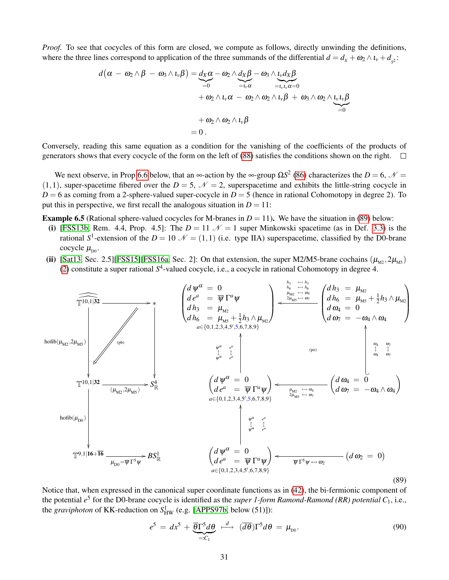*Proof.* To see that cocycles of this form are closed, we compute as follows, directly unwinding the definitions, where the three lines correspond to application of the three summands of the differential  $d = d_x + \omega_2 \wedge u_y + d_{s2}$ :

$$
d(\alpha - \omega_2 \wedge \beta - \omega_3 \wedge \iota_v \beta) = d_X \alpha - \omega_2 \wedge d_X \beta - \omega_3 \wedge \iota_v d_X \beta
$$
  
+  $\omega_2 \wedge \iota_v \alpha - \omega_2 \wedge \omega_2 \wedge \iota_v \beta + \omega_3 \wedge \omega_2 \wedge \iota_v \iota_v \beta$   
+  $\omega_2 \wedge \omega_2 \wedge \iota_v \beta$   
= 0.

Conversely, reading this same equation as a condition for the vanishing of the coefficients of the products of generators shows that every cocycle of the form on the left of [\(88\)](#page-29-2) satisfies the conditions shown on the right.  $\Box$ 

We next observe, in Prop [6.6](#page-31-0) below, that an  $\infty$ -action by the  $\infty$ -group  $\Omega S^2$  [\(86\)](#page-29-0) characterizes the *D* = 6,  $\mathcal{N}$  =  $(1,1)$ , super-spacetime fibered over the *D* = 5,  $\mathcal{N}$  = 2, superspacetime and exhibits the little-string cocycle in  $D = 6$  as coming from a 2-sphere-valued super-cocycle in  $D = 5$  (hence in rational Cohomotopy in degree 2). To put this in perspective, we first recall the analogous situation in  $D = 11$ :

**Example 6.5** (Rational sphere-valued cocycles for M-branes in  $D = 11$ ). We have the situation in [\(89\)](#page-30-0) below:

- (i) [\[FSS13b,](#page-40-0) Rem. 4.4, Prop. 4.5]: The  $D = 11 \mathcal{N} = 1$  super Minkowski spacetime (as in Def. [3.3\)](#page-13-0) is the rational  $S^1$ -extension of the  $D = 10 \mathcal{N} = (1,1)$  (i.e. type IIA) superspacetime, classified by the D0-brane cocycle  $\mu_{\text{Do}}$ .
- (ii) [\[Sat13,](#page-43-16) Sec. 2.5][\[FSS15\]](#page-41-14)[\[FSS16a,](#page-41-13) Sec. 2]: On that extension, the super M2/M5-brane cochains  $(\mu_{M2}, 2\mu_{M5})$ [\(2\)](#page-4-0) constitute a super rational *S* 4 -valued cocycle, i.e., a cocycle in rational Cohomotopy in degree 4.

<span id="page-30-0"></span>

Notice that, when expressed in the canonical super coordinate functions as in [\(42\)](#page-14-5), the bi-fermionic component of the potential *e* 5 for the D0-brane cocycle is identified as the *super 1-form Ramond-Ramond (RR) potential C*1, i.e., the *graviphoton* of KK-reduction on  $S^1_{HW}$  (e.g. [\[APPS97b,](#page-39-2) below (51)]):

<span id="page-30-1"></span>
$$
e^{5} = dx^{5} + \underbrace{\overline{\theta}\Gamma^{5}d\theta}_{=:C_{1}} \stackrel{d}{\longrightarrow} (\overline{d\theta})\Gamma^{5}d\theta = \mu_{\text{D}0}.
$$
\n(90)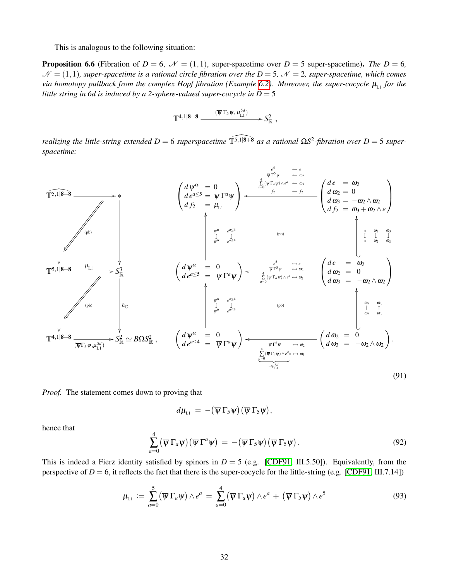This is analogous to the following situation:

<span id="page-31-0"></span>**Proposition 6.6** (Fibration of  $D = 6$ ,  $\mathcal{N} = (1,1)$ , super-spacetime over  $D = 5$  super-spacetime). The  $D = 6$ ,  $\mathcal{N} = (1,1)$ *, super-spacetime is a rational circle fibration over the D = 5,*  $\mathcal{N} = 2$ *<i>, super-spacetime, which comes via homotopy pullback from the complex Hopf fibration (Example* [6.2\)](#page-29-3)*. Moreover, the super-cocycle*  $\mu_{11}$  *for the little string in 6d is induced by a 2-sphere-valued super-cocycle in D = 5* 

$$
\mathbb{T}^{4,1|\mathbf{8}+\mathbf{8}}\xrightarrow{\quad (\overline{\psi}\,\Gamma_5\psi,\,\mu_{\text{L}1}^{5d})\qquad \qquad \longrightarrow S^2_{\mathbb{R}}\ ,
$$

*realizing the little-string extended*  $D = 6$  *superspacetime*  $\widehat{T^{5,1|8+8}}$  *as a rational*  $\Omega S^2$ -fibration over  $D = 5$  *superspacetime:*

<span id="page-31-2"></span>

*Proof.* The statement comes down to proving that

$$
d\mu_{\scriptscriptstyle\rm L1}\,=\,-\big(\overline{\psi}\,\Gamma_5\psi\big)\big(\overline{\psi}\,\Gamma_5\psi\big),
$$

hence that

<span id="page-31-1"></span>
$$
\sum_{a=0}^{4} (\overline{\psi} \Gamma_a \psi) (\overline{\psi} \Gamma^a \psi) = -(\overline{\psi} \Gamma_5 \psi) (\overline{\psi} \Gamma_5 \psi).
$$
 (92)

This is indeed a Fierz identity satisfied by spinors in  $D = 5$  (e.g. [\[CDF91,](#page-40-10) III.5.50]). Equivalently, from the perspective of  $D = 6$ , it reflects the fact that there is the super-cocycle for the little-string (e.g. [\[CDF91,](#page-40-10) III.7.14])

$$
\mu_{L1} := \sum_{a=0}^{5} (\overline{\psi} \Gamma_a \psi) \wedge e^a = \sum_{a=0}^{4} (\overline{\psi} \Gamma_a \psi) \wedge e^a + (\overline{\psi} \Gamma_5 \psi) \wedge e^5 \qquad (93)
$$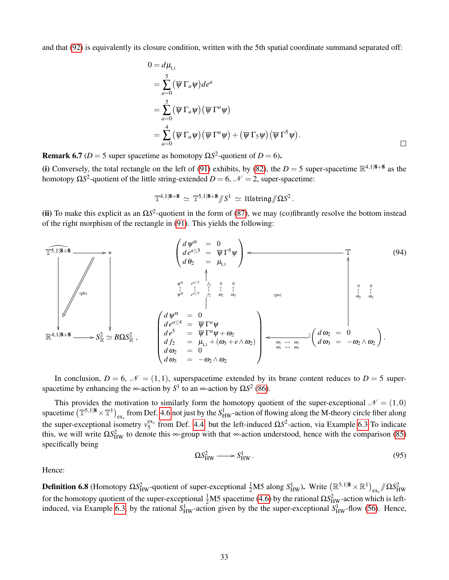and that [\(92\)](#page-31-1) is equivalently its closure condition, written with the 5th spatial coordinate summand separated off:

$$
0 = d\mu_{L1}
$$
  
=  $\sum_{a=0}^{5} (\overline{\psi} \Gamma_a \psi) de^a$   
=  $\sum_{a=0}^{5} (\overline{\psi} \Gamma_a \psi) (\overline{\psi} \Gamma^a \psi)$   
=  $\sum_{a=0}^{4} (\overline{\psi} \Gamma_a \psi) (\overline{\psi} \Gamma^a \psi) + (\overline{\psi} \Gamma_5 \psi) (\overline{\psi} \Gamma^5 \psi)$ .

**Remark 6.7** ( $D = 5$  super spacetime as homotopy  $\Omega S^2$ -quotient of  $D = 6$ ).

(i) Conversely, the total rectangle on the left of [\(91\)](#page-31-2) exhibits, by [\(82\)](#page-28-2), the  $D = 5$  super-spacetime  $\mathbb{R}^{4,1|\mathbf{8}+\mathbf{8}}$  as the homotopy  $\Omega S^2$ -quotient of the little string-extended *D* = 6,  $\mathcal{N}$  = 2, super-spacetime:

$$
\mathbb{T}^{4,1|\mathbf{8}+\mathbf{8}} \simeq \mathbb{T}^{5,1|\mathbf{8}+\mathbf{8}}/\!\!/ S^1 \simeq \text{Hlstring}/\!\!/ \Omega S^2.
$$

(ii) To make this explicit as an  $\Omega S^2$ -quotient in the form of [\(87\)](#page-29-4), we may (co)fibrantly resolve the bottom instead of the right morphism of the rectangle in [\(91\)](#page-31-2). This yields the following:

<span id="page-32-2"></span>
$$
\begin{array}{|c|c|c|c|c|}\hline \text{F5,1|8+8} & & & \left( d\psi^{\alpha} & = & 0 \\ d\,e^{a \leq 5} & = & \overline{\psi} \Gamma^{5} \psi \\ d\,\theta_{2} & = & \mu_{L1} \end{array}\right) \leftarrow \qquad \qquad \begin{array}{|c|c|c|c|}\hline \text{T} & & & (94) \\ d\,e^{a \leq 5} & = & \overline{\psi} \Gamma^{5} \psi \\ d\,\theta_{2} & = & \mu_{L1} \end{array}\right) \leftarrow \qquad \qquad \begin{array}{|c|c|c|}\hline \text{T} & & & (94) \\ \hline \text{W}^{\alpha} & e^{a \leq 5} & \frac{1}{\beta_{2}} & 0 & 0 \\ \hline \text{W}^{\alpha} & e^{a \leq 5} & \frac{1}{\beta_{2}} & \frac{1}{\omega_{2}} & 0 \\ \hline \text{W}^{\alpha} & e^{a \leq 5} & \frac{1}{\beta_{2}} & \frac{1}{\omega_{2}} & 0 \\ \hline \text{W}^{\alpha} & = & \overline{\psi} \Gamma^{\alpha} \psi \\ d\,e^{5} & = & \overline{\psi} \Gamma^{\alpha} \psi \\ d\,e^{5} & = & \overline{\psi} \Gamma^{\alpha} \psi + \omega_{2} \\ \hline \text{W}^{\alpha} & \mu_{2} & = & 0 \\ \hline \text{W}^{\alpha} & \mu_{2} & = & 0 \\ \hline \text{W}^{\alpha} & \mu_{2} & = & 0 \\ \hline \text{W}^{\alpha} & = & 0 \\ \hline \text{W}^{\alpha} & = & 0 \\ \hline \text{W}^{\alpha} & = & 0 \\ \hline \text{W}^{\alpha} & = & 0 \\ \hline \text{W}^{\alpha} & = & 0 \\ \hline \text{W}^{\alpha} & = & 0 \\ \hline \text{W}^{\alpha} & = & 0 \\ \hline \text{W}^{\alpha} & = & 0 \\ \hline \text{W}^{\alpha} & = & 0 \\ \hline \text{W}^{\alpha} & = & 0 \\ \hline \text{W}^{\alpha} & = & 0 \\ \hline \text{W}^{\alpha} & = & 0 \\ \hline \text{W}^{\alpha} & = & 0 \\ \hline \
$$

In conclusion,  $D = 6$ ,  $\mathcal{N} = (1,1)$ , superspacetime extended by its brane content reduces to  $D = 5$  superspacetime by enhancing the  $\infty$ -action by  $S^1$  to an  $\infty$ -action by  $\Omega S^2$  [\(86\)](#page-29-0).

This provides the motivation to similarly form the homotopy quotient of the super-exceptional  $\mathcal{N} = (1,0)$ spacetime  $(\mathbb{T}^{5,1|\mathbf{8}} \times \mathbb{T}^1)_{\text{ex}_s}$  from Def. [4.6](#page-19-1) not just by the  $S^1_{HW}$ -action of flowing along the M-theory circle fiber along the super-exceptional isometry  $v_5^{ex_s}$  from Def. [4.4,](#page-19-0) but the left-induced  $\Omega S^2$ -action, via Example [6.3](#page-29-1) To indicate this, we will write  $\Omega S_{HW}^2$  to denote this ∞-group with that ∞-action understood, hence with the comparison [\(85\)](#page-29-5) specifically being

<span id="page-32-1"></span>
$$
\Omega S_{HW}^2 \longrightarrow S_{HW}^1. \tag{95}
$$

<span id="page-32-0"></span>Hence:

**Definition 6.8** (Homotopy  $\Omega S_{HW}^2$ -quotient of super-exceptional  $\frac{1}{2}$ M5 along  $S_{HW}^1$ ). Write  $(\mathbb{R}^{5,1|\mathbf{8}} \times \mathbb{R}^1)_{\text{ex}}$   $\Omega S_{HW}^2$ for the homotopy quotient of the super-exceptional  $\frac{1}{2}M5$  spacetime [\(4.6\)](#page-19-1) by the rational  $\Omega S_{HW}^2$ -action which is left-induced, via Example [6.3,](#page-29-1) by the rational  $S_{HW}^1$ -action given by the the super-exceptional  $S_{HW}^1$ -flow [\(56\)](#page-19-2). Hence,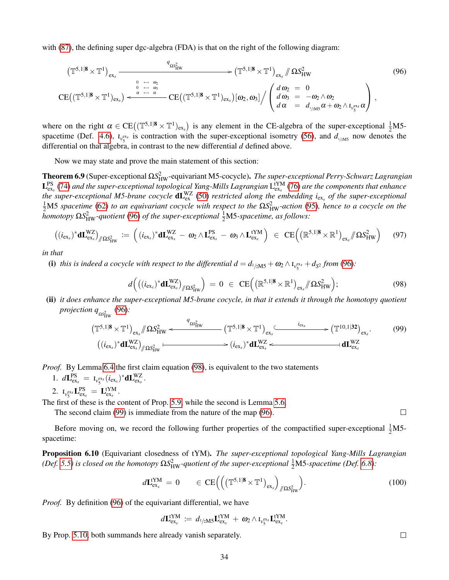with [\(87\)](#page-29-4), the defining super dgc-algebra (FDA) is that on the right of the following diagram:

<span id="page-33-1"></span>
$$
\left(\mathbb{T}^{5,1|\mathbf{8}} \times \mathbb{T}^1\right)_{\text{ex}_s} \xrightarrow{\qquad \qquad q_{\Omega_{\text{HW}}^2}} \qquad \qquad \longrightarrow \left(\mathbb{T}^{5,1|\mathbf{8}} \times \mathbb{T}^1\right)_{\text{ex}_s} \# \Omega S_{\text{HW}}^2 \qquad (96)
$$
\n
$$
\qquad \qquad \frac{0}{\Omega} \xrightarrow{\leftrightarrow} \frac{0}{\omega_3} \qquad \qquad \longrightarrow \left(\frac{d}{\omega_2} = 0\right)
$$

$$
\mathrm{CE}\big((\mathbb{T}^{5,1|\mathbf{8}}\times\mathbb{T}^1)_{\text{ex}_s}\big)\overset{0\quad\leftarrow\quad\omega_5}{\longleftarrow}\mathrm{CE}\big((\mathbb{T}^{5,1|\mathbf{8}}\times\mathbb{T}^1)_{\text{ex}_s}\big)[\omega_2,\omega_3]\big/\left(\begin{array}{cc} d\,\omega_2\;=\;0\\ d\,\omega_3\;=\;-\omega_2\wedge\omega_2\\ d\,\alpha\;=\;d_{\text{I/2MS}}\,\alpha+\omega_2\wedge\iota_{\nu_5^{ex}_s}\,\alpha\end{array}\right)\,,
$$

where on the right  $\alpha \in CE((\mathbb{T}^{5,1|\mathbf{8}} \times \mathbb{T}^1)_{ex_s})$  is any element in the CE-algebra of the super-exceptional  $\frac{1}{2}MS$ -spacetime (Def. [4.6\)](#page-19-1),  $t_{\nu_{5}^{exs}}$  is contraction with the super-exceptional isometry [\(56\)](#page-19-2), and  $d_{1/2MS}$  now denotes the differential on that algebra, in contrast to the new differential *d* defined above.

Now we may state and prove the main statement of this section:

<span id="page-33-0"></span>Theorem 6.9 (Super-exceptional Ω*S*<sup>2</sup><sub>HW</sub>-equivariant M5-cocycle). *The super-exceptional Perry-Schwarz Lagrangian* L<sup>PS</sup> [\(74\)](#page-25-6) and the super-exceptional topological Yang-Mills Lagrangian L<sup>tYM</sup> [\(76\)](#page-25-7) are the components that enhance the super-exceptional M5-brane cocycle  $dL_{ex}^{WZ}$  [\(50\)](#page-15-5) restricted along the embedding i<sub>ex<sub>s</sub> of the super-exceptional</sub>  $\frac{1}{2}$ M5 *spacetime* [\(62\)](#page-21-0) *to an equivariant cocycle with respect to the*  $\Omega S_{HW}^2$ -action [\(95\)](#page-32-1), hence to a cocycle on the *homotopy* ΩS<sup>2</sup><sub>HW</sub>-quotient [\(96\)](#page-33-1) of the super-exceptional  $\frac{1}{2}$ M5-spacetime, as follows:

<span id="page-33-4"></span>
$$
((i_{\text{ex}})^* \mathbf{d} \mathbf{L}_{\text{ex}}^{WZ})_{/\!\!/ \Omega S_{\text{HW}}^2} := ((i_{\text{ex}})^* \mathbf{d} \mathbf{L}_{\text{ex}}^{WZ} - \mathbf{\omega}_2 \wedge \mathbf{L}_{\text{ex}}^{\text{PS}} - \mathbf{\omega}_3 \wedge \mathbf{L}_{\text{ex}}^{\text{tYM}}) \in \text{CE} ((\mathbb{R}^{5,1|\mathbf{8}} \times \mathbb{R}^1)_{\text{ex}} / \Omega S_{\text{HW}}^2)
$$
(97)

*in that*

(i) this is indeed a cocycle with respect to the differential  $d = d_{1/2MS} + \omega_2 \wedge \iota_{\nu_5^{exs}} + d_{S^2}$  from [\(96\)](#page-33-1):

<span id="page-33-2"></span>
$$
d\Big(\big((i_{\text{ex}})^* \mathbf{dL}_{\text{ex}}^{WZ}\big)_{/\!\!/ \Omega S_{\text{HW}}^2}\Big) = 0 \in \text{CE}\Big(\big(\mathbb{R}^{5,1|\mathbf{8}} \times \mathbb{R}^1\big)_{\text{ex}}/\!\!/ \Omega S_{\text{HW}}^2\Big); \tag{98}
$$

(ii) *it does enhance the super-exceptional M5-brane cocycle, in that it extends it through the homotopy quotient projection q*<sub>ΩS<sup>2</sup><sub>HW</sub></sub> [\(96\)](#page-33-1):

<span id="page-33-3"></span>
$$
\left(\mathbb{T}^{5,1|\mathbf{8}}\times\mathbb{T}^{1}\right)_{\text{ex}}\/\!\!/ \Omega S_{\text{HW}}^{2} \leftarrow \left(\mathbb{T}^{5,1|\mathbf{8}}\times\mathbb{T}^{1}\right)_{\text{ex}}\xrightarrow{i_{\text{ex}}}\left(\mathbb{T}^{10,1|\mathbf{32}}\right)_{\text{ex}}.
$$
\n
$$
\left((i_{\text{ex}})^{*}\mathbf{d}L_{\text{ex}}^{WZ}\right)\/\!\!/ \Omega S_{\text{HW}}^{2} \leftarrow \rightarrow (i_{\text{ex}})^{*}\mathbf{d}L_{\text{ex}}^{WZ} \leftarrow \rightarrow \mathbf{d}L_{\text{ex}}^{WZ}
$$
\n
$$
\left((i_{\text{ex}})^{*}\mathbf{d}L_{\text{ex}}^{WZ}\right)\right)
$$
\n(99)

*Proof.* By Lemma [6.4](#page-29-6) the first claim equation [\(98\)](#page-33-2), is equivalent to the two statements

1. 
$$
d\mathbf{L}_{\textrm{ex}_s}^{\textrm{PS}} = \mathbf{t}_{\nu_{5}^{\textrm{ex}_s}}(i_{\textrm{ex}_s})^* d\mathbf{L}_{\textrm{ex}_s}^{\textrm{WZ}}
$$

2. 
$$
t_{v_5}^{ex_s} \mathbf{L}_{ex_s}^{PS} = \mathbf{L}_{ex_s}^{tYM}
$$
.

The first of these is the content of Prop. [5.9,](#page-26-0) while the second is Lemma [5.6.](#page-25-3)

.

The second claim [\(99\)](#page-33-3) is immediate from the nature of the map [\(96\)](#page-33-1).

Before moving on, we record the following further properties of the compactified super-exceptional  $\frac{1}{2}$ M5spacetime:

<span id="page-33-6"></span>Proposition 6.10 (Equivariant closedness of tYM). *The super-exceptional topological Yang-Mills Lagrangian (Def.* [5.5\)](#page-25-1) is closed on the homotopy  $\Omega S_{HW}^2$ -quotient of the super-exceptional  $\frac{1}{2}$ M5-spacetime (Def. [6.8\)](#page-32-0):

<span id="page-33-5"></span>
$$
d\mathbf{L}_{\text{ex}_s}^{\text{tYM}} = 0 \qquad \in \text{CE}\left( \left( \left( \mathbb{T}^{5,1|\mathbf{8}} \times \mathbb{T}^1 \right)_{\text{ex}_s} \right)_{/\!\!/ \Omega \text{S}_{\text{HW}}^2} \right). \tag{100}
$$

*Proof.* By definition [\(96\)](#page-33-1) of the equivariant differential, we have

$$
d\mathbf{L}_{\textrm{ex}_s}^\textrm{tYM}\,:=\,d_{1/2\textrm{M5}}\mathbf{L}_{\textrm{ex}_s}^\textrm{tYM} \,+\,\boldsymbol{\omega}_2\wedge\iota_{\nu_{5}^\textrm{ex}}\mathbf{L}_{\textrm{ex}_s}^\textrm{tYM}.
$$

<span id="page-33-7"></span>By Prop. [5.10,](#page-27-0) both summands here already vanish separately.

 $\Box$ 

 $\Box$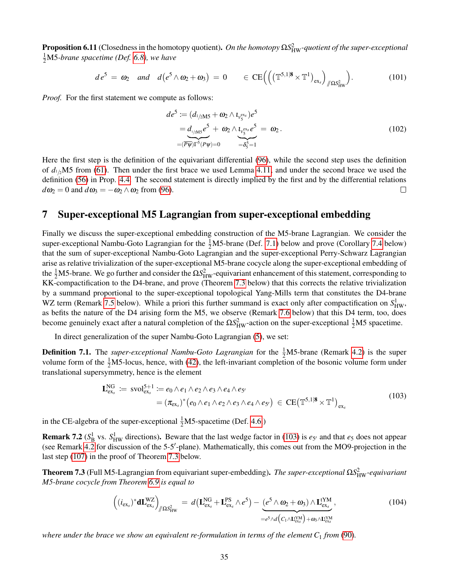Proposition 6.11 (Closedness in the homotopy quotient). *On the homotopy* ΩS<sup>2</sup><sub>HW</sub>-quotient of the super-exceptional 1 <sup>2</sup>M5*-brane spacetime (Def. [6.8\)](#page-32-0), we have*

<span id="page-34-4"></span>
$$
de^5 = \omega_2 \quad and \quad d\left(e^5 \wedge \omega_2 + \omega_3\right) = 0 \qquad \in \mathrm{CE}\Big(\Big(\big(\mathbb{T}^{5,1|\mathbf{8}} \times \mathbb{T}^1\big)_{\mathrm{ex}_s}\Big)_{/\!\!/ \Omega S^2_{\mathrm{HW}}}\Big). \tag{101}
$$

*Proof.* For the first statement we compute as follows:

$$
de^{5} := (d_{1/2MS} + \omega_2 \wedge t_{\nu_{5}^{ex}})e^{5}
$$
  
=  $d_{1/2MS}e^{5} + \omega_2 \wedge t_{\nu_{5}^{ex}}e^{5} = \omega_2$ . (102)  
=  $(\overline{P\psi})\Gamma^{5}(P\psi) = 0$   $= \delta_{5}^{5} = 1$ 

Here the first step is the definition of the equivariant differential [\(96\)](#page-33-1), while the second step uses the definition of  $d_{1/2}$ M5 from [\(61\)](#page-20-2). Then under the first brace we used Lemma [4.11,](#page-22-0) and under the second brace we used the definition [\(56\)](#page-19-2) in Prop. [4.4.](#page-19-0) The second statement is directly implied by the first and by the differential relations  $d\omega_2 = 0$  and  $d\omega_3 = -\omega_2 \wedge \omega_2$  from [\(96\)](#page-33-1).  $\Box$ 

### <span id="page-34-0"></span>7 Super-exceptional M5 Lagrangian from super-exceptional embedding

Finally we discuss the super-exceptional embedding construction of the M5-brane Lagrangian. We consider the super-exceptional Nambu-Goto Lagrangian for the  $\frac{1}{2}M$ 5-brane (Def. [7.1\)](#page-34-2) below and prove (Corollary [7.4](#page-35-0) below) that the sum of super-exceptional Nambu-Goto Lagrangian and the super-exceptional Perry-Schwarz Lagrangian arise as relative trivialization of the super-exceptional M5-brane cocycle along the super-exceptional embedding of the  $\frac{1}{2}M$ 5-brane. We go further and consider the  $\Omega S_{HW}^2$ -equivariant enhancement of this statement, corresponding to KK-compactification to the D4-brane, and prove (Theorem [7.3](#page-34-1) below) that this corrects the relative trivialization by a summand proportional to the super-exceptional topological Yang-Mills term that constitutes the D4-brane WZ term (Remark [7.5](#page-36-0) below). While a priori this further summand is exact only after compactification on  $S_{HW}^1$ , as befits the nature of the D4 arising form the M5, we observe (Remark [7.6](#page-36-1) below) that this D4 term, too, does become genuinely exact after a natural completion of the  $\Omega S_{HW}^2$ -action on the super-exceptional  $\frac{1}{2}M5$  spacetime.

In direct generalization of the super Nambu-Goto Lagrangian [\(5\)](#page-5-1), we set:

<span id="page-34-2"></span>**Definition 7.1.** The *super-exceptional Nambu-Goto Lagrangian* for the  $\frac{1}{2}$ M5-brane (Remark [4.2\)](#page-17-1) is the super volume form of the  $\frac{1}{2}M$ 5-locus, hence, with [\(42\)](#page-14-5), the left-invariant completion of the bosonic volume form under translational supersymmetry, hence is the element

<span id="page-34-3"></span>
$$
\mathbf{L}_{\text{ex}_s}^{\text{NG}} \coloneqq \text{svol}_{\text{ex}_s}^{\text{5+1}} \coloneqq e_0 \wedge e_1 \wedge e_2 \wedge e_3 \wedge e_4 \wedge e_5
$$
\n
$$
= (\pi_{\text{ex}_s})^* (e_0 \wedge e_1 \wedge e_2 \wedge e_3 \wedge e_4 \wedge e_5) \in \text{CE}(\mathbb{T}^{\text{5,1}|\mathbf{8}} \times \mathbb{T}^1)_{\text{ex}_s}
$$
\n(103)

in the CE-algebra of the super-exceptional  $\frac{1}{2}$ M5-spacetime (Def. [4.6.](#page-19-1))

**Remark 7.2** ( $S^1_B$  vs.  $S^1_{HW}$  directions). Beware that the last wedge factor in [\(103\)](#page-34-3) is  $e_{5'}$  and that  $e_5$  does not appear (see Remark [4.2](#page-17-1) for discussion of the 5-5'-plane). Mathematically, this comes out from the MO9-projection in the last step [\(107\)](#page-35-1) in the proof of Theorem [7.3](#page-34-1) below.

<span id="page-34-1"></span>Theorem 7.3 (Full M5-Lagrangian from equivariant super-embedding). *The super-exceptional* Ω*S*<sup>2</sup><sub>HW</sub>-equivariant *M5-brane cocycle from Theorem [6.9](#page-33-0) is equal to*

<span id="page-34-5"></span>
$$
\left( (i_{\text{ex}})^* \mathbf{d} \mathbf{L}_{\text{ex}}^{WZ} \right)_{/\!\!/ \Omega S_{\text{HW}}^2} = d \left( \mathbf{L}_{\text{ex}}^{\text{NG}} + \mathbf{L}_{\text{ex}}^{\text{PS}} \wedge e^5 \right) - \underbrace{\left( e^5 \wedge \omega_2 + \omega_3 \right) \wedge \mathbf{L}_{\text{ex}}^{\text{YM}}}_{= e^5 \wedge d \left( C_1 \wedge \mathbf{L}_{\text{ex}}^{\text{YM}} \right) + \omega_3 \wedge \mathbf{L}_{\text{ex}}^{\text{YM}}} ,
$$
\n(104)

*where under the brace we show an equivalent re-formulation in terms of the element C*<sup>1</sup> *from* [\(90\)](#page-30-1)*.*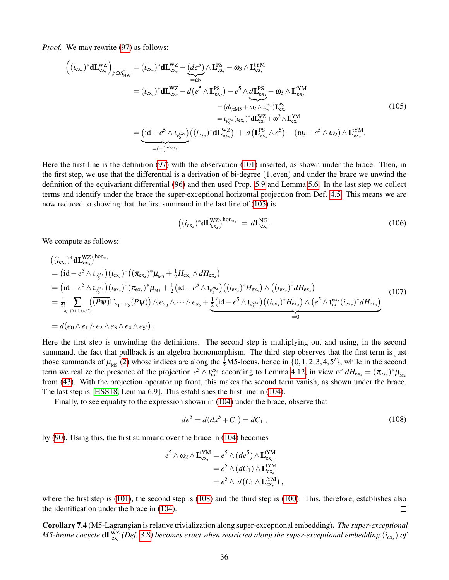*Proof.* We may rewrite [\(97\)](#page-33-4) as follows:

<span id="page-35-2"></span>
$$
\left((i_{\text{ex}})^* \mathbf{d} \mathbf{L}_{\text{ex}}^{WZ}\right)_{/\!\!/ \Omega S_{\text{HW}}^2} = (i_{\text{ex}})^* \mathbf{d} \mathbf{L}_{\text{ex}}^{WZ} - \underbrace{(de^5)}_{=\omega_2} \wedge \mathbf{L}_{\text{ex}}^{PS} - \omega_3 \wedge \mathbf{L}_{\text{ex}}^{YM} \n= (i_{\text{ex}})^* \mathbf{d} \mathbf{L}_{\text{ex}}^{WZ} - d\left(e^5 \wedge \mathbf{L}_{\text{ex}}^{PS}\right) - e^5 \wedge d\mathbf{L}_{\text{ex}}^{PS} - \omega_3 \wedge \mathbf{L}_{\text{ex}}^{YM} \n= (i_{\text{ex}})^* \mathbf{d} \mathbf{L}_{\text{ex}}^{WZ} - d\left(e^5 \wedge \mathbf{L}_{\text{ex}}^{PS}\right) - e^5 \wedge d\mathbf{L}_{\text{ex}}^{PS} - \omega_3 \wedge \mathbf{L}_{\text{ex}}^{YM} \n= (i_{\text{ex}})^* \mathbf{d} \mathbf{L}_{\text{ex}}^{WZ} + \omega_2 \wedge \mathbf{L}_{\text{ex}}^{YM} \n= i_{\text{ex}}^{\text{ex}} (i_{\text{ex}})^* \mathbf{d} \mathbf{L}_{\text{ex}}^{WZ} + \omega_2 \wedge \mathbf{L}_{\text{ex}}^{YM} \n= (-)^{\text{hor}_{\text{ex}}^{\text{ex}}} \left((i_{\text{ex}})^* \mathbf{d} \mathbf{L}_{\text{ex}}^{WZ}\right) + d\left(\mathbf{L}_{\text{ex}}^{PS} \wedge e^5\right) - (\omega_3 + e^5 \wedge \omega_2) \wedge \mathbf{L}_{\text{ex}}^{YM}.
$$
\n(105)

Here the first line is the definition [\(97\)](#page-33-4) with the observation [\(101\)](#page-34-4) inserted, as shown under the brace. Then, in the first step, we use that the differential is a derivation of bi-degree (1, even) and under the brace we unwind the definition of the equivariant differential [\(96\)](#page-33-1) and then used Prop. [5.9](#page-26-0) and Lemma [5.6.](#page-25-3) In the last step we collect terms and identify under the brace the super-exceptional horizontal projection from Def. [4.5.](#page-19-6) This means we are now reduced to showing that the first summand in the last line of [\(105\)](#page-35-2) is

$$
\left( (i_{\text{ex}})^* \mathbf{d} \mathbf{L}_{\text{ex}}^{\text{WZ}} \right)^{\text{hor}_{\text{ex}}}= d \mathbf{L}_{\text{ex}}^{\text{NG}}.
$$
\n(106)

We compute as follows:

<span id="page-35-1"></span>
$$
\begin{split}\n&\left((i_{\text{ex}})^* \mathbf{d} \mathbf{L}_{\text{ex}}^{WZ}\right)^{\text{hor}_{\text{ex}}}, \\
&= \left(\text{id} - e^5 \wedge \iota_{\nu_5}^{\text{ex}}\right) (i_{\text{ex}})^* \left((\pi_{\text{ex}})^* \mu_{\text{M5}} + \frac{1}{2} H_{\text{ex}} \wedge dH_{\text{ex}}\right) \\
&= \left(\text{id} - e^5 \wedge \iota_{\nu_5}^{\text{ex}}\right) (i_{\text{ex}})^* (\pi_{\text{ex}})^* \mu_{\text{M5}} + \frac{1}{2} \left(\text{id} - e^5 \wedge \iota_{\nu_5}^{\text{ex}}\right) \left((i_{\text{ex}})^* H_{\text{ex}}\right) \wedge \left((i_{\text{ex}})^* dH_{\text{ex}}\right) \\
&= \frac{1}{5!} \sum_{a_i \in \{0, 1, 2, 3, 4, 5'\}} \left(\overline{(P\psi)} \Gamma_{a_1 \cdots a_5} (P\psi)\right) \wedge e_{a_0} \wedge \cdots \wedge e_{a_5} + \frac{1}{2} \left(\text{id} - e^5 \wedge \iota_{\nu_5}^{\text{ex}}\right) \left((i_{\text{ex}})^* H_{\text{ex}}\right) \wedge \left(e^5 \wedge \iota_{\nu_5}^{\text{ex}}(i_{\text{ex}})^* dH_{\text{ex}}\right) \\
&= d\left(e_0 \wedge e_1 \wedge e_2 \wedge e_3 \wedge e_4 \wedge e_5\right).\n\end{split} \tag{107}
$$

Here the first step is unwinding the definitions. The second step is multiplying out and using, in the second summand, the fact that pullback is an algebra homomorphism. The third step observes that the first term is just those summands of  $\mu_{\text{MS}}$  [\(2\)](#page-4-0) whose indices are along the  $\frac{1}{2}$ M5-locus, hence in  $\{0, 1, 2, 3, 4, 5'\}$ , while in the second term we realize the presence of the projection  $e^5 \wedge t_{\nu_5}^{\text{ex}}$  according to Lemma [4.12,](#page-22-2) in view of  $dH_{\text{ex}} = (\pi_{\text{ex}})^* \mu_{\text{M2}}$ from [\(43\)](#page-14-4). With the projection operator up front, this makes the second term vanish, as shown under the brace. The last step is [\[HSS18,](#page-42-1) Lemma 6.9]. This establishes the first line in [\(104\)](#page-34-5).

Finally, to see equality to the expression shown in [\(104\)](#page-34-5) under the brace, observe that

<span id="page-35-3"></span>
$$
de^5 = d(dx^5 + C_1) = dC_1 , \t\t(108)
$$

by [\(90\)](#page-30-1). Using this, the first summand over the brace in [\(104\)](#page-34-5) becomes

$$
e^5 \wedge \omega_2 \wedge \mathbf{L}_{\text{ex}_s}^{\text{YM}} = e^5 \wedge (de^5) \wedge \mathbf{L}_{\text{ex}_s}^{\text{YM}} = e^5 \wedge (dC_1) \wedge \mathbf{L}_{\text{ex}_s}^{\text{YM}} = e^5 \wedge d(C_1 \wedge \mathbf{L}_{\text{ex}_s}^{\text{YM}}),
$$

where the first step is [\(101\)](#page-34-4), the second step is [\(108\)](#page-35-3) and the third step is [\(100\)](#page-33-5). This, therefore, establishes also the identification under the brace in [\(104\)](#page-34-5).  $\Box$ 

<span id="page-35-0"></span>Corollary 7.4 (M5-Lagrangian is relative trivialization along super-exceptional embedding). *The super-exceptional* M5-brane cocycle  $dL_{ex_s}^{WZ}$  (Def. [3.8\)](#page-15-0) becomes exact when restricted along the super-exceptional embedding  $(i_{ex_s})$  of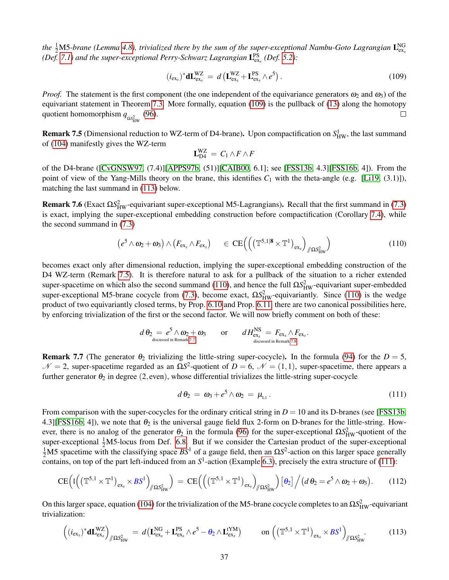the  $\frac{1}{2}$ M5*-brane (Lemma [4.8\)](#page-20-1), trivialized there by the sum of the super-exceptional Nambu-Goto Lagrangian*  $L_{ex_{s}}^{NG}$ *(Def.* [7.1\)](#page-34-2) and the super-exceptional Perry-Schwarz Lagrangian  $L_{\text{ex}}^{\text{PS}}$  *(Def.* [5.2\)](#page-24-0):

<span id="page-36-3"></span>
$$
(i_{\text{ex}})^{*} \mathbf{d} \mathbf{L}_{\text{ex}}^{WZ} = d \left( \mathbf{L}_{\text{ex}}^{WZ} + \mathbf{L}_{\text{ex}}^{PS} \wedge e^{5} \right).
$$
 (109)

*Proof.* The statement is the first component (the one independent of the equivariance generators  $\omega_2$  and  $\omega_3$ ) of the equivariant statement in Theorem [7.3.](#page-34-1) More formally, equation [\(109\)](#page-36-3) is the pullback of [\(13\)](#page-8-2) along the homotopy quotient homomorphism  $q_{\Omega S_{HW}^2}$  [\(96\)](#page-33-1).  $\Box$ 

<span id="page-36-0"></span>**Remark 7.5** (Dimensional reduction to WZ-term of D4-brane). Upon compactification on  $S^1_{HW}$ , the last summand of [\(104\)](#page-34-5) manifestly gives the WZ-term

$$
\mathbf{L}_{\mathrm{D}4}^{\mathrm{WZ}} = C_1 \wedge F \wedge F
$$

of the D4-brane ([\[CvGNSW97,](#page-40-18) (7.4)][\[APPS97b,](#page-39-2) (51)][\[CAIB00,](#page-40-19) 6.1]; see [\[FSS13b,](#page-40-0) 4.3][\[FSS16b,](#page-41-1) 4]). From the point of view of the Yang-Mills theory on the brane, this identifies  $C_1$  with the theta-angle (e.g. [\[Li19,](#page-42-21) (3.1)]), matching the last summand in [\(113\)](#page-36-4) below.

<span id="page-36-1"></span>**Remark 7.6** (Exact  $\Omega S_{HW}^2$ -equivariant super-exceptional M5-Lagrangians). Recall that the first summand in [\(7.3\)](#page-34-1) is exact, implying the super-exceptional embedding construction before compactification (Corollary [7.4\)](#page-35-0), while the second summand in [\(7.3\)](#page-34-1)

<span id="page-36-5"></span>
$$
\left(e^5 \wedge \omega_2 + \omega_3\right) \wedge \left(F_{\text{ex}_s} \wedge F_{\text{ex}_s}\right) \quad \in \text{CE}\left(\left(\left(\mathbb{T}^{5,1|\mathbf{8}} \times \mathbb{T}^1\right)_{\text{ex}_s}\right)_{\text{max}}\right) \tag{110}
$$

becomes exact only after dimensional reduction, implying the super-exceptional embedding construction of the D4 WZ-term (Remark [7.5\)](#page-36-0). It is therefore natural to ask for a pullback of the situation to a richer extended super-spacetime on which also the second summand [\(110\)](#page-36-5), and hence the full  $\Omega S_{HW}^2$ -equivariant super-embedded super-exceptional M5-brane cocycle from [\(7.3\)](#page-34-1), become exact,  $\Omega S_{HW}^2$ -equivariantly. Since [\(110\)](#page-36-5) is the wedge product of two equivariantly closed terms, by Prop. [6.10](#page-33-6) and Prop. [6.11,](#page-33-7) there are two canonical possibilities here, by enforcing trivialization of the first or the second factor. We will now briefly comment on both of these:

$$
d\,\theta_2 = e^5 \wedge \omega_2 + \omega_3 \qquad \text{or} \qquad d\,H_{\mathrm{ex}_s}^{\mathrm{NS}} = F_{\mathrm{ex}_s} \wedge F_{\mathrm{ex}_s}.
$$
  
<sub>discussed in Remark 7.7</sub>

<span id="page-36-6"></span>Remark 7.7 (The generator  $\theta_2$  trivializing the little-string super-cocycle). In the formula [\(94\)](#page-32-2) for the  $D = 5$ ,  $N = 2$ , super-spacetime regarded as an  $\Omega S^2$ -quotient of *D* = 6,  $\mathcal{N} = (1,1)$ , super-spacetime, there appears a further generator  $\theta_2$  in degree (2, even), whose differential trivializes the little-string super-cocycle

<span id="page-36-7"></span>
$$
d\theta_2 = \omega_3 + e^5 \wedge \omega_2 = \mu_{L1}.
$$
\n(111)

From comparison with the super-cocycles for the ordinary critical string in  $D = 10$  and its D-branes (see [\[FSS13b,](#page-40-0) 4.3][\[FSS16b,](#page-41-1) 4]), we note that  $\theta_2$  is the universal gauge field flux 2-form on D-branes for the little-string. However, there is no analog of the generator  $\theta_2$  in the formula [\(96\)](#page-33-1) for the super-exceptional  $\Omega S_{HW}^2$ -quotient of the super-exceptional  $\frac{1}{2}$ M5-locus from Def. [6.8.](#page-32-0) But if we consider the Cartesian product of the super-exceptional  $\frac{1}{2}$ M5 spacetime with the classifying space *BS*<sup>1</sup> of a gauge field, then an Ω*S*<sup>2</sup>-action on this larger space generally contains, on top of the part left-induced from an  $S^1$ -action (Example [6.3\)](#page-29-1), precisely the extra structure of [\(111\)](#page-36-7):

$$
\mathrm{CE}\Big(\mathrm{I}\Big(\big(\mathbb{T}^{5,1}\times\mathbb{T}^1\big)_{\mathrm{ex}_s}\times B S^1\Big)_{\mathscr{J}\Omega S^2_{\mathrm{HW}}}\Big) = \mathrm{CE}\Big(\Big(\big(\mathbb{T}^{5,1}\times\mathbb{T}^1\big)_{\mathrm{ex}_s}\Big)_{\mathscr{J}\Omega S^2_{\mathrm{HW}}}\Big)\big[\theta_2\big]\Big/\big(d\,\theta_2\big) = e^5\wedge\omega_2+\omega_3\big).
$$
 (112)

On this larger space, equation [\(104\)](#page-34-5) for the trivialization of the M5-brane cocycle completes to an  $\Omega S_{HW}^2$ -equivariant trivialization:

<span id="page-36-4"></span><span id="page-36-2"></span>
$$
\left( (i_{\text{ex}})^* \mathbf{d} \mathbf{L}_{\text{ex}}^{\text{WZ}} \right)_{/\!\!/ \Omega \mathcal{S}_{\text{HW}}^2} = d \left( \mathbf{L}_{\text{ex}}^{\text{NG}} + \mathbf{L}_{\text{ex}}^{\text{PS}} \wedge e^5 - \theta_2 \wedge \mathbf{L}_{\text{ex}}^{\text{YM}} \right) \qquad \text{on} \left( \left( \mathbb{T}^{5,1} \times \mathbb{T}^1 \right)_{\text{ex}} \times \mathcal{B} \mathcal{S}^1 \right)_{/\!\!/ \Omega \mathcal{S}_{\text{HW}}^2} . \tag{113}
$$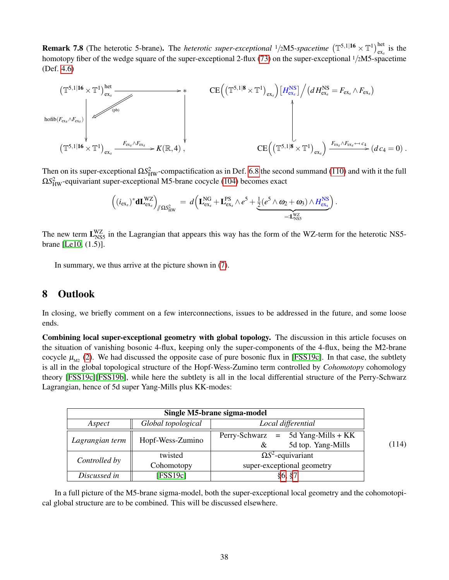**Remark 7.8** (The heterotic 5-brane). The *heterotic super-exceptional*  $1/2$ M5*-spacetime*  $(\mathbb{T}^{5,1|16} \times \mathbb{T}^{1})^{het}_{ex}$  is the homotopy fiber of the wedge square of the super-exceptional 2-flux [\(73\)](#page-25-5) on the super-exceptional <sup>1</sup>/2M5-spacetime (Def. [4.6\)](#page-19-1)



Then on its super-exceptional  $\Omega S_{HW}^2$ -compactification as in Def. [6.8](#page-32-0) the second summand [\(110\)](#page-36-5) and with it the full Ω*S* 2 HW-equivariant super-exceptional M5-brane cocycle [\(104\)](#page-34-5) becomes exact

$$
\left((i_{\text{ex}})^* \mathbf{d} \mathbf{L}_{\text{ex}}^{\text{WZ}}\right)_{/\!\!/ \Omega S_{\text{HW}}^2} = d\left(\mathbf{L}_{\text{ex}}^{\text{NG}} + \mathbf{L}_{\text{ex}}^{\text{PS}} \wedge e^5 + \underbrace{\frac{1}{2}(e^5 \wedge \omega_2 + \omega_3) \wedge H_{\text{ex}}^{\text{NS}}}_{=: \mathbf{L}_{\text{NS5}}^{\text{WZ}}} \right).
$$

The new term  $L_{NS5}^{WZ}$  in the Lagrangian that appears this way has the form of the WZ-term for the heterotic NS5brane [\[Le10,](#page-42-22) (1.5)].

In summary, we thus arrive at the picture shown in [\(7\)](#page-7-1).

### <span id="page-37-0"></span>8 Outlook

In closing, we briefly comment on a few interconnections, issues to be addressed in the future, and some loose ends.

Combining local super-exceptional geometry with global topology. The discussion in this article focuses on the situation of vanishing bosonic 4-flux, keeping only the super-components of the 4-flux, being the M2-brane cocycle  $\mu_{M2}$  [\(2\)](#page-4-0). We had discussed the opposite case of pure bosonic flux in [\[FSS19c\]](#page-41-3). In that case, the subtlety is all in the global topological structure of the Hopf-Wess-Zumino term controlled by *Cohomotopy* cohomology theory [\[FSS19c\]](#page-41-3)[\[FSS19b\]](#page-41-2), while here the subtlety is all in the local differential structure of the Perry-Schwarz Lagrangian, hence of 5d super Yang-Mills plus KK-modes:

<span id="page-37-1"></span>

| Single M5-brane sigma-model |                    |                                                                    |       |
|-----------------------------|--------------------|--------------------------------------------------------------------|-------|
| Aspect                      | Global topological | Local differential                                                 |       |
| Lagrangian term             | Hopf-Wess-Zumino   | $=$ 5d Yang-Mills + KK<br>Perry-Schwarz<br>5d top. Yang-Mills<br>& | (114) |
| Controlled by               | twisted            | $\Omega S^2$ -equivariant                                          |       |
|                             | Cohomotopy         | super-exceptional geometry                                         |       |
| Discussed in                | [FSS19c]           | §6, §7                                                             |       |

In a full picture of the M5-brane sigma-model, both the super-exceptional local geometry and the cohomotopical global structure are to be combined. This will be discussed elsewhere.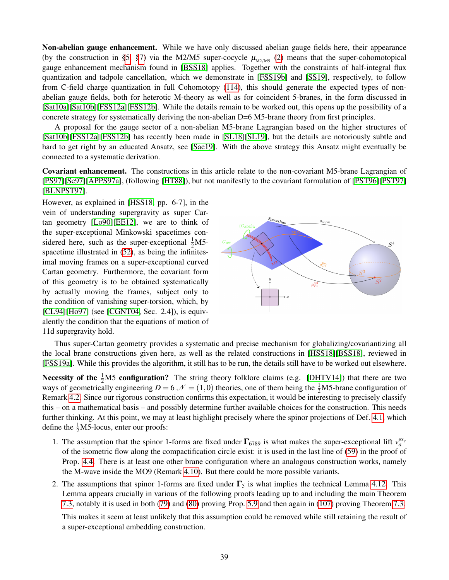Non-abelian gauge enhancement. While we have only discussed abelian gauge fields here, their appearance (by the construction in [§5,](#page-23-0) [§7\)](#page-34-0) via the M2/M5 super-cocycle  $\mu_{M2/M5}$  [\(2\)](#page-4-0) means that the super-cohomotopical gauge enhancement mechanism found in [\[BSS18\]](#page-40-8) applies. Together with the constraints of half-integral flux quantization and tadpole cancellation, which we demonstrate in [\[FSS19b\]](#page-41-2) and [\[SS19\]](#page-43-17), respectively, to follow from C-field charge quantization in full Cohomotopy [\(114\)](#page-37-1), this should generate the expected types of nonabelian gauge fields, both for heterotic M-theory as well as for coincident 5-branes, in the form discussed in [\[Sat10a\]](#page-43-18)[\[Sat10b\]](#page-43-19)[\[FSS12a\]](#page-40-20)[\[FSS12b\]](#page-41-22). While the details remain to be worked out, this opens up the possibility of a concrete strategy for systematically deriving the non-abelian D=6 M5-brane theory from first principles.

A proposal for the gauge sector of a non-abelian M5-brane Lagrangian based on the higher structures of [\[Sat10b\]](#page-43-19)[\[FSS12a\]](#page-40-20)[\[FSS12b\]](#page-41-22) has recently been made in [\[SL18\]](#page-43-20)[\[SL19\]](#page-43-21), but the details are notoriously subtle and hard to get right by an educated Ansatz, see [\[Sae19\]](#page-43-22). With the above strategy this Ansatz might eventually be connected to a systematic derivation.

Covariant enhancement. The constructions in this article relate to the non-covariant M5-brane Lagrangian of [\[PS97\]](#page-42-4)[\[Sc97\]](#page-43-4)[\[APPS97a\]](#page-39-0), (following [\[HT88\]](#page-41-16)), but not manifestly to the covariant formulation of [\[PST96\]](#page-42-15)[\[PST97\]](#page-42-5) [\[BLNPST97\]](#page-39-1).

However, as explained in [\[HSS18,](#page-42-1) pp. 6-7], in the vein of understanding supergravity as super Cartan geometry [\[Lo90\]](#page-42-23)[\[EE12\]](#page-40-21), we are to think of the super-exceptional Minkowski spacetimes considered here, such as the super-exceptional  $\frac{1}{2}$ M5spacetime illustrated in [\(52\)](#page-17-4), as being the infinitesimal moving frames on a super-exceptional curved Cartan geometry. Furthermore, the covariant form of this geometry is to be obtained systematically by actually moving the frames, subject only to the condition of vanishing super-torsion, which, by [\[CL94\]](#page-40-22)[\[Ho97\]](#page-41-23) (see [\[CGNT04,](#page-40-23) Sec. 2.4]), is equivalently the condition that the equations of motion of 11d supergravity hold.



Thus super-Cartan geometry provides a systematic and precise mechanism for globalizing/covariantizing all the local brane constructions given here, as well as the related constructions in [\[HSS18\]](#page-42-1)[\[BSS18\]](#page-40-8), reviewed in [\[FSS19a\]](#page-41-0). While this provides the algorithm, it still has to be run, the details still have to be worked out elsewhere.

Necessity of the  $\frac{1}{2}M5$  configuration? The string theory folklore claims (e.g. [\[DHTV14\]](#page-40-15)) that there are two ways of geometrically engineering  $D = 6 \mathcal{N} = (1,0)$  theories, one of them being the  $\frac{1}{2}$ M5-brane configuration of Remark [4.2.](#page-17-1) Since our rigorous construction confirms this expectation, it would be interesting to precisely classify this – on a mathematical basis – and possibly determine further available choices for the construction. This needs further thinking. At this point, we may at least highlight precisely where the spinor projections of Def. [4.1,](#page-17-2) which define the  $\frac{1}{2}$ M5-locus, enter our proofs:

- 1. The assumption that the spinor 1-forms are fixed under  $\Gamma_{6789}$  is what makes the super-exceptional lift  $v_a^{\text{ex}}$ of the isometric flow along the compactification circle exist: it is used in the last line of [\(59\)](#page-19-7) in the proof of Prop. [4.4.](#page-19-0) There is at least one other brane configuration where an analogous construction works, namely the M-wave inside the MO9 (Remark [4.10\)](#page-22-3). But there could be more possible variants.
- 2. The assumptions that spinor 1-forms are fixed under  $\Gamma_5$  is what implies the technical Lemma [4.12.](#page-22-2) This Lemma appears crucially in various of the following proofs leading up to and including the main Theorem [7.3,](#page-34-1) notably it is used in both [\(79\)](#page-27-1) and [\(80\)](#page-27-2) proving Prop. [5.9](#page-26-0) and then again in [\(107\)](#page-35-1) proving Theorem [7.3.](#page-34-1)

This makes it seem at least unlikely that this assumption could be removed while still retaining the result of a super-exceptional embedding construction.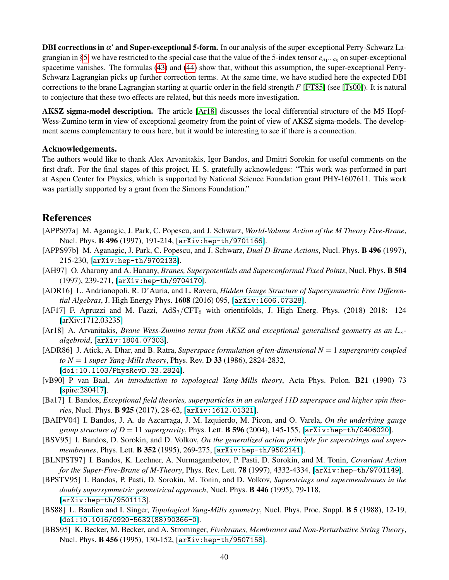DBI corrections in  $\alpha'$  and Super-exceptional 5-form. In our analysis of the super-exceptional Perry-Schwarz La-grangian in [§5,](#page-23-0) we have restricted to the special case that the value of the 5-index tensor  $e_{a_1\cdots a_5}$  on super-exceptional spacetime vanishes. The formulas [\(43\)](#page-14-4) and [\(44\)](#page-14-2) show that, without this assumption, the super-exceptional Perry-Schwarz Lagrangian picks up further correction terms. At the same time, we have studied here the expected DBI corrections to the brane Lagrangian starting at quartic order in the field strength *F* [\[FT85\]](#page-41-24) (see [\[Ts00\]](#page-43-23)). It is natural to conjecture that these two effects are related, but this needs more investigation.

AKSZ sigma-model description. The article [\[Ar18\]](#page-39-14) discusses the local differential structure of the M5 Hopf-Wess-Zumino term in view of exceptional geometry from the point of view of AKSZ sigma-models. The development seems complementary to ours here, but it would be interesting to see if there is a connection.

### Acknowledgements.

The authors would like to thank Alex Arvanitakis, Igor Bandos, and Dmitri Sorokin for useful comments on the first draft. For the final stages of this project, H. S. gratefully acknowledges: "This work was performed in part at Aspen Center for Physics, which is supported by National Science Foundation grant PHY-1607611. This work was partially supported by a grant from the Simons Foundation."

### References

- <span id="page-39-0"></span>[APPS97a] M. Aganagic, J. Park, C. Popescu, and J. Schwarz, *World-Volume Action of the M Theory Five-Brane*, Nucl. Phys. B 496 (1997), 191-214, [[arXiv:hep-th/9701166](https://arxiv.org/abs/hep-th/9701166)].
- <span id="page-39-2"></span>[APPS97b] M. Aganagic, J. Park, C. Popescu, and J. Schwarz, *Dual D-Brane Actions*, Nucl. Phys. B 496 (1997), 215-230, [[arXiv:hep-th/9702133](https://arxiv.org/abs/hep-th/9702133)].
- <span id="page-39-12"></span>[AH97] O. Aharony and A. Hanany, *Branes, Superpotentials and Superconformal Fixed Points*, Nucl. Phys. B 504 (1997), 239-271, [[arXiv:hep-th/9704170](https://arxiv.org/abs/hep-th/9704170)].
- <span id="page-39-5"></span>[ADR16] L. Andrianopoli, R. D'Auria, and L. Ravera, *Hidden Gauge Structure of Supersymmetric Free Differential Algebras*, J. High Energy Phys. 1608 (2016) 095, [[arXiv:1606.07328](https://arxiv.org/abs/1606.07328)].
- <span id="page-39-11"></span>[AF17] F. Apruzzi and M. Fazzi,  $AdS_7/CFT_6$  with orientifolds, J. High Energ. Phys. (2018) 2018: 124 [\[arXiv:1712.03235\]](https://arxiv.org/abs/1712.03235)
- <span id="page-39-14"></span>[Ar18] A. Arvanitakis, *Brane Wess-Zumino terms from AKSZ and exceptional generalised geometry as an L*∞ *algebroid*, [[arXiv:1804.07303](https://arxiv.org/abs/1804.07303)].
- <span id="page-39-13"></span>[ADR86] J. Atick, A. Dhar, and B. Ratra, *Superspace formulation of ten-dimensional N* = 1 *supergravity coupled to N* = 1 *super Yang-Mills theory*, Phys. Rev. D 33 (1986), 2824-2832, [[doi:10.1103/PhysRevD.33.2824](https://journals.aps.org/prd/abstract/10.1103/PhysRevD.33.2824)].
- <span id="page-39-10"></span>[vB90] P van Baal, *An introduction to topological Yang-Mills theory*, Acta Phys. Polon. B21 (1990) 73 [\[spire:280417\]](http://inspirehep.net/record/280417).
- <span id="page-39-3"></span>[Ba17] I. Bandos, *Exceptional field theories, superparticles in an enlarged 11D superspace and higher spin theories*, Nucl. Phys. B 925 (2017), 28-62, [[arXiv:1612.01321](https://arxiv.org/abs/1612.01321)].
- <span id="page-39-4"></span>[BAIPV04] I. Bandos, J. A. de Azcarraga, J. M. Izquierdo, M. Picon, and O. Varela, *On the underlying gauge group structure of D* = 11 *supergravity*, Phys. Lett. **B 596** (2004), 145-155, [arXiv: hep-th/0406020].
- <span id="page-39-7"></span>[BSV95] I. Bandos, D. Sorokin, and D. Volkov, *On the generalized action principle for superstrings and supermembranes*, Phys. Lett. B 352 (1995), 269-275, [[arXiv:hep-th/9502141](https://arxiv.org/abs/hep-th/9502141)].
- <span id="page-39-1"></span>[BLNPST97] I. Bandos, K. Lechner, A. Nurmagambetov, P. Pasti, D. Sorokin, and M. Tonin, *Covariant Action for the Super-Five-Brane of M-Theory*, Phys. Rev. Lett. 78 (1997), 4332-4334, [[arXiv:hep-th/9701149](https://arxiv.org/abs/hep-th/9701149)].
- <span id="page-39-6"></span>[BPSTV95] I. Bandos, P. Pasti, D. Sorokin, M. Tonin, and D. Volkov, *Superstrings and supermembranes in the doubly supersymmetric geometrical approach*, Nucl. Phys. B 446 (1995), 79-118, [[arXiv:hep-th/9501113](https://arxiv.org/abs/hep-th/9501113)].
- <span id="page-39-9"></span>[BS88] L. Baulieu and I. Singer, *Topological Yang-Mills symmetry*, Nucl. Phys. Proc. Suppl. B 5 (1988), 12-19, [[doi:10.1016/0920-5632\(88\)90366-0](https://doi.org/10.1016/0920-5632(88)90366-0)].
- <span id="page-39-8"></span>[BBS95] K. Becker, M. Becker, and A. Strominger, *Fivebranes, Membranes and Non-Perturbative String Theory*, Nucl. Phys. B 456 (1995), 130-152, [[arXiv:hep-th/9507158](https://arxiv.org/abs/hep-th/9507158)].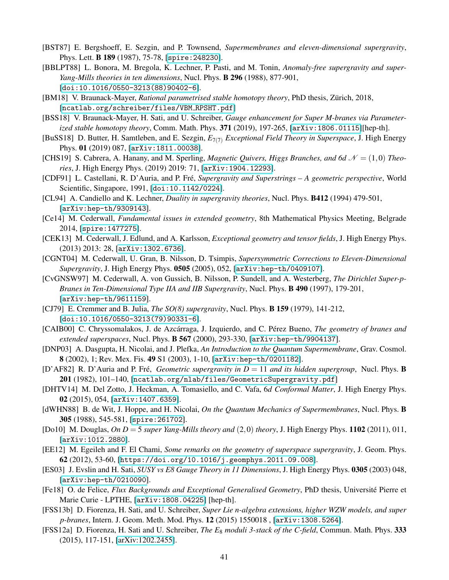- <span id="page-40-7"></span>[BST87] E. Bergshoeff, E. Sezgin, and P. Townsend, *Supermembranes and eleven-dimensional supergravity*, Phys. Lett. B 189 (1987), 75-78, [[spire:248230](http://inspirehep.net/record/248230)].
- <span id="page-40-16"></span>[BBLPT88] L. Bonora, M. Bregola, K. Lechner, P. Pasti, and M. Tonin, *Anomaly-free supergravity and super-Yang-Mills theories in ten dimensions*, Nucl. Phys. B 296 (1988), 877-901, [[doi:10.1016/0550-3213\(88\)90402-6](https://doi.org/10.1016/0550-3213(88)90402-6)].
- <span id="page-40-9"></span>[BM18] V. Braunack-Mayer, *Rational parametrised stable homotopy theory*, PhD thesis, Zürich, 2018, [[ncatlab.org/schreiber/files/VBM](https://ncatlab.org/schreiber/files/VBM_RPSHT.pdf)\_RPSHT.pdf]
- <span id="page-40-8"></span>[BSS18] V. Braunack-Mayer, H. Sati, and U. Schreiber, *Gauge enhancement for Super M-branes via Parameterized stable homotopy theory*, Comm. Math. Phys. 371 (2019), 197-265, [[arXiv:1806.01115](https://arxiv.org/abs/1806.01115)][hep-th].
- <span id="page-40-6"></span>[BuSS18] D. Butter, H. Samtleben, and E. Sezgin, *E*7(7) *Exceptional Field Theory in Superspace*, J. High Energy Phys. 01 (2019) 087, [[arXiv:1811.00038](https://arxiv.org/abs/1811.00038)].
- <span id="page-40-14"></span>[CHS19] S. Cabrera, A. Hanany, and M. Sperling, *Magnetic Quivers, Higgs Branches, and 6d*  $\mathcal{N} = (1,0)$  *Theories*, J. High Energy Phys. (2019) 2019: 71, [[arXiv:1904.12293](https://arxiv.org/abs/1904.12293)].
- <span id="page-40-10"></span>[CDF91] L. Castellani, R. D'Auria, and P. Fre,´ *Supergravity and Superstrings – A geometric perspective*, World Scientific, Singapore, 1991, [[doi:10.1142/0224](https://doi.org/10.1142/0224)].
- <span id="page-40-22"></span>[CL94] A. Candiello and K. Lechner, *Duality in supergravity theories*, Nucl. Phys. B412 (1994) 479-501, [[arXiv:hep-th/9309143](https://arxiv.org/abs/hep-th/9309143)].
- <span id="page-40-3"></span>[Ce14] M. Cederwall, *Fundamental issues in extended geometry*, 8th Mathematical Physics Meeting, Belgrade 2014, [[spire:1477275](http://inspirehep.net/record/1477275)].
- <span id="page-40-4"></span>[CEK13] M. Cederwall, J. Edlund, and A. Karlsson, *Exceptional geometry and tensor fields*, J. High Energy Phys. (2013) 2013: 28, [[arXiv:1302.6736](https://arxiv.org/abs/1302.6736)].
- <span id="page-40-23"></span>[CGNT04] M. Cederwall, U. Gran, B. Nilsson, D. Tsimpis, *Supersymmetric Corrections to Eleven-Dimensional Supergravity*, J. High Energy Phys. 0505 (2005), 052, [[arXiv:hep-th/0409107](https://arxiv.org/abs/hep-th/0409107)].
- <span id="page-40-18"></span>[CvGNSW97] M. Cederwall, A. von Gussich, B. Nilsson, P. Sundell, and A. Westerberg, *The Dirichlet Super-p-Branes in Ten-Dimensional Type IIA and IIB Supergravity*, Nucl. Phys. B 490 (1997), 179-201, [[arXiv:hep-th/9611159](https://arxiv.org/abs/hep-th/9611159)].
- <span id="page-40-1"></span>[CJ79] E. Cremmer and B. Julia, *The SO(8) supergravity*, Nucl. Phys. B 159 (1979), 141-212, [[doi:10.1016/0550-3213\(79\)90331-6](https://doi.org/1016/0550-3213(79)90331-6)].
- <span id="page-40-19"></span>[CAIB00] C. Chryssomalakos, J. de Azcárraga, J. Izquierdo, and C. Pérez Bueno, *The geometry of branes and extended superspaces*, Nucl. Phys. B 567 (2000), 293-330, [[arXiv:hep-th/9904137](http://arxiv.org/abs/hep-th/9904137)].
- <span id="page-40-12"></span>[DNP03] A. Dasgupta, H. Nicolai, and J. Plefka, *An Introduction to the Quantum Supermembrane*, Grav. Cosmol. 8 (2002), 1; Rev. Mex. Fis. 49 S1 (2003), 1-10, [[arXiv:hep-th/0201182](https://arxiv.org/abs/hep-th/0201182)].
- <span id="page-40-5"></span>[D'AF82] R. D'Auria and P. Fré, *Geometric supergravity in D* = 11 *and its hidden supergroup*, Nucl. Phys. **B** 201 (1982), 101–140, [[ncatlab.org/nlab/files/GeometricSupergravity.pdf](http://ncatlab.org/nlab/files/GeometricSupergravity.pdf)]
- <span id="page-40-15"></span>[DHTV14] M. Del Zotto, J. Heckman, A. Tomasiello, and C. Vafa, 6*d Conformal Matter*, J. High Energy Phys. 02 (2015), 054, [[arXiv:1407.6359](https://arxiv.org/abs/1407.6359)].
- <span id="page-40-11"></span>[dWHN88] B. de Wit, J. Hoppe, and H. Nicolai, *On the Quantum Mechanics of Supermembranes*, Nucl. Phys. B 305 (1988), 545-581, [[spire:261702](http://inspirehep.net/record/261702)].
- <span id="page-40-13"></span>[Do10] M. Douglas, *On D* = 5 *super Yang-Mills theory and* (2,0) *theory*, J. High Energy Phys. 1102 (2011), 011, [[arXiv:1012.2880](https://arxiv.org/abs/1012.2880)].
- <span id="page-40-21"></span>[EE12] M. Egeileh and F. El Chami, *Some remarks on the geometry of superspace supergravity*, J. Geom. Phys. 62 (2012), 53-60, [<https://doi.org/10.1016/j.geomphys.2011.09.008>].
- <span id="page-40-17"></span>[ES03] J. Evslin and H. Sati, *SUSY vs E8 Gauge Theory in 11 Dimensions*, J. High Energy Phys. 0305 (2003) 048, [[arXiv:hep-th/0210090](https://arxiv.org/abs/hep-th/0210090)].
- <span id="page-40-2"></span>[Fe18] O. de Felice, *Flux Backgrounds and Exceptional Generalised Geometry*, PhD thesis, Universite Pierre et ´ Marie Curie - LPTHE, [[arXiv:1808.04225](http://arxiv.org/abs/1808.04225)] [hep-th].
- <span id="page-40-0"></span>[FSS13b] D. Fiorenza, H. Sati, and U. Schreiber, *Super Lie n-algebra extensions, higher WZW models, and super p-branes*, Intern. J. Geom. Meth. Mod. Phys. 12 (2015) 1550018 , [[arXiv:1308.5264](http://arxiv.org/abs/1308.5264)].
- <span id="page-40-20"></span>[FSS12a] D. Fiorenza, H. Sati and U. Schreiber, *The E*<sup>8</sup> *moduli 3-stack of the C-field*, Commun. Math. Phys. 333 (2015), 117-151, [\[arXiv:1202.2455\]](https://arxiv.org/abs/1202.2455).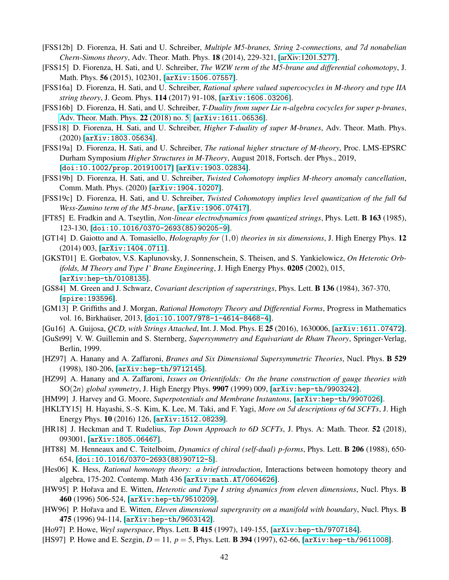- <span id="page-41-22"></span>[FSS12b] D. Fiorenza, H. Sati and U. Schreiber, *Multiple M5-branes, String 2-connections, and 7d nonabelian Chern-Simons theory*, Adv. Theor. Math. Phys. 18 (2014), 229-321, [\[arXiv:1201.5277\]](https://arxiv.org/abs/1201.5277).
- <span id="page-41-14"></span>[FSS15] D. Fiorenza, H. Sati, and U. Schreiber, *The WZW term of the M5-brane and differential cohomotopy*, J. Math. Phys. 56 (2015), 102301, [[arXiv:1506.07557](https://arxiv.org/abs/1506.07557)].
- <span id="page-41-13"></span>[FSS16a] D. Fiorenza, H. Sati, and U. Schreiber, *Rational sphere valued supercocycles in M-theory and type IIA string theory*, J. Geom. Phys. 114 (2017) 91-108, [[arXiv:1606.03206](https://arxiv.org/abs/1606.03206)].
- <span id="page-41-1"></span>[FSS16b] D. Fiorenza, H. Sati, and U. Schreiber, *T-Duality from super Lie n-algebra cocycles for super p-branes*, [Adv. Theor. Math. Phys.](http://www.intlpress.com/site/pub/pages/journals/items/atmp/content/vols/0022/0005/) 22 (2018) no. 5, [[arXiv:1611.06536](https://arxiv.org/abs/1611.06536)].
- <span id="page-41-7"></span>[FSS18] D. Fiorenza, H. Sati, and U. Schreiber, *Higher T-duality of super M-branes*, Adv. Theor. Math. Phys. (2020) [[arXiv:1803.05634](https://arxiv.org/abs/1803.05634)].
- <span id="page-41-0"></span>[FSS19a] D. Fiorenza, H. Sati, and U. Schreiber, *The rational higher structure of M-theory*, Proc. LMS-EPSRC Durham Symposium *Higher Structures in M-Theory*, August 2018, Fortsch. der Phys., 2019, [[doi:10.1002/prop.201910017](https://doi.org/10.1002/prop.201910017)] [[arXiv:1903.02834](https://arxiv.org/abs/1903.02834)].
- <span id="page-41-2"></span>[FSS19b] D. Fiorenza, H. Sati, and U. Schreiber, *Twisted Cohomotopy implies M-theory anomaly cancellation*, Comm. Math. Phys. (2020) [[arXiv:1904.10207](https://arxiv.org/abs/1904.10207)].
- <span id="page-41-3"></span>[FSS19c] D. Fiorenza, H. Sati, and U. Schreiber, *Twisted Cohomotopy implies level quantization of the full 6d Wess-Zumino term of the M5-brane*, [[arXiv:1906.07417](https://arxiv.org/abs/1906.07417)].
- <span id="page-41-24"></span>[FT85] E. Fradkin and A. Tseytlin, *Non-linear electrodynamics from quantized strings*, Phys. Lett. B 163 (1985), 123-130, [[doi:10.1016/0370-2693\(85\)90205-9](https://doi.org/10.1016/0370-2693(85)90205-9)].
- [GT14] D. Gaiotto and A. Tomasiello, *Holography for* (1,0) *theories in six dimensions*, J. High Energy Phys. 12 (2014) 003, [[arXiv:1404.0711](https://arxiv.org/abs/1404.0711)].
- <span id="page-41-17"></span>[GKST01] E. Gorbatov, V.S. Kaplunovsky, J. Sonnenschein, S. Theisen, and S. Yankielowicz, *On Heterotic Orbifolds, M Theory and Type I' Brane Engineering*, J. High Energy Phys. 0205 (2002), 015, [[arXiv:hep-th/0108135](https://arxiv.org/abs/hep-th/0108135)].
- <span id="page-41-9"></span>[GS84] M. Green and J. Schwarz, *Covariant description of superstrings*, Phys. Lett. B 136 (1984), 367-370, [[spire:193596](http://inspirehep.net/record/193596)].
- <span id="page-41-12"></span>[GM13] P. Griffiths and J. Morgan, *Rational Homotopy Theory and Differential Forms*, Progress in Mathematics vol. 16, Birkhaüser, 2013, [[doi:10.1007/978-1-4614-8468-4](https://doi.org/10.1007/978-1-4614-8468-4)].
- <span id="page-41-4"></span>[Gu16] A. Guijosa, *QCD, with Strings Attached*, Int. J. Mod. Phys. E 25 (2016), 1630006, [[arXiv:1611.07472](https://arxiv.org/abs/1611.07472)].
- <span id="page-41-21"></span>[GuSt99] V. W. Guillemin and S. Sternberg, *Supersymmetry and Equivariant de Rham Theory*, Springer-Verlag, Berlin, 1999.
- <span id="page-41-18"></span>[HZ97] A. Hanany and A. Zaffaroni, *Branes and Six Dimensional Supersymmetric Theories*, Nucl. Phys. B 529 (1998), 180-206, [[arXiv:hep-th/9712145](https://arxiv.org/abs/hep-th/9712145)].
- <span id="page-41-20"></span>[HZ99] A. Hanany and A. Zaffaroni, *Issues on Orientifolds: On the brane construction of gauge theories with* SO(2*n*) *global symmetry*, J. High Energy Phys. 9907 (1999) 009, [[arXiv:hep-th/9903242](https://arxiv.org/abs/hep-th/9903242)].
- <span id="page-41-10"></span>[HM99] J. Harvey and G. Moore, *Superpotentials and Membrane Instantons*, [[arXiv:hep-th/9907026](https://arxiv.org/abs/hep-th/9907026)].
- <span id="page-41-19"></span>[HKLTY15] H. Hayashi, S.-S. Kim, K. Lee, M. Taki, and F. Yagi, *More on 5d descriptions of 6d SCFTs*, J. High Energy Phys. 10 (2016) 126, [[arXiv:1512.08239](https://arxiv.org/abs/1512.08239)].
- <span id="page-41-15"></span>[HR18] J. Heckman and T. Rudelius, *Top Down Approach to 6D SCFTs*, J. Phys. A: Math. Theor. 52 (2018), 093001, [[arXiv:1805.06467](https://arxiv.org/abs/1805.06467)].
- <span id="page-41-16"></span>[HT88] M. Henneaux and C. Teitelboim, *Dynamics of chiral (self-dual) p-forms*, Phys. Lett. B 206 (1988), 650- 654, [[doi:10.1016/0370-2693\(88\)90712-5](https://doi.org/10.1016/0370-2693(88)90712-5)].
- <span id="page-41-11"></span>[Hes06] K. Hess, *Rational homotopy theory: a brief introduction*, Interactions between homotopy theory and algebra, 175-202. Contemp. Math 436 [[arXiv:math.AT/0604626](http://arxiv.org/abs/math.AT/0604626)].
- <span id="page-41-5"></span>[HW95] P. Hořava and E. Witten, *Heterotic and Type I string dynamics from eleven dimensions*, Nucl. Phys. **B** 460 (1996) 506-524, [[arXiv:hep-th/9510209](https://arxiv.org/abs/hep-th/9510209)].
- <span id="page-41-6"></span>[HW96] P. Hořava and E. Witten, *Eleven dimensional supergravity on a manifold with boundary*, Nucl. Phys. **B** 475 (1996) 94-114, [[arXiv:hep-th/9603142](https://arxiv.org/abs/hep-th/9603142)].
- <span id="page-41-23"></span>[Ho97] P. Howe, *Weyl superspace*, Phys. Lett. B 415 (1997), 149-155, [[arXiv:hep-th/9707184](https://arxiv.org/abs/hep-th/9707184)].
- <span id="page-41-8"></span>[HS97] P. Howe and E. Sezgin, *D* = 11*, p* = 5, Phys. Lett. B 394 (1997), 62-66, [[arXiv:hep-th/9611008](https://arxiv.org/abs/hep-th/9611008)].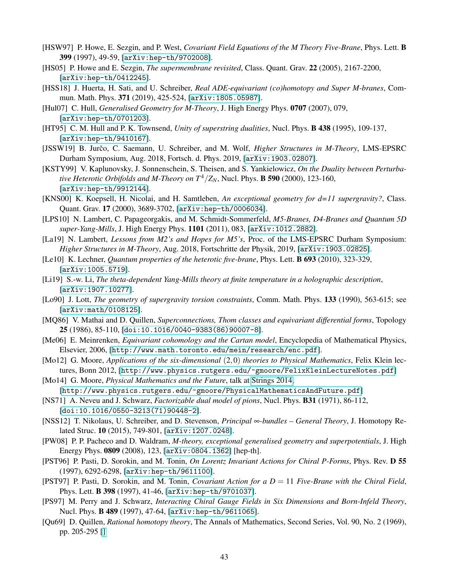- <span id="page-42-12"></span>[HSW97] P. Howe, E. Sezgin, and P. West, *Covariant Field Equations of the M Theory Five-Brane*, Phys. Lett. B 399 (1997), 49-59, [[arXiv:hep-th/9702008](https://arxiv.org/abs/hep-th/9702008)].
- <span id="page-42-10"></span>[HS05] P. Howe and E. Sezgin, *The supermembrane revisited*, Class. Quant. Grav. 22 (2005), 2167-2200, [[arXiv:hep-th/0412245](https://arxiv.org/abs/hep-th/0412245)].
- <span id="page-42-1"></span>[HSS18] J. Huerta, H. Sati, and U. Schreiber, *Real ADE-equivariant (co)homotopy and Super M-branes*, Commun. Math. Phys. 371 (2019), 425-524, [[arXiv:1805.05987](https://arxiv.org/abs/1805.05987)].
- <span id="page-42-7"></span>[Hul07] C. Hull, *Generalised Geometry for M-Theory*, J. High Energy Phys. 0707 (2007), 079, [[arXiv:hep-th/0701203](https://arxiv.org/abs/hep-th/0701203)].
- <span id="page-42-6"></span>[HT95] C. M. Hull and P. K. Townsend, *Unity of superstring dualities*, Nucl. Phys. B 438 (1995), 109-137, [[arXiv:hep-th/9410167](https://arxiv.org/abs/hep-th/9410167)].
- <span id="page-42-13"></span>[JSSW19] B. Jurčo, C. Saemann, U. Schreiber, and M. Wolf, *Higher Structures in M-Theory*, LMS-EPSRC Durham Symposium, Aug. 2018, Fortsch. d. Phys. 2019, [[arXiv:1903.02807](https://arxiv.org/abs/1903.02807)].
- <span id="page-42-17"></span>[KSTY99] V. Kaplunovsky, J. Sonnenschein, S. Theisen, and S. Yankielowicz, *On the Duality between Perturbative Heterotic Orbifolds and M-Theory on*  $T^4/Z_N$ , Nucl. Phys. **B 590** (2000), 123-160, [[arXiv:hep-th/9912144](https://arxiv.org/abs/hep-th/9912144)].
- <span id="page-42-8"></span>[KNS00] K. Koepsell, H. Nicolai, and H. Samtleben, *An exceptional geometry for d=11 supergravity?*, Class. Quant. Grav. 17 (2000), 3689-3702, [[arXiv:hep-th/0006034](https://arxiv.org/abs/hep-th/0006034)].
- <span id="page-42-16"></span>[LPS10] N. Lambert, C. Papageorgakis, and M. Schmidt-Sommerfeld, *M5-Branes, D4-Branes and Quantum 5D super-Yang-Mills*, J. High Energy Phys. 1101 (2011), 083, [[arXiv:1012.2882](https://arxiv.org/abs/1012.2882)].
- <span id="page-42-3"></span>[La19] N. Lambert, *Lessons from M2's and Hopes for M5's*, Proc. of the LMS-EPSRC Durham Symposium: *Higher Structures in M-Theory*, Aug. 2018, Fortschritte der Physik, 2019, [[arXiv:1903.02825](https://arxiv.org/abs/1903.02825)].
- <span id="page-42-22"></span>[Le10] K. Lechner, *Quantum properties of the heterotic five-brane*, Phys. Lett. B 693 (2010), 323-329, [[arXiv:1005.5719](https://arxiv.org/abs/1005.5719)].
- <span id="page-42-21"></span>[Li19] S.-w. Li, *The theta-dependent Yang-Mills theory at finite temperature in a holographic description*, [[arXiv:1907.10277](https://arxiv.org/abs/1907.10277)].
- <span id="page-42-23"></span>[Lo90] J. Lott, *The geometry of supergravity torsion constraints*, Comm. Math. Phys. 133 (1990), 563-615; see [[arXiv:math/0108125](https://arxiv.org/abs/math/0108125)].
- <span id="page-42-19"></span>[MQ86] V. Mathai and D. Quillen, *Superconnections, Thom classes and equivariant differential forms*, Topology 25 (1986), 85-110, [[doi:10.1016/0040-9383\(86\)90007-8](https://doi.org/10.1016/0040-9383(86)90007-8)].
- <span id="page-42-20"></span>[Me06] E. Meinrenken, *Equivariant cohomology and the Cartan model*, Encyclopedia of Mathematical Physics, Elsevier, 2006, [<http://www.math.toronto.edu/mein/research/enc.pdf>].
- <span id="page-42-2"></span>[Mo12] G. Moore, *Applications of the six-dimensional* (2,0) *theories to Physical Mathematics*, Felix Klein lectures, Bonn 2012, [<http://www.physics.rutgers.edu/~gmoore/FelixKleinLectureNotes.pdf>]
- <span id="page-42-0"></span>[Mo14] G. Moore, *Physical Mathematics and the Future*, talk at [Strings 2014,](http://physics.princeton.edu/strings2014/) [<http://www.physics.rutgers.edu/~gmoore/PhysicalMathematicsAndFuture.pdf>]
- <span id="page-42-11"></span>[NS71] A. Neveu and J. Schwarz, *Factorizable dual model of pions*, Nucl. Phys. B31 (1971), 86-112, [[doi:10.1016/0550-3213\(71\)90448-2](https://doi.org/10.1016/0550-3213(71)90448-2)].
- <span id="page-42-18"></span>[NSS12] T. Nikolaus, U. Schreiber, and D. Stevenson, *Principal* ∞*-bundles – General Theory*, J. Homotopy Related Struc. 10 (2015), 749-801, [[arXiv:1207.0248](https://arxiv.org/abs/1207.0248)].
- <span id="page-42-9"></span>[PW08] P. P. Pacheco and D. Waldram, *M-theory, exceptional generalised geometry and superpotentials*, J. High Energy Phys. 0809 (2008), 123, [[arXiv:0804.1362](https://arxiv.org/abs/0804.1362)] [hep-th].
- <span id="page-42-15"></span>[PST96] P. Pasti, D. Sorokin, and M. Tonin, *On Lorentz Invariant Actions for Chiral P-Forms*, Phys. Rev. D 55 (1997), 6292-6298, [[arXiv:hep-th/9611100](https://arxiv.org/abs/hep-th/9611100)].
- <span id="page-42-5"></span>[PST97] P. Pasti, D. Sorokin, and M. Tonin, *Covariant Action for a D* = 11 *Five-Brane with the Chiral Field*, Phys. Lett. B 398 (1997), 41-46, [[arXiv:hep-th/9701037](https://arxiv.org/abs/hep-th/9701037)].
- <span id="page-42-4"></span>[PS97] M. Perry and J. Schwarz, *Interacting Chiral Gauge Fields in Six Dimensions and Born-Infeld Theory*, Nucl. Phys. B 489 (1997), 47-64, [[arXiv:hep-th/9611065](https://arxiv.org/abs/hep-th/9611065)].
- <span id="page-42-14"></span>[Qu69] D. Quillen, *Rational homotopy theory*, The Annals of Mathematics, Second Series, Vol. 90, No. 2 (1969), pp. 205-295 [\[\]](https://www.jstor.org/stable/1970725?seq=1)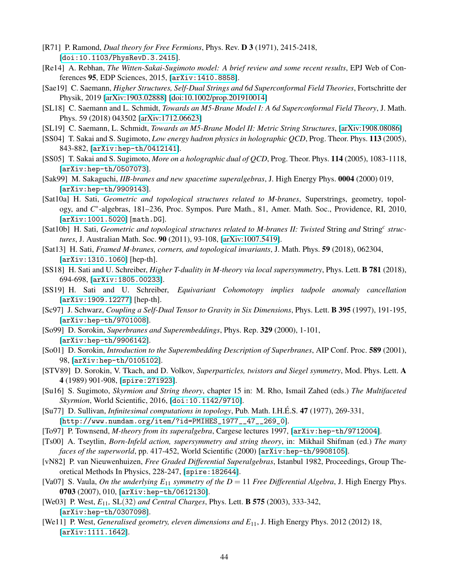- <span id="page-43-13"></span>[R71] P. Ramond, *Dual theory for Free Fermions*, Phys. Rev. D 3 (1971), 2415-2418, [[doi:10.1103/PhysRevD.3.2415](https://doi.org/10.1103/PhysRevD.3.2415)].
- <span id="page-43-2"></span>[Re14] A. Rebhan, *The Witten-Sakai-Sugimoto model: A brief review and some recent results*, EPJ Web of Conferences 95, EDP Sciences, 2015, [[arXiv:1410.8858](https://arxiv.org/abs/1410.8858)].
- <span id="page-43-22"></span>[Sae19] C. Saemann, *Higher Structures, Self-Dual Strings and 6d Superconformal Field Theories*, Fortschritte der Physik, 2019 [\[arXiv:1903.02888\]](https://arxiv.org/abs/1903.02888) [\[doi:10.1002/prop.201910014\]]( https://doi.org/10.1002/prop.201910014)
- <span id="page-43-20"></span>[SL18] C. Saemann and L. Schmidt, *Towards an M5-Brane Model I: A 6d Superconformal Field Theory*, J. Math. Phys. 59 (2018) 043502 [\[arXiv:1712.06623\]](https://arxiv.org/abs/1712.06623)
- <span id="page-43-21"></span>[SL19] C. Saemann, L. Schmidt, *Towards an M5-Brane Model II: Metric String Structures*, [\[arXiv:1908.08086\]](https://arxiv.org/abs/1908.08086)
- <span id="page-43-0"></span>[SS04] T. Sakai and S. Sugimoto, *Low energy hadron physics in holographic QCD*, Prog. Theor. Phys. 113 (2005), 843-882, [[arXiv:hep-th/0412141](https://arxiv.org/abs/hep-th/0412141)].
- <span id="page-43-1"></span>[SS05] T. Sakai and S. Sugimoto, *More on a holographic dual of QCD*, Prog. Theor. Phys. 114 (2005), 1083-1118, [[arXiv:hep-th/0507073](https://arxiv.org/abs/hep-th/0507073)].
- [Sak99] M. Sakaguchi, *IIB-branes and new spacetime superalgebras*, J. High Energy Phys. 0004 (2000) 019, [[arXiv:hep-th/9909143](https://arxiv.org/abs/hep-th/9909143)].
- <span id="page-43-18"></span>[Sat10a] H. Sati, *Geometric and topological structures related to M-branes*, Superstrings, geometry, topology, and *C*<sup>\*</sup>-algebras, 181–236, Proc. Sympos. Pure Math., 81, Amer. Math. Soc., Providence, RI, 2010, [[arXiv:1001.5020](https://arxiv.org/abs/1001.5020)] [math.DG].
- <span id="page-43-19"></span>[Sat10b] H. Sati, *Geometric and topological structures related to M-branes II: Twisted String and String<sup>c</sup> structures*, J. Australian Math. Soc. 90 (2011), 93-108, [\[arXiv:1007.5419\]](https://arxiv.org/abs/1007.5419).
- <span id="page-43-16"></span>[Sat13] H. Sati, *Framed M-branes, corners, and topological invariants*, J. Math. Phys. 59 (2018), 062304, [[arXiv:1310.1060](https://arxiv.org/abs/1310.1060)] [hep-th].
- <span id="page-43-8"></span>[SS18] H. Sati and U. Schreiber, *Higher T-duality in M-theory via local supersymmetry*, Phys. Lett. B 781 (2018), 694-698, [[arXiv:1805.00233](https://arxiv.org/abs/1805.00233)].
- <span id="page-43-17"></span>[SS19] H. Sati and U. Schreiber, *Equivariant Cohomotopy implies tadpole anomaly cancellation* [[arXiv:1909.12277](https://arxiv.org/abs/1909.12277)] [hep-th].
- <span id="page-43-4"></span>[Sc97] J. Schwarz, *Coupling a Self-Dual Tensor to Gravity in Six Dimensions*, Phys. Lett. B 395 (1997), 191-195, [[arXiv:hep-th/9701008](https://arxiv.org/abs/hep-th/9701008)].
- <span id="page-43-10"></span>[So99] D. Sorokin, *Superbranes and Superembeddings*, Phys. Rep. 329 (2000), 1-101, [[arXiv:hep-th/9906142](http://arxiv.org/abs/hep-th/9906142)].
- <span id="page-43-11"></span>[So01] D. Sorokin, *Introduction to the Superembedding Description of Superbranes*, AIP Conf. Proc. 589 (2001), 98, [[arXiv:hep-th/0105102](https://arxiv.org/abs/hep-th/0105102)].
- <span id="page-43-12"></span>[STV89] D. Sorokin, V. Tkach, and D. Volkov, *Superparticles, twistors and Siegel symmetry*, Mod. Phys. Lett. A 4 (1989) 901-908, [[spire:271923](http://inspirehep.net/record/271923)].
- <span id="page-43-3"></span>[Su16] S. Sugimoto, *Skyrmion and String theory*, chapter 15 in: M. Rho, Ismail Zahed (eds.) *The Multifaceted Skyrmion*, World Scientific, 2016, [[doi:10.1142/9710](https://www.worldscientific.com/worldscibooks/10.1142/9710)].
- <span id="page-43-14"></span>[Su77] D. Sullivan, *Infinitesimal computations in topology*, Pub. Math. I.H.É.S. 47 (1977), 269-331, [[http://www.numdam.org/item/?id=PMIHES\\_1977\\_\\_47\\_\\_269\\_0](http://www.numdam.org/item/?id=PMIHES_1977__47__269_0)].
- <span id="page-43-9"></span>[To97] P. Townsend, *M-theory from its superalgebra*, Cargese lectures 1997, [[arXiv:hep-th/9712004](https://arxiv.org/abs/hep-th/9712004)].
- <span id="page-43-23"></span>[Ts00] A. Tseytlin, *Born-Infeld action, supersymmetry and string theory*, in: Mikhail Shifman (ed.) *The many faces of the superworld*, pp. 417-452, World Scientific (2000) [[arXiv:hep-th/9908105](https://arxiv.org/abs/hep-th/9908105)].
- <span id="page-43-15"></span>[vN82] P. van Nieuwenhuizen, *Free Graded Differential Superalgebras*, Istanbul 1982, Proceedings, Group Theoretical Methods In Physics, 228-247, [[spire:182644](http://inspirehep.net/record/182644)].
- <span id="page-43-7"></span>[Va07] S. Vaula, *On the underlying E*<sup>11</sup> *symmetry of the D* = 11 *Free Differential Algebra*, J. High Energy Phys. 0703 (2007), 010, [[arXiv:hep-th/0612130](https://arxiv.org/abs/hep-th/0612130)].
- <span id="page-43-5"></span>[We03] P. West, *E*11*,* SL(32) *and Central Charges*, Phys. Lett. B 575 (2003), 333-342, [[arXiv:hep-th/0307098](https://arxiv.org/abs/hep-th/0307098)].
- <span id="page-43-6"></span>[We11] P. West, *Generalised geometry, eleven dimensions and E*11, J. High Energy Phys. 2012 (2012) 18, [[arXiv:1111.1642](https://arxiv.org/abs/1111.1642)].